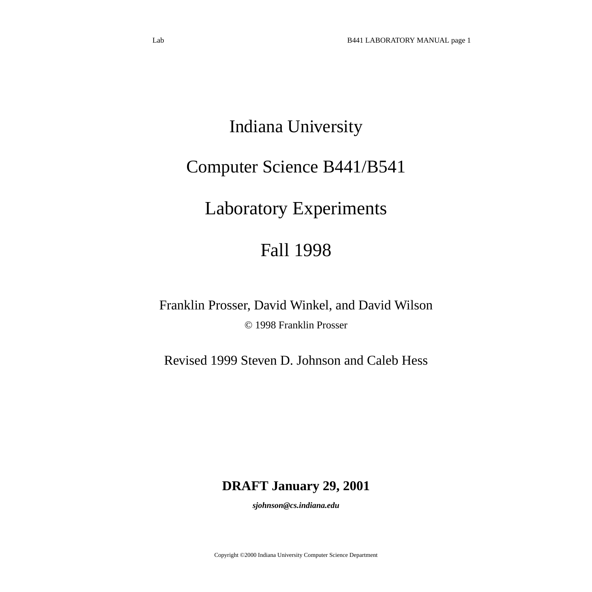# Indiana University

# Computer Science B441/B541

# Laboratory Experiments

# Fall 1998

Franklin Prosser, David Winkel, and David Wilson © 1998 Franklin Prosser

Revised 1999 Steven D. Johnson and Caleb Hess

# **DRAFT January 29, 2001**

*sjohnson@cs.indiana.edu*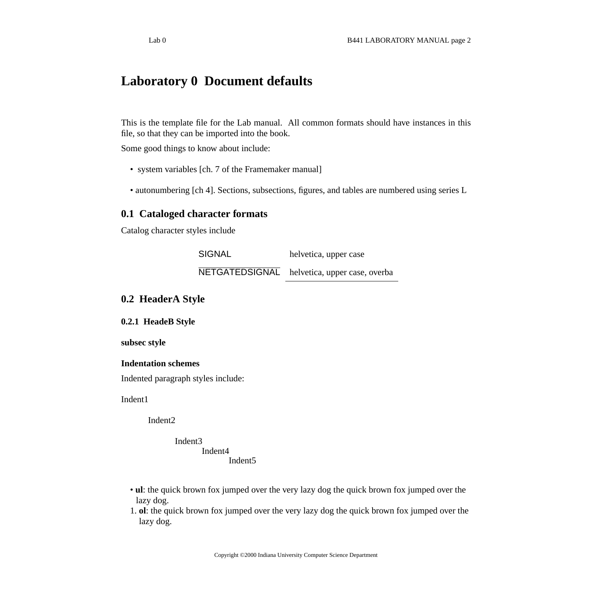# <span id="page-1-0"></span>**Laboratory 0 Document defaults**

This is the template file for the Lab manual. All common formats should have instances in this file, so that they can be imported into the book.

Some good things to know about include:

- system variables [ch. 7 of the Framemaker manual]
- autonumbering [ch 4]. Sections, subsections, figures, and tables are numbered using series L

#### <span id="page-1-1"></span>**0.1 Cataloged character formats**

Catalog character styles include

SIGNAL helvetica, upper case NETGATEDSIGNAL helvetica, upper case, overba

#### <span id="page-1-2"></span>**0.2 HeaderA Style**

**0.2.1 HeadeB Style**

**subsec style**

**Indentation schemes** Indented paragraph styles include:

Indent1

Indent2

Indent3 Indent4 Indent5

- **ul**: the quick brown fox jumped over the very lazy dog the quick brown fox jumped over the lazy dog.
- 1. **ol**: the quick brown fox jumped over the very lazy dog the quick brown fox jumped over the lazy dog.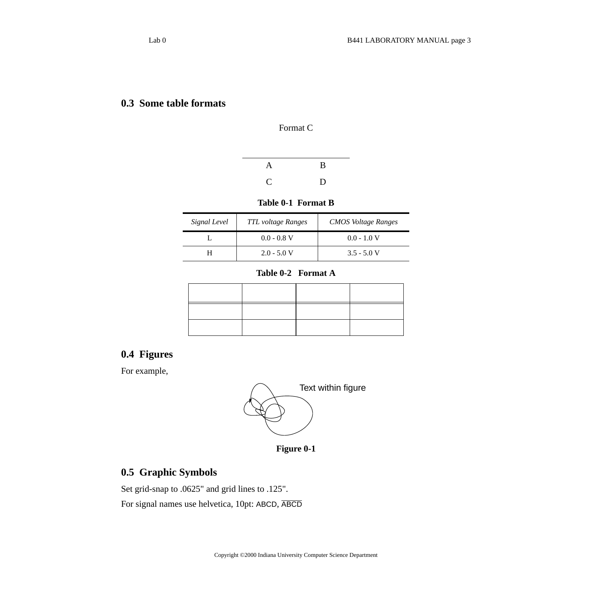#### <span id="page-2-0"></span>**0.3 Some table formats**

Format C

| A  | B |
|----|---|
| C. | D |

#### **Table 0-1 Format B**

| Signal Level | <b>TTL</b> voltage Ranges | <b>CMOS</b> Voltage Ranges |
|--------------|---------------------------|----------------------------|
|              | $0.0 - 0.8$ V             | $0.0 - 1.0$ V              |
|              | $2.0 - 5.0 V$             | $3.5 - 5.0 V$              |

#### **Table 0-2 Format A**

#### <span id="page-2-1"></span>**0.4 Figures**

For example,



**Figure 0-1**

#### <span id="page-2-2"></span>**0.5 Graphic Symbols**

Set grid-snap to .0625" and grid lines to .125". For signal names use helvetica, 10pt: ABCD, ABCD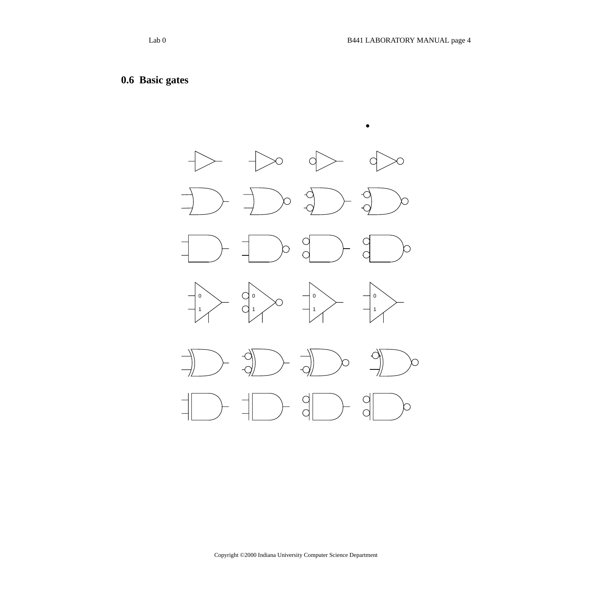# <span id="page-3-0"></span>**0.6 Basic gates**

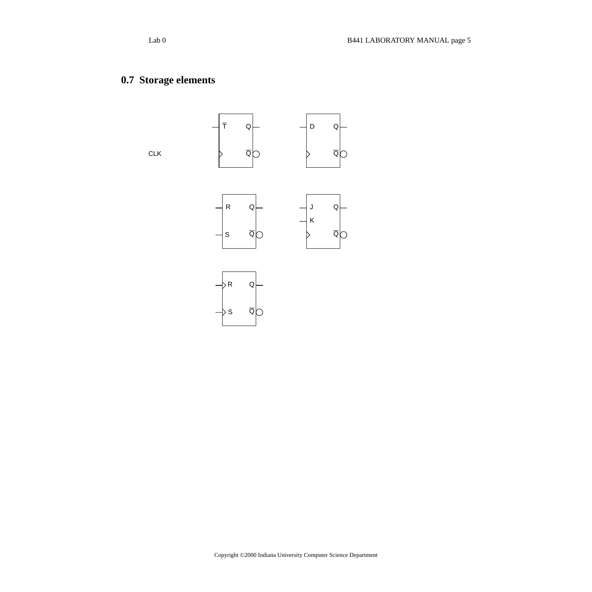# <span id="page-4-0"></span>**0.7 Storage elements**

CLK





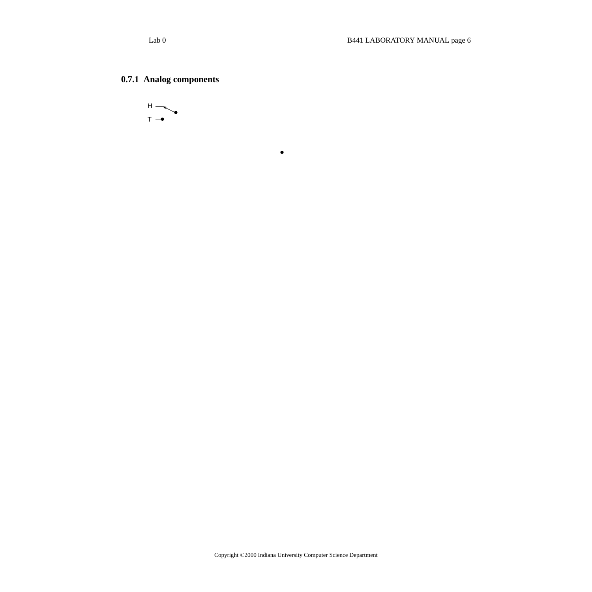### **0.7.1 Analog components**



.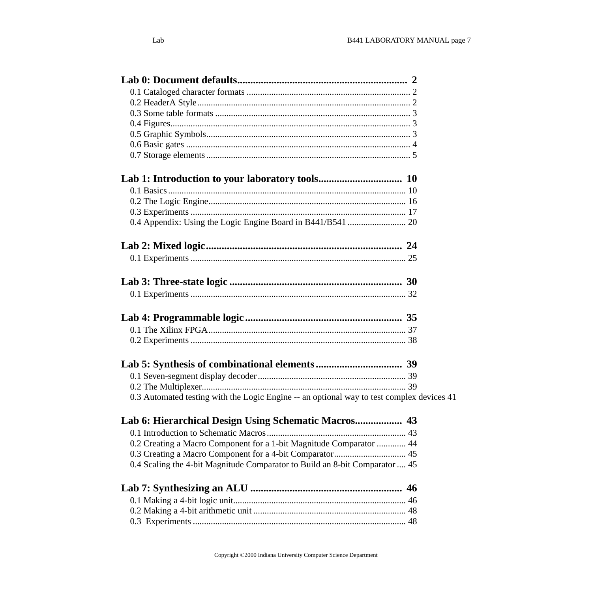| 0.3 Automated testing with the Logic Engine -- an optional way to test complex devices 41 |  |
|-------------------------------------------------------------------------------------------|--|
| Lab 6: Hierarchical Design Using Schematic Macros 43                                      |  |
|                                                                                           |  |
| 0.2 Creating a Macro Component for a 1-bit Magnitude Comparator  44                       |  |
|                                                                                           |  |
| 0.4 Scaling the 4-bit Magnitude Comparator to Build an 8-bit Comparator  45               |  |
|                                                                                           |  |
|                                                                                           |  |
|                                                                                           |  |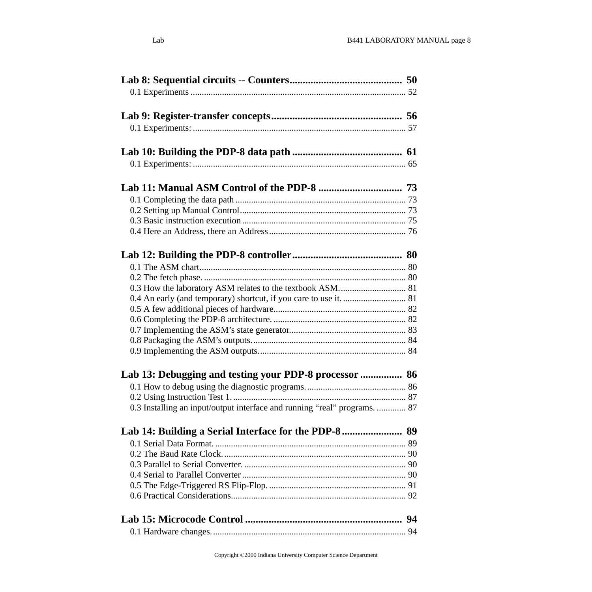| 0.3 How the laboratory ASM relates to the textbook ASM 81                 |  |
|---------------------------------------------------------------------------|--|
| 0.4 An early (and temporary) shortcut, if you care to use it.  81         |  |
|                                                                           |  |
|                                                                           |  |
|                                                                           |  |
|                                                                           |  |
|                                                                           |  |
| Lab 13: Debugging and testing your PDP-8 processor  86                    |  |
|                                                                           |  |
|                                                                           |  |
| 0.3 Installing an input/output interface and running "real" programs.  87 |  |
|                                                                           |  |
|                                                                           |  |
|                                                                           |  |
|                                                                           |  |
|                                                                           |  |
|                                                                           |  |
|                                                                           |  |
|                                                                           |  |
|                                                                           |  |
|                                                                           |  |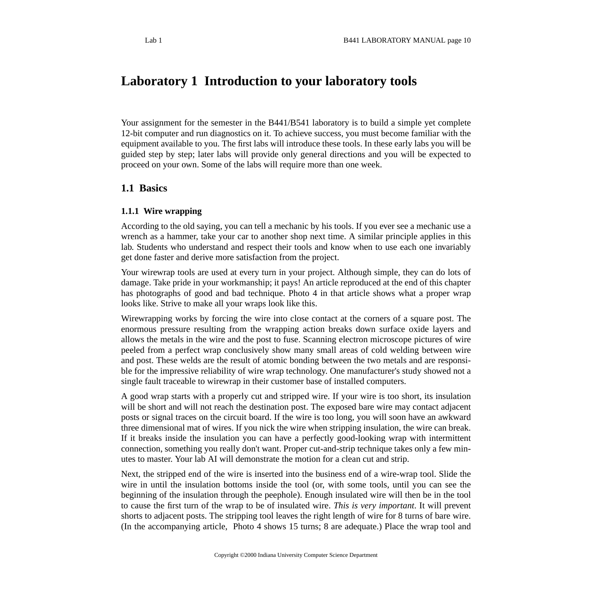# <span id="page-9-0"></span>**Laboratory 1 Introduction to your laboratory tools**

Your assignment for the semester in the B441/B541 laboratory is to build a simple yet complete 12-bit computer and run diagnostics on it. To achieve success, you must become familiar with the equipment available to you. The first labs will introduce these tools. In these early labs you will be guided step by step; later labs will provide only general directions and you will be expected to proceed on your own. Some of the labs will require more than one week.

#### <span id="page-9-1"></span>**1.1 Basics**

#### **1.1.1 Wire wrapping**

According to the old saying, you can tell a mechanic by his tools. If you ever see a mechanic use a wrench as a hammer, take your car to another shop next time. A similar principle applies in this lab. Students who understand and respect their tools and know when to use each one invariably get done faster and derive more satisfaction from the project.

Your wirewrap tools are used at every turn in your project. Although simple, they can do lots of damage. Take pride in your workmanship; it pays! An article reproduced at the end of this chapter has photographs of good and bad technique. Photo 4 in that article shows what a proper wrap looks like. Strive to make all your wraps look like this.

Wirewrapping works by forcing the wire into close contact at the corners of a square post. The enormous pressure resulting from the wrapping action breaks down surface oxide layers and allows the metals in the wire and the post to fuse. Scanning electron microscope pictures of wire peeled from a perfect wrap conclusively show many small areas of cold welding between wire and post. These welds are the result of atomic bonding between the two metals and are responsible for the impressive reliability of wire wrap technology. One manufacturer's study showed not a single fault traceable to wirewrap in their customer base of installed computers.

A good wrap starts with a properly cut and stripped wire. If your wire is too short, its insulation will be short and will not reach the destination post. The exposed bare wire may contact adjacent posts or signal traces on the circuit board. If the wire is too long, you will soon have an awkward three dimensional mat of wires. If you nick the wire when stripping insulation, the wire can break. If it breaks inside the insulation you can have a perfectly good-looking wrap with intermittent connection, something you really don't want. Proper cut-and-strip technique takes only a few minutes to master. Your lab AI will demonstrate the motion for a clean cut and strip.

Next, the stripped end of the wire is inserted into the business end of a wire-wrap tool. Slide the wire in until the insulation bottoms inside the tool (or, with some tools, until you can see the beginning of the insulation through the peephole). Enough insulated wire will then be in the tool to cause the first turn of the wrap to be of insulated wire. *This is very important*. It will prevent shorts to adjacent posts. The stripping tool leaves the right length of wire for 8 turns of bare wire. (In the accompanying article, Photo 4 shows 15 turns; 8 are adequate.) Place the wrap tool and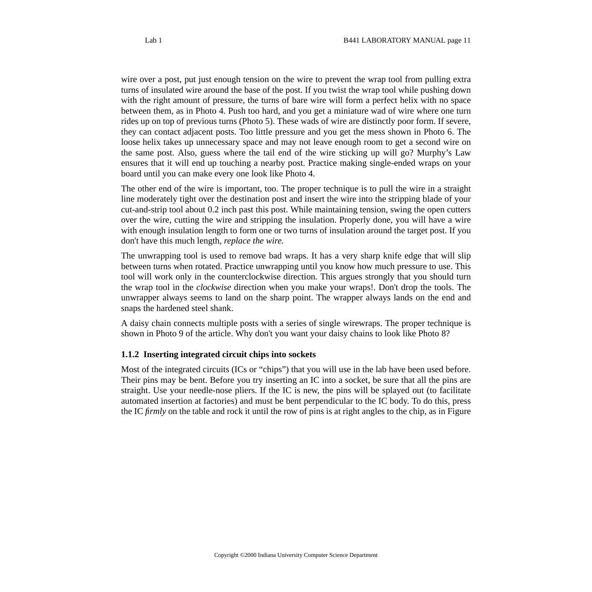wire over a post, put just enough tension on the wire to prevent the wrap tool from pulling extra turns of insulated wire around the base of the post. If you twist the wrap tool while pushing down with the right amount of pressure, the turns of bare wire will form a perfect helix with no space between them, as in Photo 4. Push too hard, and you get a miniature wad of wire where one turn rides up on top of previous turns (Photo 5). These wads of wire are distinctly poor form. If severe, they can contact adjacent posts. Too little pressure and you get the mess shown in Photo 6. The loose helix takes up unnecessary space and may not leave enough room to get a second wire on the same post. Also, guess where the tail end of the wire sticking up will go? Murphy's Law ensures that it will end up touching a nearby post. Practice making single-ended wraps on your board until you can make every one look like Photo 4.

The other end of the wire is important, too. The proper technique is to pull the wire in a straight line moderately tight over the destination post and insert the wire into the stripping blade of your cut-and-strip tool about 0.2 inch past this post. While maintaining tension, swing the open cutters over the wire, cutting the wire and stripping the insulation. Properly done, you will have a wire with enough insulation length to form one or two turns of insulation around the target post. If you don't have this much length, *replace the wire.*

The unwrapping tool is used to remove bad wraps. It has a very sharp knife edge that will slip between turns when rotated. Practice unwrapping until you know how much pressure to use. This tool will work only in the counterclockwise direction. This argues strongly that you should turn the wrap tool in the *clockwise* direction when you make your wraps!. Don't drop the tools. The unwrapper always seems to land on the sharp point. The wrapper always lands on the end and snaps the hardened steel shank.

A daisy chain connects multiple posts with a series of single wirewraps. The proper technique is shown in Photo 9 of the article. Why don't you want your daisy chains to look like Photo 8?

#### **1.1.2 Inserting integrated circuit chips into sockets**

Most of the integrated circuits (ICs or "chips") that you will use in the lab have been used before. Their pins may be bent. Before you try inserting an IC into a socket, be sure that all the pins are straight. Use your needle-nose pliers. If the IC is new, the pins will be splayed out (to facilitate automated insertion at factories) and must be bent perpendicular to the IC body. To do this, press the IC *firmly* on the table and rock it until the row of pins is at right angles to the chip, as in Figure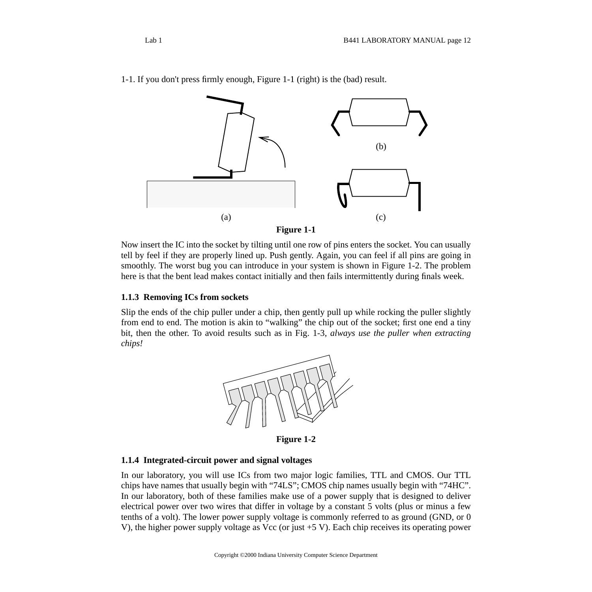

1-1. If you don't press firmly enough, Figure 1-1 (right) is the (bad) result.

**Figure 1-1**

Now insert the IC into the socket by tilting until one row of pins enters the socket. You can usually tell by feel if they are properly lined up. Push gently. Again, you can feel if all pins are going in smoothly. The worst bug you can introduce in your system is shown in Figure 1-2. The problem here is that the bent lead makes contact initially and then fails intermittently during finals week.

#### **1.1.3 Removing ICs from sockets**

Slip the ends of the chip puller under a chip, then gently pull up while rocking the puller slightly from end to end. The motion is akin to "walking" the chip out of the socket; first one end a tiny bit, then the other. To avoid results such as in Fig. 1-3, *always use the puller when extracting chips!*



**Figure 1-2**

#### **1.1.4 Integrated-circuit power and signal voltages**

In our laboratory, you will use ICs from two major logic families, TTL and CMOS. Our TTL chips have names that usually begin with "74LS"; CMOS chip names usually begin with "74HC". In our laboratory, both of these families make use of a power supply that is designed to deliver electrical power over two wires that differ in voltage by a constant 5 volts (plus or minus a few tenths of a volt). The lower power supply voltage is commonly referred to as ground (GND, or 0 V), the higher power supply voltage as Vcc (or just +5 V). Each chip receives its operating power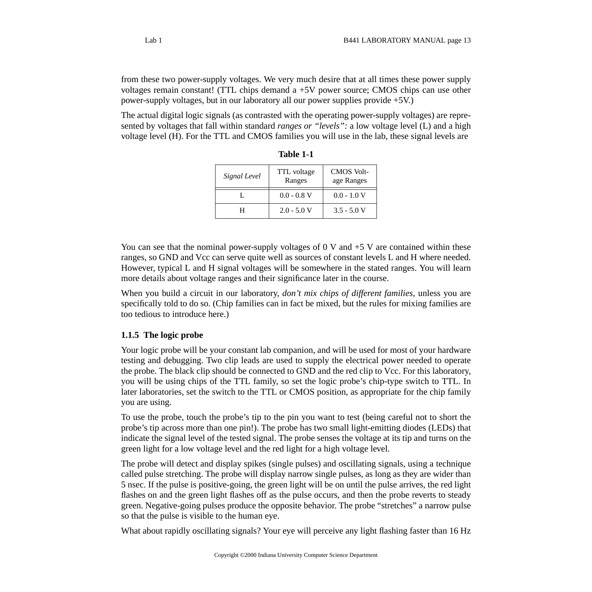from these two power-supply voltages. We very much desire that at all times these power supply voltages remain constant! (TTL chips demand a +5V power source; CMOS chips can use other power-supply voltages, but in our laboratory all our power supplies provide +5V.)

The actual digital logic signals (as contrasted with the operating power-supply voltages) are represented by voltages that fall within standard *ranges or "levels":* a low voltage level (L) and a high voltage level (H). For the TTL and CMOS families you will use in the lab, these signal levels are

| Signal Level | TTL voltage<br>Ranges | <b>CMOS Volt-</b><br>age Ranges |
|--------------|-----------------------|---------------------------------|
|              | $0.0 - 0.8$ V         | $0.0 - 1.0 V$                   |
|              | $2.0 - 5.0 V$         | $3.5 - 5.0 V$                   |

**Table 1-1**

You can see that the nominal power-supply voltages of 0 V and  $+5$  V are contained within these ranges, so GND and Vcc can serve quite well as sources of constant levels L and H where needed. However, typical L and H signal voltages will be somewhere in the stated ranges. You will learn more details about voltage ranges and their significance later in the course.

When you build a circuit in our laboratory, *don't mix chips of different families*, unless you are specifically told to do so. (Chip families can in fact be mixed, but the rules for mixing families are too tedious to introduce here.)

#### **1.1.5 The logic probe**

Your logic probe will be your constant lab companion, and will be used for most of your hardware testing and debugging. Two clip leads are used to supply the electrical power needed to operate the probe. The black clip should be connected to GND and the red clip to Vcc. For this laboratory, you will be using chips of the TTL family, so set the logic probe's chip-type switch to TTL. In later laboratories, set the switch to the TTL or CMOS position, as appropriate for the chip family you are using.

To use the probe, touch the probe's tip to the pin you want to test (being careful not to short the probe's tip across more than one pin!). The probe has two small light-emitting diodes (LEDs) that indicate the signal level of the tested signal. The probe senses the voltage at its tip and turns on the green light for a low voltage level and the red light for a high voltage level.

The probe will detect and display spikes (single pulses) and oscillating signals, using a technique called pulse stretching. The probe will display narrow single pulses, as long as they are wider than 5 nsec. If the pulse is positive-going, the green light will be on until the pulse arrives, the red light flashes on and the green light flashes off as the pulse occurs, and then the probe reverts to steady green. Negative-going pulses produce the opposite behavior. The probe "stretches" a narrow pulse so that the pulse is visible to the human eye.

What about rapidly oscillating signals? Your eye will perceive any light flashing faster than 16 Hz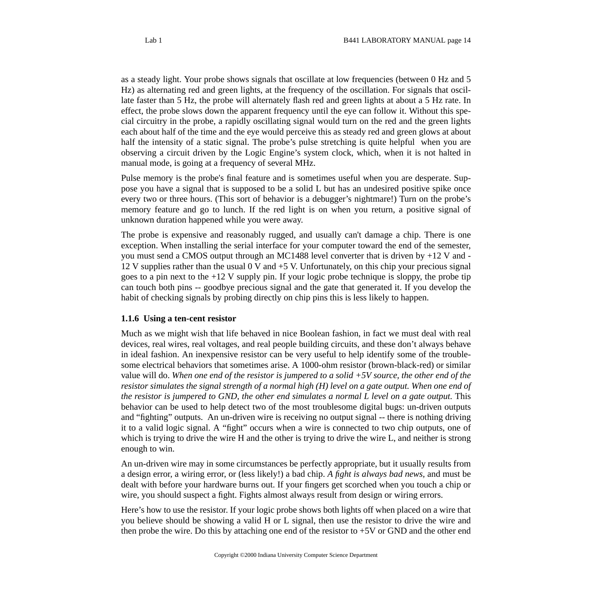as a steady light. Your probe shows signals that oscillate at low frequencies (between 0 Hz and 5 Hz) as alternating red and green lights, at the frequency of the oscillation. For signals that oscillate faster than 5 Hz, the probe will alternately flash red and green lights at about a 5 Hz rate. In effect, the probe slows down the apparent frequency until the eye can follow it. Without this special circuitry in the probe, a rapidly oscillating signal would turn on the red and the green lights each about half of the time and the eye would perceive this as steady red and green glows at about half the intensity of a static signal. The probe's pulse stretching is quite helpful when you are observing a circuit driven by the Logic Engine's system clock, which, when it is not halted in manual mode, is going at a frequency of several MHz.

Pulse memory is the probe's final feature and is sometimes useful when you are desperate. Suppose you have a signal that is supposed to be a solid L but has an undesired positive spike once every two or three hours. (This sort of behavior is a debugger's nightmare!) Turn on the probe's memory feature and go to lunch. If the red light is on when you return, a positive signal of unknown duration happened while you were away.

The probe is expensive and reasonably rugged, and usually can't damage a chip. There is one exception. When installing the serial interface for your computer toward the end of the semester, you must send a CMOS output through an MC1488 level converter that is driven by +12 V and - 12 V supplies rather than the usual  $0$  V and  $+5$  V. Unfortunately, on this chip your precious signal goes to a pin next to the +12 V supply pin. If your logic probe technique is sloppy, the probe tip can touch both pins -- goodbye precious signal and the gate that generated it. If you develop the habit of checking signals by probing directly on chip pins this is less likely to happen.

#### **1.1.6 Using a ten-cent resistor**

Much as we might wish that life behaved in nice Boolean fashion, in fact we must deal with real devices, real wires, real voltages, and real people building circuits, and these don't always behave in ideal fashion. An inexpensive resistor can be very useful to help identify some of the troublesome electrical behaviors that sometimes arise. A 1000-ohm resistor (brown-black-red) or similar value will do. *When one end of the resistor is jumpered to a solid +5V source, the other end of the resistor simulates the signal strength of a normal high (H) level on a gate output. When one end of the resistor is jumpered to GND, the other end simulates a normal L level on a gate output.* This behavior can be used to help detect two of the most troublesome digital bugs: un-driven outputs and "fighting" outputs. An un-driven wire is receiving no output signal -- there is nothing driving it to a valid logic signal. A "fight" occurs when a wire is connected to two chip outputs, one of which is trying to drive the wire H and the other is trying to drive the wire L, and neither is strong enough to win.

An un-driven wire may in some circumstances be perfectly appropriate, but it usually results from a design error, a wiring error, or (less likely!) a bad chip. *A fight is always bad news,* and must be dealt with before your hardware burns out. If your fingers get scorched when you touch a chip or wire, you should suspect a fight. Fights almost always result from design or wiring errors.

Here's how to use the resistor. If your logic probe shows both lights off when placed on a wire that you believe should be showing a valid H or L signal, then use the resistor to drive the wire and then probe the wire. Do this by attaching one end of the resistor to +5V or GND and the other end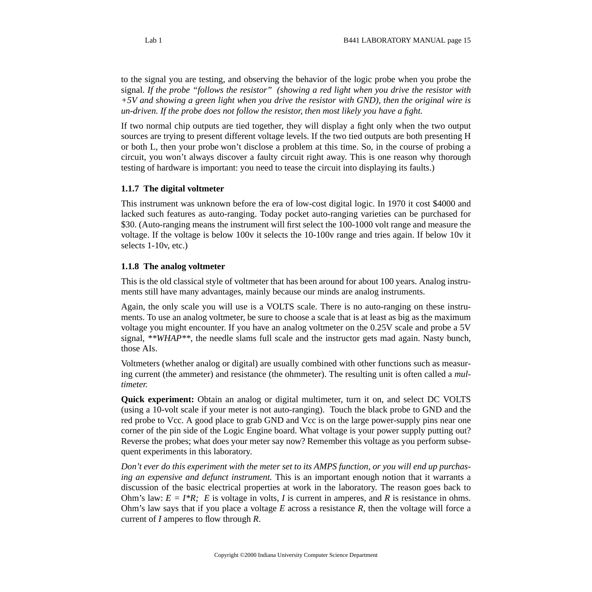to the signal you are testing, and observing the behavior of the logic probe when you probe the signal. *If the probe "follows the resistor" (showing a red light when you drive the resistor with +5V and showing a green light when you drive the resistor with GND), then the original wire is un-driven. If the probe does not follow the resistor, then most likely you have a fight.*

If two normal chip outputs are tied together, they will display a fight only when the two output sources are trying to present different voltage levels. If the two tied outputs are both presenting H or both L, then your probe won't disclose a problem at this time. So, in the course of probing a circuit, you won't always discover a faulty circuit right away. This is one reason why thorough testing of hardware is important: you need to tease the circuit into displaying its faults.)

#### **1.1.7 The digital voltmeter**

This instrument was unknown before the era of low-cost digital logic. In 1970 it cost \$4000 and lacked such features as auto-ranging. Today pocket auto-ranging varieties can be purchased for \$30. (Auto-ranging means the instrument will first select the 100-1000 volt range and measure the voltage. If the voltage is below 100v it selects the 10-100v range and tries again. If below 10v it selects 1-10v, etc.)

#### **1.1.8 The analog voltmeter**

This is the old classical style of voltmeter that has been around for about 100 years. Analog instruments still have many advantages, mainly because our minds are analog instruments.

Again, the only scale you will use is a VOLTS scale. There is no auto-ranging on these instruments. To use an analog voltmeter, be sure to choose a scale that is at least as big as the maximum voltage you might encounter. If you have an analog voltmeter on the 0.25V scale and probe a 5V signal, *\*\*WHAP\*\**, the needle slams full scale and the instructor gets mad again. Nasty bunch, those AIs.

Voltmeters (whether analog or digital) are usually combined with other functions such as measuring current (the ammeter) and resistance (the ohmmeter). The resulting unit is often called a *multimeter.*

**Quick experiment:** Obtain an analog or digital multimeter, turn it on, and select DC VOLTS (using a 10-volt scale if your meter is not auto-ranging). Touch the black probe to GND and the red probe to Vcc. A good place to grab GND and Vcc is on the large power-supply pins near one corner of the pin side of the Logic Engine board. What voltage is your power supply putting out? Reverse the probes; what does your meter say now? Remember this voltage as you perform subsequent experiments in this laboratory.

*Don't ever do this experiment with the meter set to its AMPS function, or you will end up purchasing an expensive and defunct instrument.* This is an important enough notion that it warrants a discussion of the basic electrical properties at work in the laboratory. The reason goes back to Ohm's law:  $E = I^*R$ ; *E* is voltage in volts, *I* is current in amperes, and *R* is resistance in ohms. Ohm's law says that if you place a voltage *E* across a resistance *R*, then the voltage will force a current of *I* amperes to flow through *R*.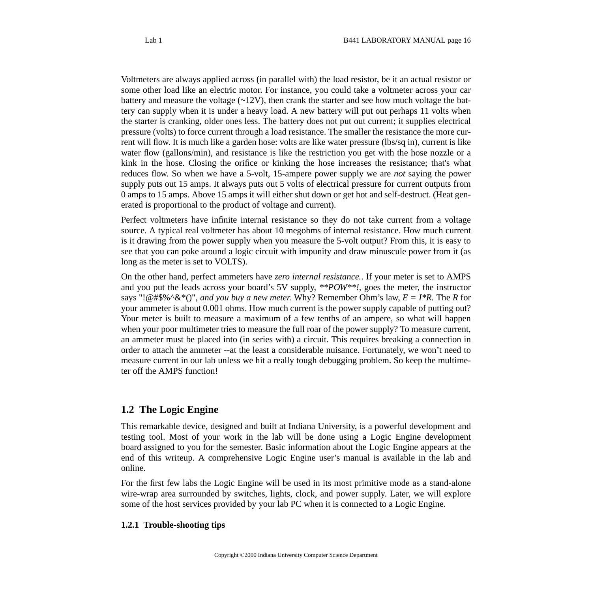Voltmeters are always applied across (in parallel with) the load resistor, be it an actual resistor or some other load like an electric motor. For instance, you could take a voltmeter across your car battery and measure the voltage  $(\sim 12V)$ , then crank the starter and see how much voltage the battery can supply when it is under a heavy load. A new battery will put out perhaps 11 volts when the starter is cranking, older ones less. The battery does not put out current; it supplies electrical pressure (volts) to force current through a load resistance. The smaller the resistance the more current will flow. It is much like a garden hose: volts are like water pressure (lbs/sq in), current is like water flow (gallons/min), and resistance is like the restriction you get with the hose nozzle or a kink in the hose. Closing the orifice or kinking the hose increases the resistance; that's what reduces flow. So when we have a 5-volt, 15-ampere power supply we are *not* saying the power supply puts out 15 amps. It always puts out 5 volts of electrical pressure for current outputs from 0 amps to 15 amps. Above 15 amps it will either shut down or get hot and self-destruct. (Heat generated is proportional to the product of voltage and current).

Perfect voltmeters have infinite internal resistance so they do not take current from a voltage source. A typical real voltmeter has about 10 megohms of internal resistance. How much current is it drawing from the power supply when you measure the 5-volt output? From this, it is easy to see that you can poke around a logic circuit with impunity and draw minuscule power from it (as long as the meter is set to VOLTS).

On the other hand, perfect ammeters have *zero internal resistance.*. If your meter is set to AMPS and you put the leads across your board's 5V supply, *\*\*POW\*\*!,* goes the meter, the instructor says "!@#\$%^&\*()", *and you buy a new meter.* Why? Remember Ohm's law,  $E = I^*R$ . The R for your ammeter is about 0.001 ohms. How much current is the power supply capable of putting out? Your meter is built to measure a maximum of a few tenths of an ampere, so what will happen when your poor multimeter tries to measure the full roar of the power supply? To measure current, an ammeter must be placed into (in series with) a circuit. This requires breaking a connection in order to attach the ammeter --at the least a considerable nuisance. Fortunately, we won't need to measure current in our lab unless we hit a really tough debugging problem. So keep the multimeter off the AMPS function!

### <span id="page-15-0"></span>**1.2 The Logic Engine**

This remarkable device, designed and built at Indiana University, is a powerful development and testing tool. Most of your work in the lab will be done using a Logic Engine development board assigned to you for the semester. Basic information about the Logic Engine appears at the end of this writeup. A comprehensive Logic Engine user's manual is available in the lab and online.

For the first few labs the Logic Engine will be used in its most primitive mode as a stand-alone wire-wrap area surrounded by switches, lights, clock, and power supply. Later, we will explore some of the host services provided by your lab PC when it is connected to a Logic Engine.

#### **1.2.1 Trouble-shooting tips**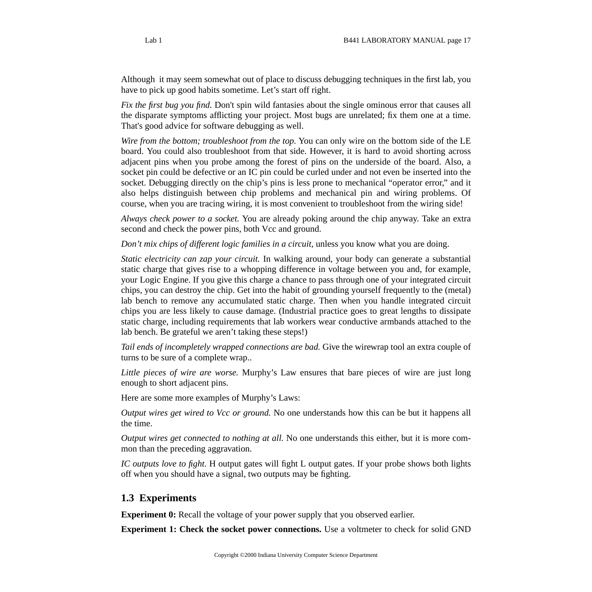Although it may seem somewhat out of place to discuss debugging techniques in the first lab, you have to pick up good habits sometime. Let's start off right.

*Fix the first bug you find.* Don't spin wild fantasies about the single ominous error that causes all the disparate symptoms afflicting your project. Most bugs are unrelated; fix them one at a time. That's good advice for software debugging as well.

*Wire from the bottom; troubleshoot from the top.* You can only wire on the bottom side of the LE board. You could also troubleshoot from that side. However, it is hard to avoid shorting across adjacent pins when you probe among the forest of pins on the underside of the board. Also, a socket pin could be defective or an IC pin could be curled under and not even be inserted into the socket. Debugging directly on the chip's pins is less prone to mechanical "operator error," and it also helps distinguish between chip problems and mechanical pin and wiring problems. Of course, when you are tracing wiring, it is most convenient to troubleshoot from the wiring side!

*Always check power to a socket.* You are already poking around the chip anyway. Take an extra second and check the power pins, both Vcc and ground.

*Don't mix chips of different logic families in a circuit, unless you know what you are doing.* 

*Static electricity can zap your circuit.* In walking around, your body can generate a substantial static charge that gives rise to a whopping difference in voltage between you and, for example, your Logic Engine. If you give this charge a chance to pass through one of your integrated circuit chips, you can destroy the chip. Get into the habit of grounding yourself frequently to the (metal) lab bench to remove any accumulated static charge. Then when you handle integrated circuit chips you are less likely to cause damage. (Industrial practice goes to great lengths to dissipate static charge, including requirements that lab workers wear conductive armbands attached to the lab bench. Be grateful we aren't taking these steps!)

*Tail ends of incompletely wrapped connections are bad.* Give the wirewrap tool an extra couple of turns to be sure of a complete wrap..

*Little pieces of wire are worse.* Murphy's Law ensures that bare pieces of wire are just long enough to short adjacent pins.

Here are some more examples of Murphy's Laws:

*Output wires get wired to Vcc or ground.* No one understands how this can be but it happens all the time.

*Output wires get connected to nothing at all.* No one understands this either, but it is more common than the preceding aggravation.

*IC outputs love to fight.* H output gates will fight L output gates. If your probe shows both lights off when you should have a signal, two outputs may be fighting.

#### <span id="page-16-0"></span>**1.3 Experiments**

**Experiment 0:** Recall the voltage of your power supply that you observed earlier.

**Experiment 1: Check the socket power connections.** Use a voltmeter to check for solid GND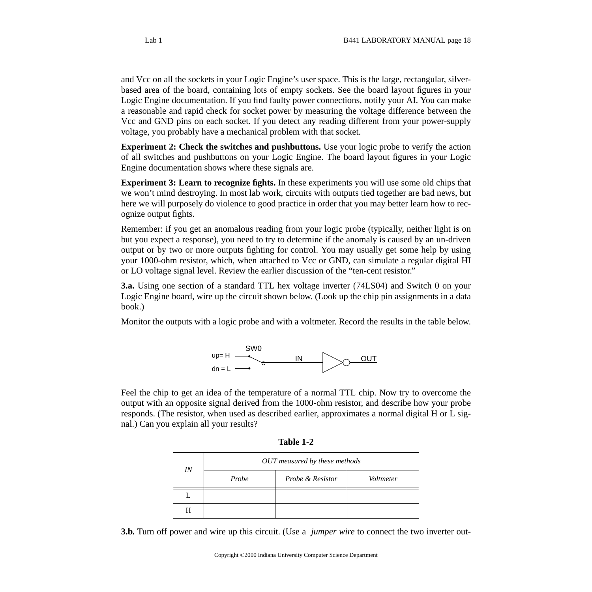and Vcc on all the sockets in your Logic Engine's user space. This is the large, rectangular, silverbased area of the board, containing lots of empty sockets. See the board layout figures in your Logic Engine documentation. If you find faulty power connections, notify your AI. You can make a reasonable and rapid check for socket power by measuring the voltage difference between the Vcc and GND pins on each socket. If you detect any reading different from your power-supply voltage, you probably have a mechanical problem with that socket.

**Experiment 2: Check the switches and pushbuttons.** Use your logic probe to verify the action of all switches and pushbuttons on your Logic Engine. The board layout figures in your Logic Engine documentation shows where these signals are.

**Experiment 3: Learn to recognize fights.** In these experiments you will use some old chips that we won't mind destroying. In most lab work, circuits with outputs tied together are bad news, but here we will purposely do violence to good practice in order that you may better learn how to recognize output fights.

Remember: if you get an anomalous reading from your logic probe (typically, neither light is on but you expect a response), you need to try to determine if the anomaly is caused by an un-driven output or by two or more outputs fighting for control. You may usually get some help by using your 1000-ohm resistor, which, when attached to Vcc or GND, can simulate a regular digital HI or LO voltage signal level. Review the earlier discussion of the "ten-cent resistor."

**3.a.** Using one section of a standard TTL hex voltage inverter (74LS04) and Switch 0 on your Logic Engine board, wire up the circuit shown below. (Look up the chip pin assignments in a data book.)

Monitor the outputs with a logic probe and with a voltmeter. Record the results in the table below.



Feel the chip to get an idea of the temperature of a normal TTL chip. Now try to overcome the output with an opposite signal derived from the 1000-ohm resistor, and describe how your probe responds. (The resistor, when used as described earlier, approximates a normal digital H or L signal.) Can you explain all your results?

| IN | OUT measured by these methods |                             |           |  |  |
|----|-------------------------------|-----------------------------|-----------|--|--|
|    | Probe                         | <i>Probe &amp; Resistor</i> | Voltmeter |  |  |
|    |                               |                             |           |  |  |
| H  |                               |                             |           |  |  |

**3.b.** Turn off power and wire up this circuit. (Use a *jumper wire* to connect the two inverter out-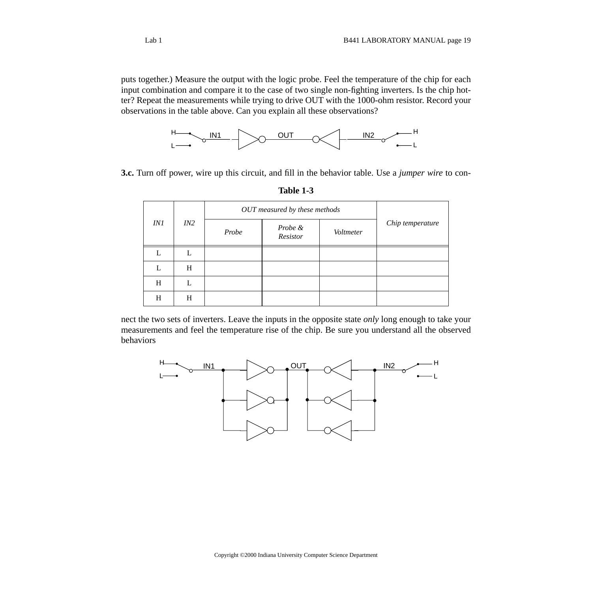puts together.) Measure the output with the logic probe. Feel the temperature of the chip for each input combination and compare it to the case of two single non-fighting inverters. Is the chip hotter? Repeat the measurements while trying to drive OUT with the 1000-ohm resistor. Record your observations in the table above. Can you explain all these observations?



**3.c.** Turn off power, wire up this circuit, and fill in the behavior table. Use a *jumper wire* to con-

|            |     | OUT measured by these methods |                     |           |                  |
|------------|-----|-------------------------------|---------------------|-----------|------------------|
| <i>IN1</i> | IN2 | Probe                         | Probe &<br>Resistor | Voltmeter | Chip temperature |
| L          | L   |                               |                     |           |                  |
|            | H   |                               |                     |           |                  |
| H          | L   |                               |                     |           |                  |
| H          | Н   |                               |                     |           |                  |

**Table 1-3**

nect the two sets of inverters. Leave the inputs in the opposite state *only* long enough to take your measurements and feel the temperature rise of the chip. Be sure you understand all the observed behaviors

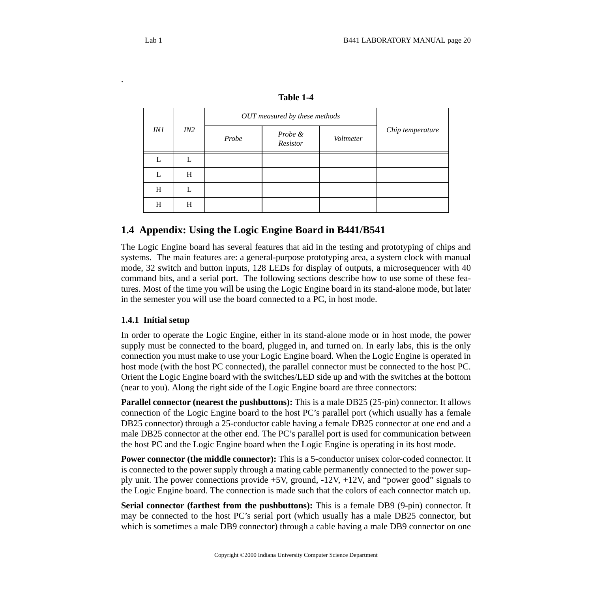.

|            |     | OUT measured by these methods |                     |           |                  |
|------------|-----|-------------------------------|---------------------|-----------|------------------|
| <i>IN1</i> | IN2 | Probe                         | Probe &<br>Resistor | Voltmeter | Chip temperature |
| L          | L   |                               |                     |           |                  |
| L          | H   |                               |                     |           |                  |
| H          | L   |                               |                     |           |                  |
| H          | H   |                               |                     |           |                  |

**Table 1-4**

#### <span id="page-19-0"></span>**1.4 Appendix: Using the Logic Engine Board in B441/B541**

The Logic Engine board has several features that aid in the testing and prototyping of chips and systems. The main features are: a general-purpose prototyping area, a system clock with manual mode, 32 switch and button inputs, 128 LEDs for display of outputs, a microsequencer with 40 command bits, and a serial port. The following sections describe how to use some of these features. Most of the time you will be using the Logic Engine board in its stand-alone mode, but later in the semester you will use the board connected to a PC, in host mode.

#### **1.4.1 Initial setup**

In order to operate the Logic Engine, either in its stand-alone mode or in host mode, the power supply must be connected to the board, plugged in, and turned on. In early labs, this is the only connection you must make to use your Logic Engine board. When the Logic Engine is operated in host mode (with the host PC connected), the parallel connector must be connected to the host PC. Orient the Logic Engine board with the switches/LED side up and with the switches at the bottom (near to you). Along the right side of the Logic Engine board are three connectors:

**Parallel connector (nearest the pushbuttons):** This is a male DB25 (25-pin) connector. It allows connection of the Logic Engine board to the host PC's parallel port (which usually has a female DB25 connector) through a 25-conductor cable having a female DB25 connector at one end and a male DB25 connector at the other end. The PC's parallel port is used for communication between the host PC and the Logic Engine board when the Logic Engine is operating in its host mode.

**Power connector (the middle connector):** This is a 5-conductor unisex color-coded connector. It is connected to the power supply through a mating cable permanently connected to the power supply unit. The power connections provide  $+5V$ , ground,  $-12V$ ,  $+12V$ , and "power good" signals to the Logic Engine board. The connection is made such that the colors of each connector match up.

**Serial connector (farthest from the pushbuttons):** This is a female DB9 (9-pin) connector. It may be connected to the host PC's serial port (which usually has a male DB25 connector, but which is sometimes a male DB9 connector) through a cable having a male DB9 connector on one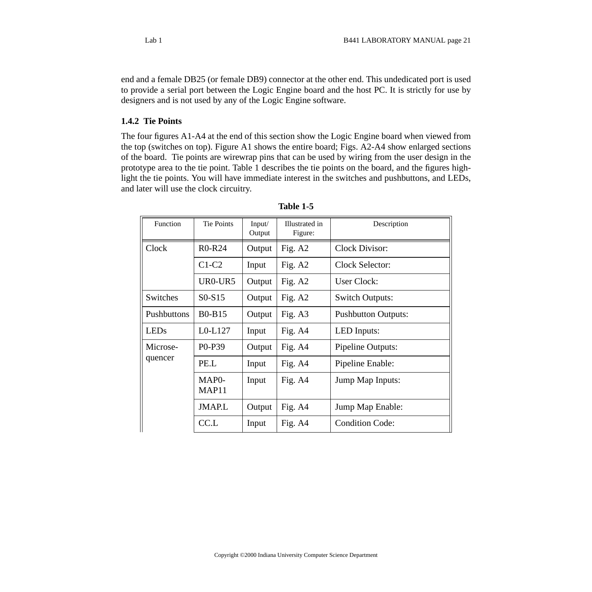end and a female DB25 (or female DB9) connector at the other end. This undedicated port is used to provide a serial port between the Logic Engine board and the host PC. It is strictly for use by designers and is not used by any of the Logic Engine software.

#### **1.4.2 Tie Points**

The four figures A1-A4 at the end of this section show the Logic Engine board when viewed from the top (switches on top). Figure A1 shows the entire board; Figs. A2-A4 show enlarged sections of the board. Tie points are wirewrap pins that can be used by wiring from the user design in the prototype area to the tie point. Table 1 describes the tie points on the board, and the figures highlight the tie points. You will have immediate interest in the switches and pushbuttons, and LEDs, and later will use the clock circuitry.

| Function    | <b>Tie Points</b>                       | Input/<br>Output | Illustrated in<br>Figure: | Description                |
|-------------|-----------------------------------------|------------------|---------------------------|----------------------------|
| Clock       | R <sub>0</sub> -R <sub>24</sub>         | Output           | Fig. A2                   | Clock Divisor:             |
|             | $C1-C2$                                 | Input            | Fig. $A2$                 | Clock Selector:            |
|             | UR0-UR5                                 | Output           | Fig. $A2$                 | <b>User Clock:</b>         |
| Switches    | $S0-S15$                                | Output           | Fig. $A2$                 | <b>Switch Outputs:</b>     |
| Pushbuttons | <b>B0-B15</b>                           | Output           | Fig. $A3$                 | <b>Pushbutton Outputs:</b> |
| <b>LEDs</b> | $L0-L127$                               | Input            | Fig. A4                   | LED Inputs:                |
| Microse-    | P <sub>0</sub> -P <sub>39</sub>         | Output           | Fig. A4                   | Pipeline Outputs:          |
| quencer     | PE.L                                    | Input            | Fig. $A4$                 | Pipeline Enable:           |
|             | MAP <sub>0</sub> -<br>MAP <sub>11</sub> | Input            | Fig. A4                   | Jump Map Inputs:           |
|             | <b>JMAP.L</b>                           | Output           | Fig. A4                   | Jump Map Enable:           |
|             | CC.L                                    | Input            | Fig. A4                   | <b>Condition Code:</b>     |

| <b>Table</b> 1 |  |
|----------------|--|
|----------------|--|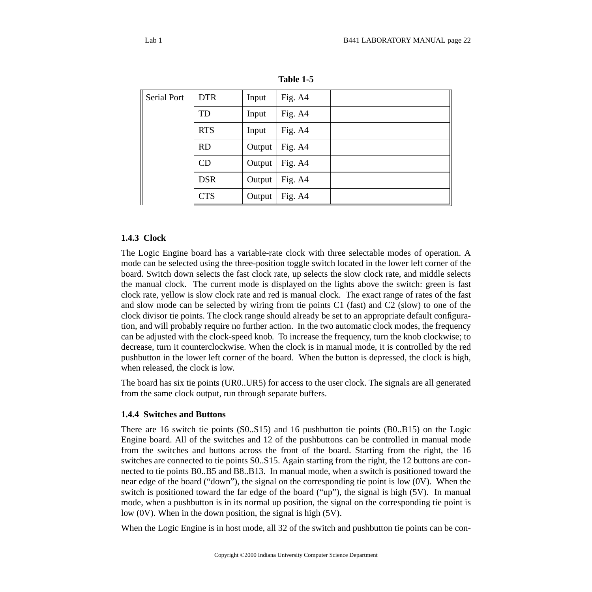| Serial Port | <b>DTR</b> | Input  | Fig. A4 |  |
|-------------|------------|--------|---------|--|
|             | TD         | Input  | Fig. A4 |  |
|             | <b>RTS</b> | Input  | Fig. A4 |  |
|             | <b>RD</b>  | Output | Fig. A4 |  |
|             | CD         | Output | Fig. A4 |  |
|             | <b>DSR</b> | Output | Fig. A4 |  |
|             | <b>CTS</b> | Output | Fig. A4 |  |

**Table 1-5**

#### **1.4.3 Clock**

The Logic Engine board has a variable-rate clock with three selectable modes of operation. A mode can be selected using the three-position toggle switch located in the lower left corner of the board. Switch down selects the fast clock rate, up selects the slow clock rate, and middle selects the manual clock. The current mode is displayed on the lights above the switch: green is fast clock rate, yellow is slow clock rate and red is manual clock. The exact range of rates of the fast and slow mode can be selected by wiring from tie points C1 (fast) and C2 (slow) to one of the clock divisor tie points. The clock range should already be set to an appropriate default configuration, and will probably require no further action. In the two automatic clock modes, the frequency can be adjusted with the clock-speed knob. To increase the frequency, turn the knob clockwise; to decrease, turn it counterclockwise. When the clock is in manual mode, it is controlled by the red pushbutton in the lower left corner of the board. When the button is depressed, the clock is high, when released, the clock is low.

The board has six tie points (UR0..UR5) for access to the user clock. The signals are all generated from the same clock output, run through separate buffers.

#### **1.4.4 Switches and Buttons**

There are 16 switch tie points (S0..S15) and 16 pushbutton tie points (B0..B15) on the Logic Engine board. All of the switches and 12 of the pushbuttons can be controlled in manual mode from the switches and buttons across the front of the board. Starting from the right, the 16 switches are connected to tie points S0..S15. Again starting from the right, the 12 buttons are connected to tie points B0..B5 and B8..B13. In manual mode, when a switch is positioned toward the near edge of the board ("down"), the signal on the corresponding tie point is low (0V). When the switch is positioned toward the far edge of the board ("up"), the signal is high (5V). In manual mode, when a pushbutton is in its normal up position, the signal on the corresponding tie point is low (0V). When in the down position, the signal is high (5V).

When the Logic Engine is in host mode, all 32 of the switch and pushbutton tie points can be con-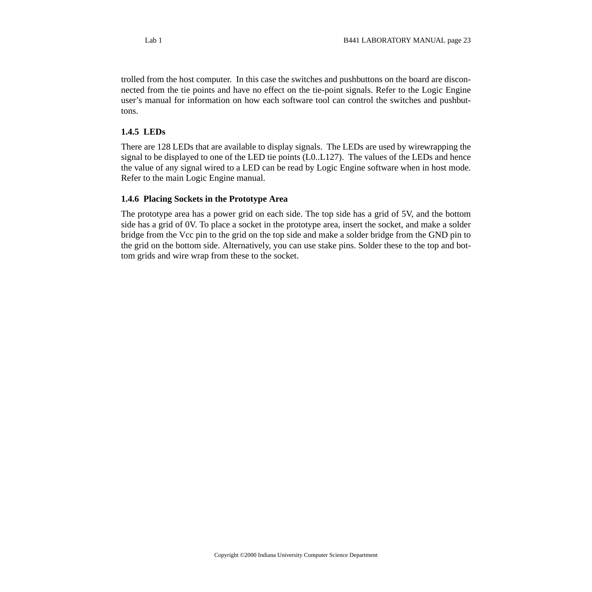trolled from the host computer. In this case the switches and pushbuttons on the board are disconnected from the tie points and have no effect on the tie-point signals. Refer to the Logic Engine user's manual for information on how each software tool can control the switches and pushbuttons.

#### **1.4.5 LEDs**

There are 128 LEDs that are available to display signals. The LEDs are used by wirewrapping the signal to be displayed to one of the LED tie points (L0..L127). The values of the LEDs and hence the value of any signal wired to a LED can be read by Logic Engine software when in host mode. Refer to the main Logic Engine manual.

#### **1.4.6 Placing Sockets in the Prototype Area**

The prototype area has a power grid on each side. The top side has a grid of 5V, and the bottom side has a grid of 0V. To place a socket in the prototype area, insert the socket, and make a solder bridge from the Vcc pin to the grid on the top side and make a solder bridge from the GND pin to the grid on the bottom side. Alternatively, you can use stake pins. Solder these to the top and bottom grids and wire wrap from these to the socket.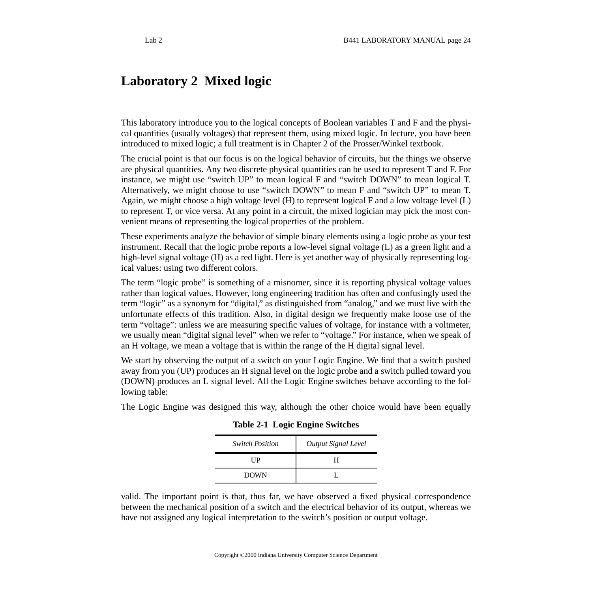# <span id="page-23-0"></span>**Laboratory 2 Mixed logic**

This laboratory introduce you to the logical concepts of Boolean variables T and F and the physical quantities (usually voltages) that represent them, using mixed logic. In lecture, you have been introduced to mixed logic; a full treatment is in Chapter 2 of the Prosser/Winkel textbook.

The crucial point is that our focus is on the logical behavior of circuits, but the things we observe are physical quantities. Any two discrete physical quantities can be used to represent T and F. For instance, we might use "switch UP" to mean logical F and "switch DOWN" to mean logical T. Alternatively, we might choose to use "switch DOWN" to mean F and "switch UP" to mean T. Again, we might choose a high voltage level (H) to represent logical F and a low voltage level (L) to represent T, or vice versa. At any point in a circuit, the mixed logician may pick the most convenient means of representing the logical properties of the problem.

These experiments analyze the behavior of simple binary elements using a logic probe as your test instrument. Recall that the logic probe reports a low-level signal voltage (L) as a green light and a high-level signal voltage (H) as a red light. Here is yet another way of physically representing logical values: using two different colors.

The term "logic probe" is something of a misnomer, since it is reporting physical voltage values rather than logical values. However, long engineering tradition has often and confusingly used the term "logic" as a synonym for "digital," as distinguished from "analog," and we must live with the unfortunate effects of this tradition. Also, in digital design we frequently make loose use of the term "voltage": unless we are measuring specific values of voltage, for instance with a voltmeter, we usually mean "digital signal level" when we refer to "voltage." For instance, when we speak of an H voltage, we mean a voltage that is within the range of the H digital signal level.

We start by observing the output of a switch on your Logic Engine. We find that a switch pushed away from you (UP) produces an H signal level on the logic probe and a switch pulled toward you (DOWN) produces an L signal level. All the Logic Engine switches behave according to the following table:

The Logic Engine was designed this way, although the other choice would have been equally

**Table 2-1 Logic Engine Switches**

| <b>Switch Position</b> | <b>Output Signal Level</b> |
|------------------------|----------------------------|
| UР                     | н                          |
| <b>DOWN</b>            |                            |

valid. The important point is that, thus far, we have observed a fixed physical correspondence between the mechanical position of a switch and the electrical behavior of its output, whereas we have not assigned any logical interpretation to the switch's position or output voltage.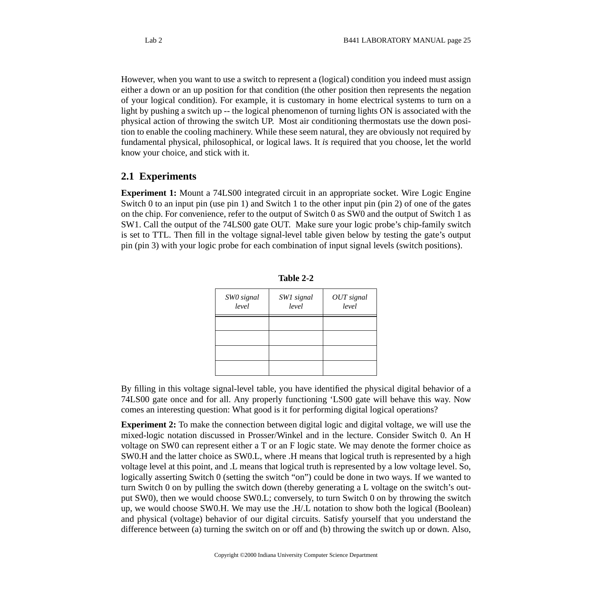However, when you want to use a switch to represent a (logical) condition you indeed must assign either a down or an up position for that condition (the other position then represents the negation of your logical condition). For example, it is customary in home electrical systems to turn on a light by pushing a switch up -- the logical phenomenon of turning lights ON is associated with the physical action of throwing the switch UP. Most air conditioning thermostats use the down position to enable the cooling machinery. While these seem natural, they are obviously not required by fundamental physical, philosophical, or logical laws. It *is* required that you choose, let the world know your choice, and stick with it.

#### <span id="page-24-0"></span>**2.1 Experiments**

**Experiment 1:** Mount a 74LS00 integrated circuit in an appropriate socket. Wire Logic Engine Switch 0 to an input pin (use pin 1) and Switch 1 to the other input pin (pin 2) of one of the gates on the chip. For convenience, refer to the output of Switch 0 as SW0 and the output of Switch 1 as SW1. Call the output of the 74LS00 gate OUT. Make sure your logic probe's chip-family switch is set to TTL. Then fill in the voltage signal-level table given below by testing the gate's output pin (pin 3) with your logic probe for each combination of input signal levels (switch positions).

| SWO signal<br>level | SW1 signal<br>level | OUT signal<br>level |
|---------------------|---------------------|---------------------|
|                     |                     |                     |
|                     |                     |                     |
|                     |                     |                     |

| <b>Table</b> |  |
|--------------|--|
|              |  |

By filling in this voltage signal-level table, you have identified the physical digital behavior of a 74LS00 gate once and for all. Any properly functioning 'LS00 gate will behave this way. Now comes an interesting question: What good is it for performing digital logical operations?

**Experiment 2:** To make the connection between digital logic and digital voltage, we will use the mixed-logic notation discussed in Prosser/Winkel and in the lecture. Consider Switch 0. An H voltage on SW0 can represent either a T or an F logic state. We may denote the former choice as SW0.H and the latter choice as SW0.L, where .H means that logical truth is represented by a high voltage level at this point, and .L means that logical truth is represented by a low voltage level. So, logically asserting Switch 0 (setting the switch "on") could be done in two ways. If we wanted to turn Switch 0 on by pulling the switch down (thereby generating a L voltage on the switch's output SW0), then we would choose SW0.L; conversely, to turn Switch 0 on by throwing the switch up, we would choose SW0.H. We may use the .H/.L notation to show both the logical (Boolean) and physical (voltage) behavior of our digital circuits. Satisfy yourself that you understand the difference between (a) turning the switch on or off and (b) throwing the switch up or down. Also,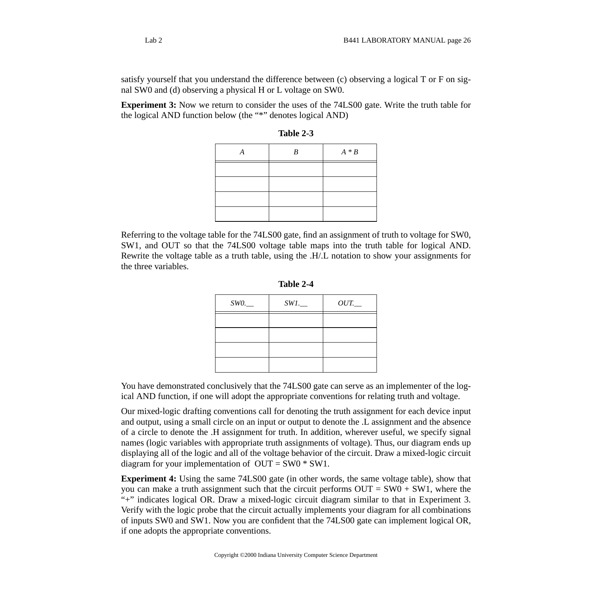satisfy yourself that you understand the difference between (c) observing a logical T or F on signal SW0 and (d) observing a physical H or L voltage on SW0.

**Experiment 3:** Now we return to consider the uses of the 74LS00 gate. Write the truth table for the logical AND function below (the "\*" denotes logical AND)

| R | $A * B$ |
|---|---------|
|   |         |
|   |         |
|   |         |
|   |         |

**Table 2-3**

Referring to the voltage table for the 74LS00 gate, find an assignment of truth to voltage for SW0, SW1, and OUT so that the 74LS00 voltage table maps into the truth table for logical AND. Rewrite the voltage table as a truth table, using the .H/.L notation to show your assignments for the three variables.

| Table 2 |  |
|---------|--|
|---------|--|

| SWO. | $SW1$ . | $OUT$ <sub>--</sub> |
|------|---------|---------------------|
|      |         |                     |
|      |         |                     |
|      |         |                     |
|      |         |                     |

You have demonstrated conclusively that the 74LS00 gate can serve as an implementer of the logical AND function, if one will adopt the appropriate conventions for relating truth and voltage.

Our mixed-logic drafting conventions call for denoting the truth assignment for each device input and output, using a small circle on an input or output to denote the .L assignment and the absence of a circle to denote the .H assignment for truth. In addition, wherever useful, we specify signal names (logic variables with appropriate truth assignments of voltage). Thus, our diagram ends up displaying all of the logic and all of the voltage behavior of the circuit. Draw a mixed-logic circuit diagram for your implementation of  $OUT = SW0 * SW1$ .

**Experiment 4:** Using the same 74LS00 gate (in other words, the same voltage table), show that you can make a truth assignment such that the circuit performs  $OUT = SW0 + SW1$ , where the "+" indicates logical OR. Draw a mixed-logic circuit diagram similar to that in Experiment 3. Verify with the logic probe that the circuit actually implements your diagram for all combinations of inputs SW0 and SW1. Now you are confident that the 74LS00 gate can implement logical OR, if one adopts the appropriate conventions.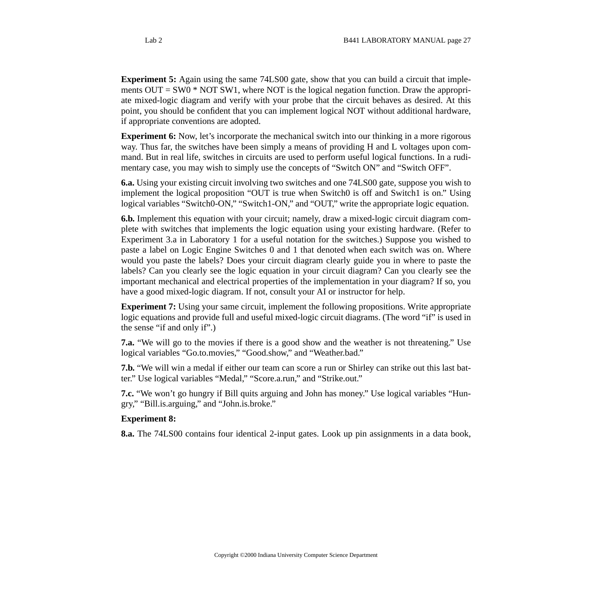**Experiment 5:** Again using the same 74LS00 gate, show that you can build a circuit that implements  $OUT = SW0 * NOT SW1$ , where NOT is the logical negation function. Draw the appropriate mixed-logic diagram and verify with your probe that the circuit behaves as desired. At this point, you should be confident that you can implement logical NOT without additional hardware, if appropriate conventions are adopted.

**Experiment 6:** Now, let's incorporate the mechanical switch into our thinking in a more rigorous way. Thus far, the switches have been simply a means of providing H and L voltages upon command. But in real life, switches in circuits are used to perform useful logical functions. In a rudimentary case, you may wish to simply use the concepts of "Switch ON" and "Switch OFF".

**6.a.** Using your existing circuit involving two switches and one 74LS00 gate, suppose you wish to implement the logical proposition "OUT is true when Switch0 is off and Switch1 is on." Using logical variables "Switch0-ON," "Switch1-ON," and "OUT," write the appropriate logic equation.

**6.b.** Implement this equation with your circuit; namely, draw a mixed-logic circuit diagram complete with switches that implements the logic equation using your existing hardware. (Refer to Experiment 3.a in Laboratory 1 for a useful notation for the switches.) Suppose you wished to paste a label on Logic Engine Switches 0 and 1 that denoted when each switch was on. Where would you paste the labels? Does your circuit diagram clearly guide you in where to paste the labels? Can you clearly see the logic equation in your circuit diagram? Can you clearly see the important mechanical and electrical properties of the implementation in your diagram? If so, you have a good mixed-logic diagram. If not, consult your AI or instructor for help.

**Experiment 7:** Using your same circuit, implement the following propositions. Write appropriate logic equations and provide full and useful mixed-logic circuit diagrams. (The word "if" is used in the sense "if and only if".)

**7.a.** "We will go to the movies if there is a good show and the weather is not threatening." Use logical variables "Go.to.movies," "Good.show," and "Weather.bad."

**7.b.** "We will win a medal if either our team can score a run or Shirley can strike out this last batter." Use logical variables "Medal," "Score.a.run," and "Strike.out."

**7.c.** "We won't go hungry if Bill quits arguing and John has money." Use logical variables "Hungry," "Bill.is.arguing," and "John.is.broke."

#### **Experiment 8:**

**8.a.** The 74LS00 contains four identical 2-input gates. Look up pin assignments in a data book,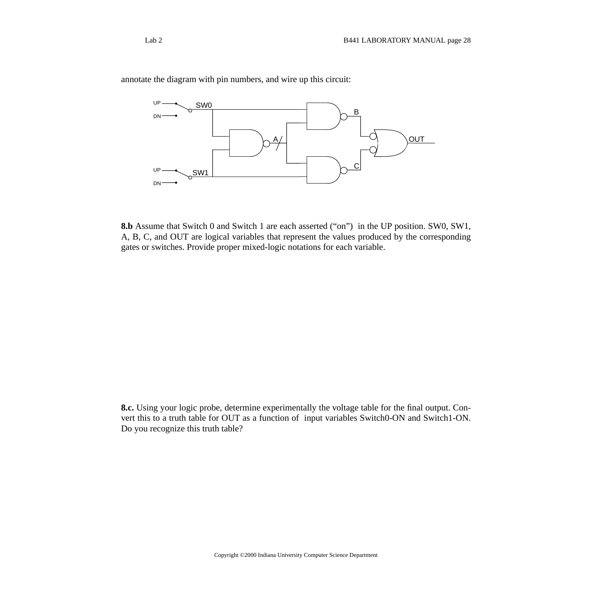

annotate the diagram with pin numbers, and wire up this circuit:

**8.b** Assume that Switch 0 and Switch 1 are each asserted ("on") in the UP position. SW0, SW1, A, B, C, and OUT are logical variables that represent the values produced by the corresponding gates or switches. Provide proper mixed-logic notations for each variable.

**8.c.** Using your logic probe, determine experimentally the voltage table for the final output. Convert this to a truth table for OUT as a function of input variables Switch0-ON and Switch1-ON. Do you recognize this truth table?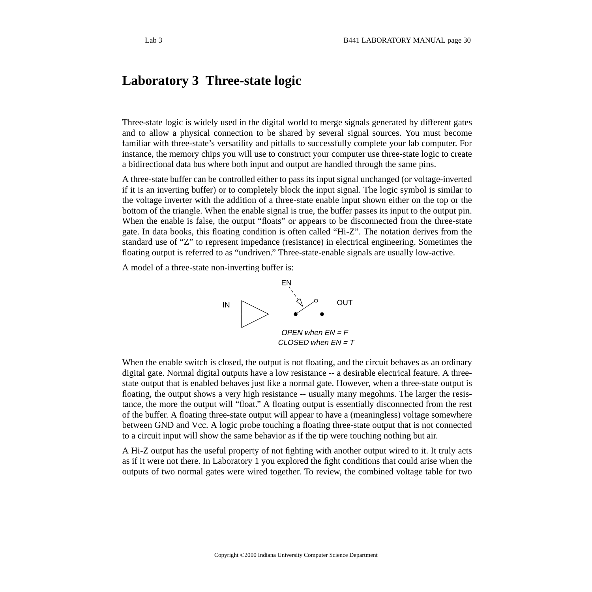## <span id="page-29-0"></span>**Laboratory 3 Three-state logic**

Three-state logic is widely used in the digital world to merge signals generated by different gates and to allow a physical connection to be shared by several signal sources. You must become familiar with three-state's versatility and pitfalls to successfully complete your lab computer. For instance, the memory chips you will use to construct your computer use three-state logic to create a bidirectional data bus where both input and output are handled through the same pins.

A three-state buffer can be controlled either to pass its input signal unchanged (or voltage-inverted if it is an inverting buffer) or to completely block the input signal. The logic symbol is similar to the voltage inverter with the addition of a three-state enable input shown either on the top or the bottom of the triangle. When the enable signal is true, the buffer passes its input to the output pin. When the enable is false, the output "floats" or appears to be disconnected from the three-state gate. In data books, this floating condition is often called "Hi-Z". The notation derives from the standard use of "Z" to represent impedance (resistance) in electrical engineering. Sometimes the floating output is referred to as "undriven." Three-state-enable signals are usually low-active.

A model of a three-state non-inverting buffer is:



When the enable switch is closed, the output is not floating, and the circuit behaves as an ordinary digital gate. Normal digital outputs have a low resistance -- a desirable electrical feature. A threestate output that is enabled behaves just like a normal gate. However, when a three-state output is floating, the output shows a very high resistance -- usually many megohms. The larger the resistance, the more the output will "float." A floating output is essentially disconnected from the rest of the buffer. A floating three-state output will appear to have a (meaningless) voltage somewhere between GND and Vcc. A logic probe touching a floating three-state output that is not connected to a circuit input will show the same behavior as if the tip were touching nothing but air.

A Hi-Z output has the useful property of not fighting with another output wired to it. It truly acts as if it were not there. In Laboratory 1 you explored the fight conditions that could arise when the outputs of two normal gates were wired together. To review, the combined voltage table for two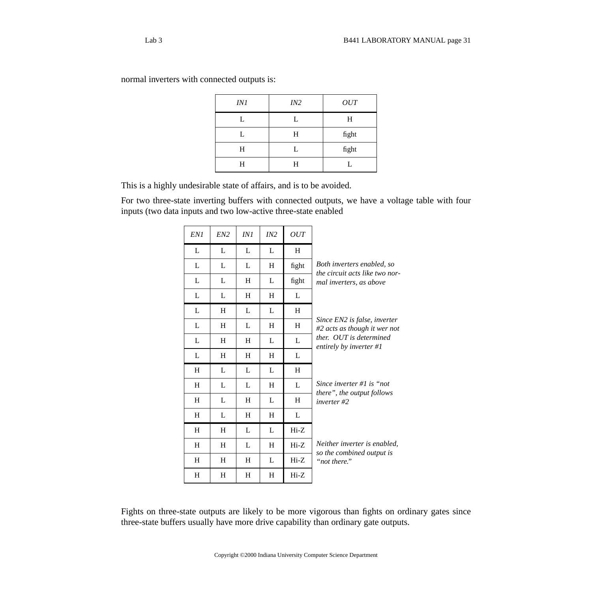| IN 1 | IN2 | OUT   |
|------|-----|-------|
| L    | L   | H     |
| L    | Н   | fight |
| Η    | L   | fight |
| H    | Η   |       |

normal inverters with connected outputs is:

This is a highly undesirable state of affairs, and is to be avoided.

For two three-state inverting buffers with connected outputs, we have a voltage table with four inputs (two data inputs and two low-active three-state enabled

| EN1 | EN2 | INI            | IN2 | <b>OUT</b> |                                                              |
|-----|-----|----------------|-----|------------|--------------------------------------------------------------|
| L   | L   | L              | L   | H          |                                                              |
| L   | L   | L              | H   | fight      | Both inverters enabled, so<br>the circuit acts like two nor- |
| L   | L   | H              | L   | fight      | mal inverters, as above                                      |
| L   | L   | H              | H   | L          |                                                              |
| L   | H   | L              | L   | H          |                                                              |
| L   | H   | L              | H   | H          | Since EN2 is false, inverter<br>#2 acts as though it wer not |
| L   | H   | H              | L   | L          | ther. OUT is determined<br>entirely by inverter #1           |
| L   | H   | H              | H   | L          |                                                              |
| H   | L   | L              | L   | H          |                                                              |
| H   | L   | L              | H   | L          | Since inverter #1 is "not"                                   |
| H   | L   | H              | L   | H          | there", the output follows<br>$inverse #2$                   |
| H   | L   | H              | H   | L          |                                                              |
| H   | H   | L              | L   | $Hi-Z$     |                                                              |
| H   | H   | $\mathbf{I}$ . | H   | $Hi-Z$     | Neither inverter is enabled,                                 |
| H   | H   | H              | L   | $Hi-Z$     | so the combined output is<br>"not there."                    |
| H   | H   | H              | H   | $Hi-Z$     |                                                              |

Fights on three-state outputs are likely to be more vigorous than fights on ordinary gates since three-state buffers usually have more drive capability than ordinary gate outputs.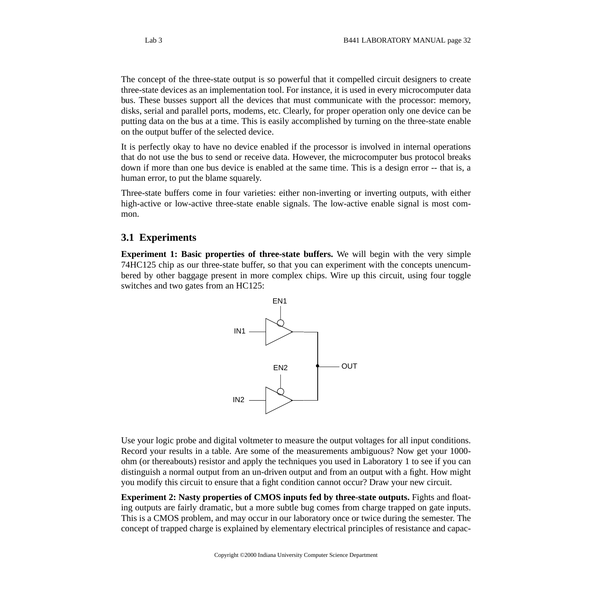The concept of the three-state output is so powerful that it compelled circuit designers to create three-state devices as an implementation tool. For instance, it is used in every microcomputer data bus. These busses support all the devices that must communicate with the processor: memory, disks, serial and parallel ports, modems, etc. Clearly, for proper operation only one device can be putting data on the bus at a time. This is easily accomplished by turning on the three-state enable on the output buffer of the selected device.

It is perfectly okay to have no device enabled if the processor is involved in internal operations that do not use the bus to send or receive data. However, the microcomputer bus protocol breaks down if more than one bus device is enabled at the same time. This is a design error -- that is, a human error, to put the blame squarely.

Three-state buffers come in four varieties: either non-inverting or inverting outputs, with either high-active or low-active three-state enable signals. The low-active enable signal is most common.

### <span id="page-31-0"></span>**3.1 Experiments**

**Experiment 1: Basic properties of three-state buffers.** We will begin with the very simple 74HC125 chip as our three-state buffer, so that you can experiment with the concepts unencumbered by other baggage present in more complex chips. Wire up this circuit, using four toggle switches and two gates from an HC125:



Use your logic probe and digital voltmeter to measure the output voltages for all input conditions. Record your results in a table. Are some of the measurements ambiguous? Now get your 1000 ohm (or thereabouts) resistor and apply the techniques you used in Laboratory 1 to see if you can distinguish a normal output from an un-driven output and from an output with a fight. How might you modify this circuit to ensure that a fight condition cannot occur? Draw your new circuit.

**Experiment 2: Nasty properties of CMOS inputs fed by three-state outputs.** Fights and floating outputs are fairly dramatic, but a more subtle bug comes from charge trapped on gate inputs. This is a CMOS problem, and may occur in our laboratory once or twice during the semester. The concept of trapped charge is explained by elementary electrical principles of resistance and capac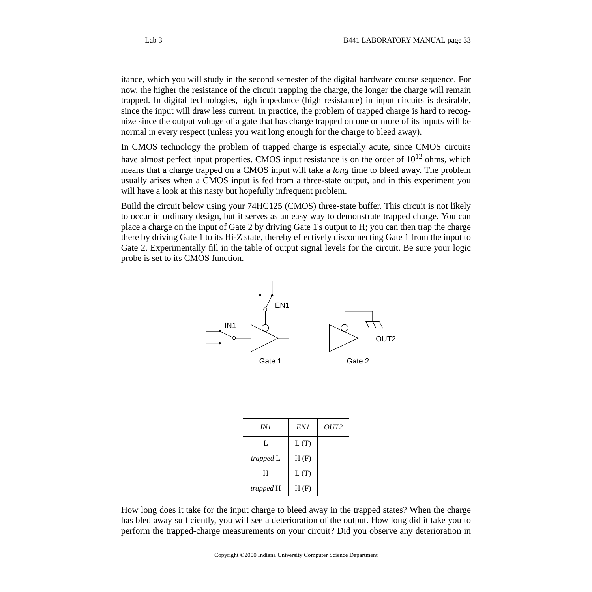itance, which you will study in the second semester of the digital hardware course sequence. For now, the higher the resistance of the circuit trapping the charge, the longer the charge will remain trapped. In digital technologies, high impedance (high resistance) in input circuits is desirable, since the input will draw less current. In practice, the problem of trapped charge is hard to recognize since the output voltage of a gate that has charge trapped on one or more of its inputs will be normal in every respect (unless you wait long enough for the charge to bleed away).

In CMOS technology the problem of trapped charge is especially acute, since CMOS circuits have almost perfect input properties. CMOS input resistance is on the order of  $10^{12}$  ohms, which means that a charge trapped on a CMOS input will take a *long* time to bleed away. The problem usually arises when a CMOS input is fed from a three-state output, and in this experiment you will have a look at this nasty but hopefully infrequent problem.

Build the circuit below using your 74HC125 (CMOS) three-state buffer. This circuit is not likely to occur in ordinary design, but it serves as an easy way to demonstrate trapped charge. You can place a charge on the input of Gate 2 by driving Gate 1's output to H; you can then trap the charge there by driving Gate 1 to its Hi-Z state, thereby effectively disconnecting Gate 1 from the input to Gate 2. Experimentally fill in the table of output signal levels for the circuit. Be sure your logic probe is set to its CMOS function.



| IN 1      | EN1  | OUT <sub>2</sub> |
|-----------|------|------------------|
| L         | L(T) |                  |
| trapped L | H(F) |                  |
| H         | L(T) |                  |
| trapped H | H(F) |                  |

How long does it take for the input charge to bleed away in the trapped states? When the charge has bled away sufficiently, you will see a deterioration of the output. How long did it take you to perform the trapped-charge measurements on your circuit? Did you observe any deterioration in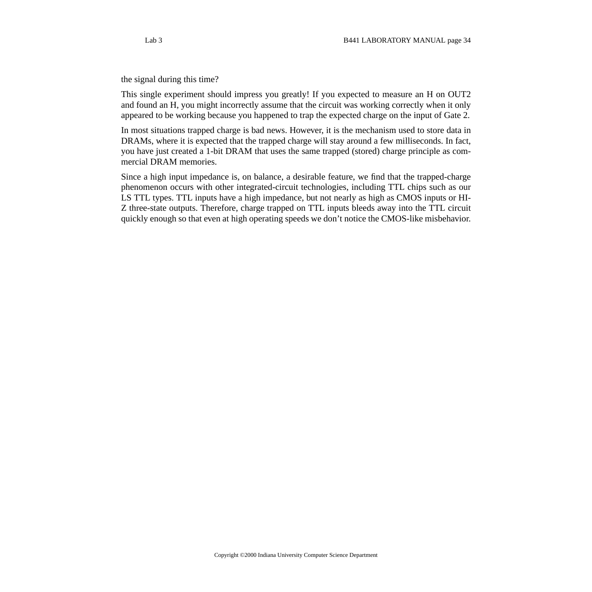the signal during this time?

This single experiment should impress you greatly! If you expected to measure an H on OUT2 and found an H, you might incorrectly assume that the circuit was working correctly when it only appeared to be working because you happened to trap the expected charge on the input of Gate 2.

In most situations trapped charge is bad news. However, it is the mechanism used to store data in DRAMs, where it is expected that the trapped charge will stay around a few milliseconds. In fact, you have just created a 1-bit DRAM that uses the same trapped (stored) charge principle as commercial DRAM memories.

Since a high input impedance is, on balance, a desirable feature, we find that the trapped-charge phenomenon occurs with other integrated-circuit technologies, including TTL chips such as our LS TTL types. TTL inputs have a high impedance, but not nearly as high as CMOS inputs or HI-Z three-state outputs. Therefore, charge trapped on TTL inputs bleeds away into the TTL circuit quickly enough so that even at high operating speeds we don't notice the CMOS-like misbehavior.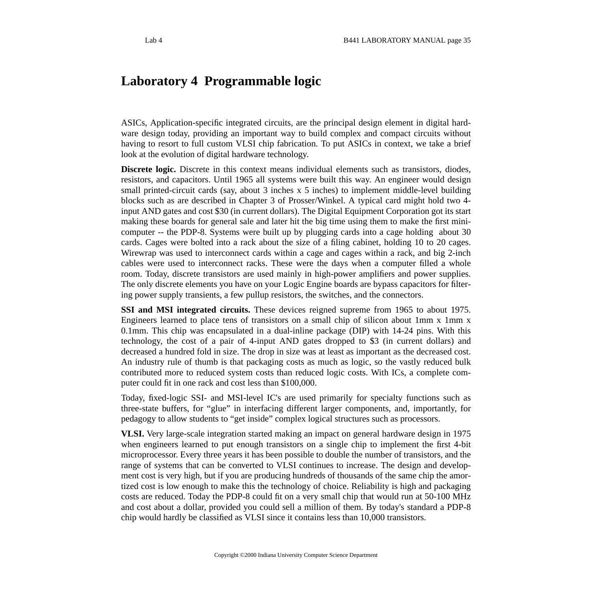# <span id="page-34-0"></span>**Laboratory 4 Programmable logic**

ASICs, Application-specific integrated circuits, are the principal design element in digital hardware design today, providing an important way to build complex and compact circuits without having to resort to full custom VLSI chip fabrication. To put ASICs in context, we take a brief look at the evolution of digital hardware technology.

**Discrete logic.** Discrete in this context means individual elements such as transistors, diodes, resistors, and capacitors. Until 1965 all systems were built this way. An engineer would design small printed-circuit cards (say, about 3 inches x 5 inches) to implement middle-level building blocks such as are described in Chapter 3 of Prosser/Winkel. A typical card might hold two 4 input AND gates and cost \$30 (in current dollars). The Digital Equipment Corporation got its start making these boards for general sale and later hit the big time using them to make the first minicomputer -- the PDP-8. Systems were built up by plugging cards into a cage holding about 30 cards. Cages were bolted into a rack about the size of a filing cabinet, holding 10 to 20 cages. Wirewrap was used to interconnect cards within a cage and cages within a rack, and big 2-inch cables were used to interconnect racks. These were the days when a computer filled a whole room. Today, discrete transistors are used mainly in high-power amplifiers and power supplies. The only discrete elements you have on your Logic Engine boards are bypass capacitors for filtering power supply transients, a few pullup resistors, the switches, and the connectors.

**SSI and MSI integrated circuits.** These devices reigned supreme from 1965 to about 1975. Engineers learned to place tens of transistors on a small chip of silicon about 1mm x 1mm x 0.1mm. This chip was encapsulated in a dual-inline package (DIP) with 14-24 pins. With this technology, the cost of a pair of 4-input AND gates dropped to \$3 (in current dollars) and decreased a hundred fold in size. The drop in size was at least as important as the decreased cost. An industry rule of thumb is that packaging costs as much as logic, so the vastly reduced bulk contributed more to reduced system costs than reduced logic costs. With ICs, a complete computer could fit in one rack and cost less than \$100,000.

Today, fixed-logic SSI- and MSI-level IC's are used primarily for specialty functions such as three-state buffers, for "glue" in interfacing different larger components, and, importantly, for pedagogy to allow students to "get inside" complex logical structures such as processors.

**VLSI.** Very large-scale integration started making an impact on general hardware design in 1975 when engineers learned to put enough transistors on a single chip to implement the first 4-bit microprocessor. Every three years it has been possible to double the number of transistors, and the range of systems that can be converted to VLSI continues to increase. The design and development cost is very high, but if you are producing hundreds of thousands of the same chip the amortized cost is low enough to make this the technology of choice. Reliability is high and packaging costs are reduced. Today the PDP-8 could fit on a very small chip that would run at 50-100 MHz and cost about a dollar, provided you could sell a million of them. By today's standard a PDP-8 chip would hardly be classified as VLSI since it contains less than 10,000 transistors.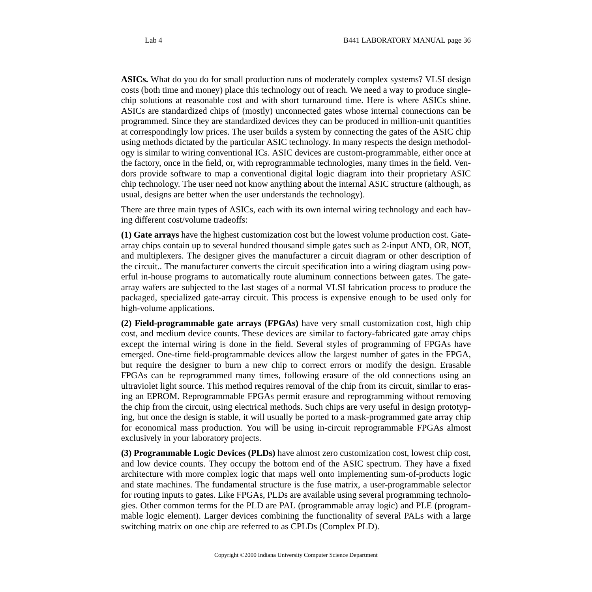**ASICs.** What do you do for small production runs of moderately complex systems? VLSI design costs (both time and money) place this technology out of reach. We need a way to produce singlechip solutions at reasonable cost and with short turnaround time. Here is where ASICs shine. ASICs are standardized chips of (mostly) unconnected gates whose internal connections can be programmed. Since they are standardized devices they can be produced in million-unit quantities at correspondingly low prices. The user builds a system by connecting the gates of the ASIC chip using methods dictated by the particular ASIC technology. In many respects the design methodology is similar to wiring conventional ICs. ASIC devices are custom-programmable, either once at the factory, once in the field, or, with reprogrammable technologies, many times in the field. Vendors provide software to map a conventional digital logic diagram into their proprietary ASIC chip technology. The user need not know anything about the internal ASIC structure (although, as usual, designs are better when the user understands the technology).

There are three main types of ASICs, each with its own internal wiring technology and each having different cost/volume tradeoffs:

**(1) Gate arrays** have the highest customization cost but the lowest volume production cost. Gatearray chips contain up to several hundred thousand simple gates such as 2-input AND, OR, NOT, and multiplexers. The designer gives the manufacturer a circuit diagram or other description of the circuit.. The manufacturer converts the circuit specification into a wiring diagram using powerful in-house programs to automatically route aluminum connections between gates. The gatearray wafers are subjected to the last stages of a normal VLSI fabrication process to produce the packaged, specialized gate-array circuit. This process is expensive enough to be used only for high-volume applications.

**(2) Field-programmable gate arrays (FPGAs)** have very small customization cost, high chip cost, and medium device counts. These devices are similar to factory-fabricated gate array chips except the internal wiring is done in the field. Several styles of programming of FPGAs have emerged. One-time field-programmable devices allow the largest number of gates in the FPGA, but require the designer to burn a new chip to correct errors or modify the design. Erasable FPGAs can be reprogrammed many times, following erasure of the old connections using an ultraviolet light source. This method requires removal of the chip from its circuit, similar to erasing an EPROM. Reprogrammable FPGAs permit erasure and reprogramming without removing the chip from the circuit, using electrical methods. Such chips are very useful in design prototyping, but once the design is stable, it will usually be ported to a mask-programmed gate array chip for economical mass production. You will be using in-circuit reprogrammable FPGAs almost exclusively in your laboratory projects.

**(3) Programmable Logic Devices (PLDs)** have almost zero customization cost, lowest chip cost, and low device counts. They occupy the bottom end of the ASIC spectrum. They have a fixed architecture with more complex logic that maps well onto implementing sum-of-products logic and state machines. The fundamental structure is the fuse matrix, a user-programmable selector for routing inputs to gates. Like FPGAs, PLDs are available using several programming technologies. Other common terms for the PLD are PAL (programmable array logic) and PLE (programmable logic element). Larger devices combining the functionality of several PALs with a large switching matrix on one chip are referred to as CPLDs (Complex PLD).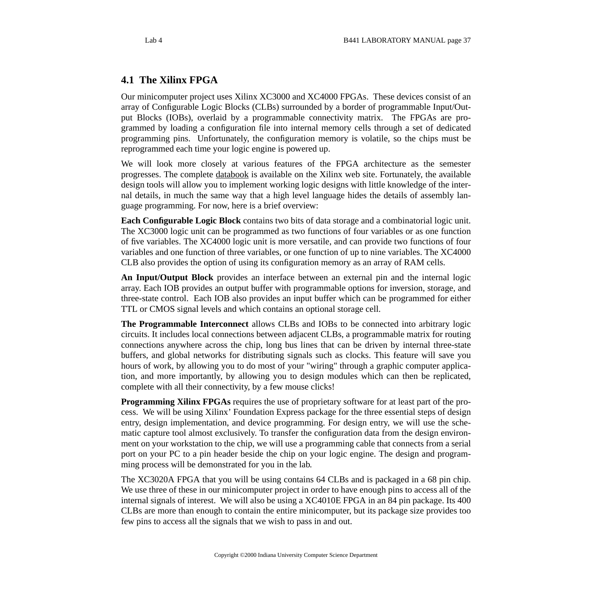# **4.1 The Xilinx FPGA**

Our minicomputer project uses Xilinx XC3000 and XC4000 FPGAs. These devices consist of an array of Configurable Logic Blocks (CLBs) surrounded by a border of programmable Input/Output Blocks (IOBs), overlaid by a programmable connectivity matrix. The FPGAs are programmed by loading a configuration file into internal memory cells through a set of dedicated programming pins. Unfortunately, the configuration memory is volatile, so the chips must be reprogrammed each time your logic engine is powered up.

We will look more closely at various features of the FPGA architecture as the semester progresses. The complete [databook](http://www.xilinx.com/partinfo/databook.htm) is available on the Xilinx web site. Fortunately, the available design tools will allow you to implement working logic designs with little knowledge of the internal details, in much the same way that a high level language hides the details of assembly language programming. For now, here is a brief overview:

**Each Configurable Logic Block** contains two bits of data storage and a combinatorial logic unit. The XC3000 logic unit can be programmed as two functions of four variables or as one function of five variables. The XC4000 logic unit is more versatile, and can provide two functions of four variables and one function of three variables, or one function of up to nine variables. The XC4000 CLB also provides the option of using its configuration memory as an array of RAM cells.

**An Input/Output Block** provides an interface between an external pin and the internal logic array. Each IOB provides an output buffer with programmable options for inversion, storage, and three-state control. Each IOB also provides an input buffer which can be programmed for either TTL or CMOS signal levels and which contains an optional storage cell.

**The Programmable Interconnect** allows CLBs and IOBs to be connected into arbitrary logic circuits. It includes local connections between adjacent CLBs, a programmable matrix for routing connections anywhere across the chip, long bus lines that can be driven by internal three-state buffers, and global networks for distributing signals such as clocks. This feature will save you hours of work, by allowing you to do most of your "wiring" through a graphic computer application, and more importantly, by allowing you to design modules which can then be replicated, complete with all their connectivity, by a few mouse clicks!

**Programming Xilinx FPGAs** requires the use of proprietary software for at least part of the process. We will be using Xilinx' Foundation Express package for the three essential steps of design entry, design implementation, and device programming. For design entry, we will use the schematic capture tool almost exclusively. To transfer the configuration data from the design environment on your workstation to the chip, we will use a programming cable that connects from a serial port on your PC to a pin header beside the chip on your logic engine. The design and programming process will be demonstrated for you in the lab.

The XC3020A FPGA that you will be using contains 64 CLBs and is packaged in a 68 pin chip. We use three of these in our minicomputer project in order to have enough pins to access all of the internal signals of interest. We will also be using a XC4010E FPGA in an 84 pin package. Its 400 CLBs are more than enough to contain the entire minicomputer, but its package size provides too few pins to access all the signals that we wish to pass in and out.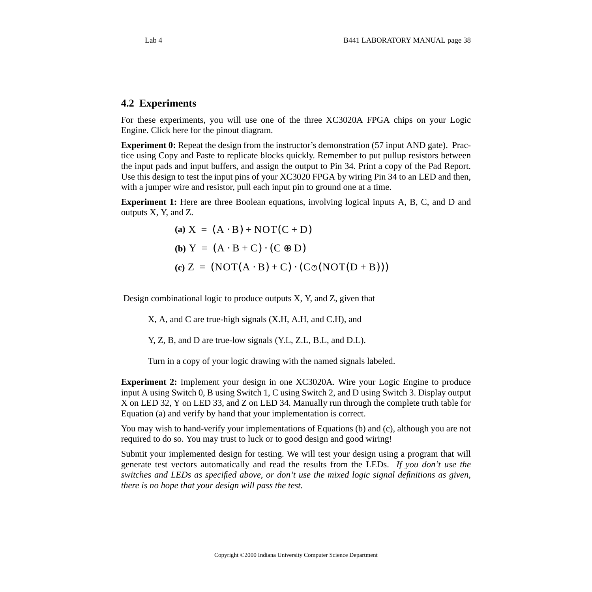### **4.2 Experiments**

For these experiments, you will use one of the three XC3020A FPGA chips on your Logic Engine. [Click here for the pinout diagram](http://www.cs.indiana.edu/classes/b441/lab/manual/XC3020.pdf).

**Experiment 0:** Repeat the design from the instructor's demonstration (57 input AND gate). Practice using Copy and Paste to replicate blocks quickly. Remember to put pullup resistors between the input pads and input buffers, and assign the output to Pin 34. Print a copy of the Pad Report. Use this design to test the input pins of your XC3020 FPGA by wiring Pin 34 to an LED and then, with a jumper wire and resistor, pull each input pin to ground one at a time.

**Experiment 1:** Here are three Boolean equations, involving logical inputs A, B, C, and D and outputs X, Y, and Z.

> $(a) X = (A \cdot B) + NOT(C + D)$ **(b)**  $Y = (A \cdot B + C) \cdot (C \oplus D)$  $(c) Z = (NOT(A \cdot B) + C) \cdot (C \odot (NOT(D + B)))$

Design combinational logic to produce outputs X, Y, and Z, given that

X, A, and C are true-high signals (X.H, A.H, and C.H), and

Y, Z, B, and D are true-low signals (Y.L, Z.L, B.L, and D.L).

Turn in a copy of your logic drawing with the named signals labeled.

**Experiment 2:** Implement your design in one XC3020A. Wire your Logic Engine to produce input A using Switch 0, B using Switch 1, C using Switch 2, and D using Switch 3. Display output X on LED 32, Y on LED 33, and Z on LED 34. Manually run through the complete truth table for Equation (a) and verify by hand that your implementation is correct.

You may wish to hand-verify your implementations of Equations (b) and (c), although you are not required to do so. You may trust to luck or to good design and good wiring!

Submit your implemented design for testing. We will test your design using a program that will generate test vectors automatically and read the results from the LEDs. *If you don't use the switches and LEDs as specified above, or don't use the mixed logic signal definitions as given, there is no hope that your design will pass the test.*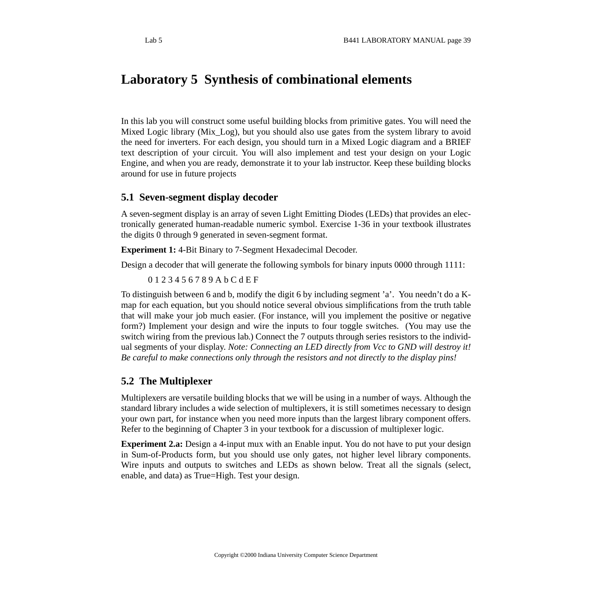# **Laboratory 5 Synthesis of combinational elements**

In this lab you will construct some useful building blocks from primitive gates. You will need the Mixed Logic library (Mix\_Log), but you should also use gates from the system library to avoid the need for inverters. For each design, you should turn in a Mixed Logic diagram and a BRIEF text description of your circuit. You will also implement and test your design on your Logic Engine, and when you are ready, demonstrate it to your lab instructor. Keep these building blocks around for use in future projects

### **5.1 Seven-segment display decoder**

A seven-segment display is an array of seven Light Emitting Diodes (LEDs) that provides an electronically generated human-readable numeric symbol. Exercise 1-36 in your textbook illustrates the digits 0 through 9 generated in seven-segment format.

**Experiment 1:** 4-Bit Binary to 7-Segment Hexadecimal Decoder.

Design a decoder that will generate the following symbols for binary inputs 0000 through 1111:

0 1 2 3 4 5 6 7 8 9 A b C d E F

To distinguish between 6 and b, modify the digit 6 by including segment 'a'. You needn't do a Kmap for each equation, but you should notice several obvious simplifications from the truth table that will make your job much easier. (For instance, will you implement the positive or negative form?) Implement your design and wire the inputs to four toggle switches. (You may use the switch wiring from the previous lab.) Connect the 7 outputs through series resistors to the individual segments of your display. *Note: Connecting an LED directly from Vcc to GND will destroy it! Be careful to make connections only through the resistors and not directly to the display pins!*

### **5.2 The Multiplexer**

Multiplexers are versatile building blocks that we will be using in a number of ways. Although the standard library includes a wide selection of multiplexers, it is still sometimes necessary to design your own part, for instance when you need more inputs than the largest library component offers. Refer to the beginning of Chapter 3 in your textbook for a discussion of multiplexer logic.

**Experiment 2.a:** Design a 4-input mux with an Enable input. You do not have to put your design in Sum-of-Products form, but you should use only gates, not higher level library components. Wire inputs and outputs to switches and LEDs as shown below. Treat all the signals (select, enable, and data) as True=High. Test your design.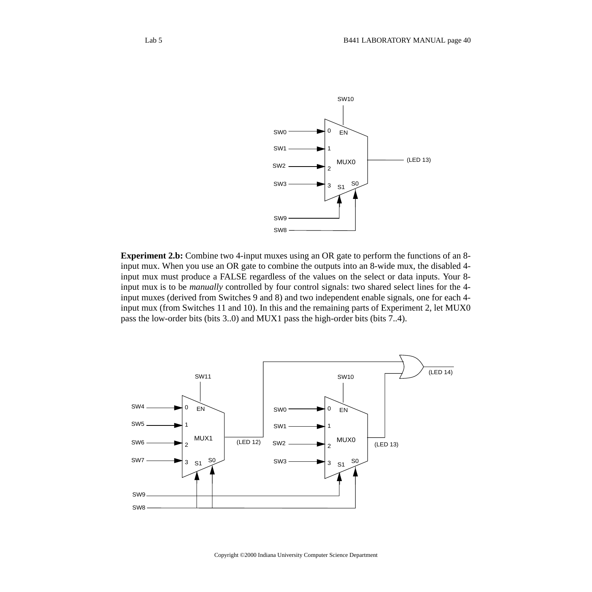

**Experiment 2.b:** Combine two 4-input muxes using an OR gate to perform the functions of an 8 input mux. When you use an OR gate to combine the outputs into an 8-wide mux, the disabled 4 input mux must produce a FALSE regardless of the values on the select or data inputs. Your 8 input mux is to be *manually* controlled by four control signals: two shared select lines for the 4 input muxes (derived from Switches 9 and 8) and two independent enable signals, one for each 4 input mux (from Switches 11 and 10). In this and the remaining parts of Experiment 2, let MUX0 pass the low-order bits (bits 3..0) and MUX1 pass the high-order bits (bits 7..4).

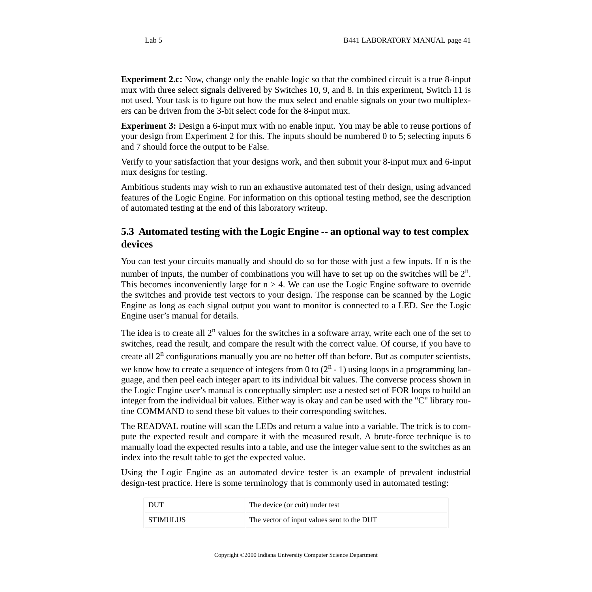**Experiment 3:** Design a 6-input mux with no enable input. You may be able to reuse portions of your design from Experiment 2 for this. The inputs should be numbered 0 to 5; selecting inputs 6 and 7 should force the output to be False.

Verify to your satisfaction that your designs work, and then submit your 8-input mux and 6-input mux designs for testing.

Ambitious students may wish to run an exhaustive automated test of their design, using advanced features of the Logic Engine. For information on this optional testing method, see the description of automated testing at the end of this laboratory writeup.

## **5.3 Automated testing with the Logic Engine -- an optional way to test complex devices**

You can test your circuits manually and should do so for those with just a few inputs. If n is the number of inputs, the number of combinations you will have to set up on the switches will be  $2^n$ . This becomes inconveniently large for  $n > 4$ . We can use the Logic Engine software to override the switches and provide test vectors to your design. The response can be scanned by the Logic Engine as long as each signal output you want to monitor is connected to a LED. See the Logic Engine user's manual for details.

The idea is to create all  $2^n$  values for the switches in a software array, write each one of the set to switches, read the result, and compare the result with the correct value. Of course, if you have to create all  $2^n$  configurations manually you are no better off than before. But as computer scientists, we know how to create a sequence of integers from 0 to  $(2^n - 1)$  using loops in a programming language, and then peel each integer apart to its individual bit values. The converse process shown in the Logic Engine user's manual is conceptually simpler: use a nested set of FOR loops to build an integer from the individual bit values. Either way is okay and can be used with the "C" library routine COMMAND to send these bit values to their corresponding switches.

The READVAL routine will scan the LEDs and return a value into a variable. The trick is to compute the expected result and compare it with the measured result. A brute-force technique is to manually load the expected results into a table, and use the integer value sent to the switches as an index into the result table to get the expected value.

Using the Logic Engine as an automated device tester is an example of prevalent industrial design-test practice. Here is some terminology that is commonly used in automated testing:

| DUT      | The device (or cuit) under test            |
|----------|--------------------------------------------|
| STIMULUS | The vector of input values sent to the DUT |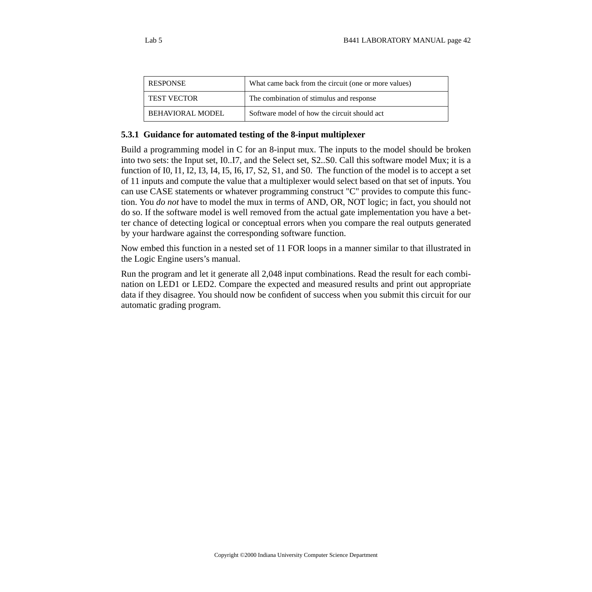| <b>RESPONSE</b>         | What came back from the circuit (one or more values) |
|-------------------------|------------------------------------------------------|
| <b>TEST VECTOR</b>      | The combination of stimulus and response             |
| <b>BEHAVIORAL MODEL</b> | Software model of how the circuit should act         |

#### **5.3.1 Guidance for automated testing of the 8-input multiplexer**

Build a programming model in C for an 8-input mux. The inputs to the model should be broken into two sets: the Input set, I0..I7, and the Select set, S2..S0. Call this software model Mux; it is a function of I0, I1, I2, I3, I4, I5, I6, I7, S2, S1, and S0. The function of the model is to accept a set of 11 inputs and compute the value that a multiplexer would select based on that set of inputs. You can use CASE statements or whatever programming construct "C" provides to compute this function. You *do not* have to model the mux in terms of AND, OR, NOT logic; in fact, you should not do so. If the software model is well removed from the actual gate implementation you have a better chance of detecting logical or conceptual errors when you compare the real outputs generated by your hardware against the corresponding software function.

Now embed this function in a nested set of 11 FOR loops in a manner similar to that illustrated in the Logic Engine users's manual.

Run the program and let it generate all 2,048 input combinations. Read the result for each combination on LED1 or LED2. Compare the expected and measured results and print out appropriate data if they disagree. You should now be confident of success when you submit this circuit for our automatic grading program.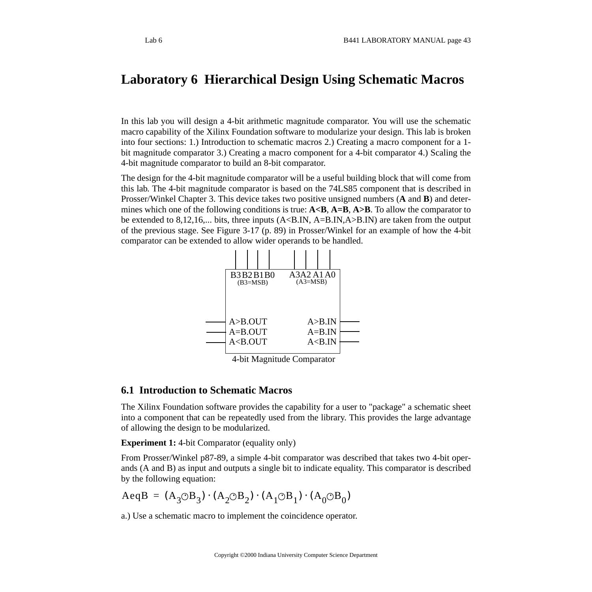# **Laboratory 6 Hierarchical Design Using Schematic Macros**

In this lab you will design a 4-bit arithmetic magnitude comparator. You will use the schematic macro capability of the Xilinx Foundation software to modularize your design. This lab is broken into four sections: 1.) Introduction to schematic macros 2.) Creating a macro component for a 1 bit magnitude comparator 3.) Creating a macro component for a 4-bit comparator 4.) Scaling the 4-bit magnitude comparator to build an 8-bit comparator.

The design for the 4-bit magnitude comparator will be a useful building block that will come from this lab. The 4-bit magnitude comparator is based on the 74LS85 component that is described in Prosser/Winkel Chapter 3. This device takes two positive unsigned numbers (**A** and **B**) and determines which one of the following conditions is true: **A<B**, **A=B**, **A>B**. To allow the comparator to be extended to 8,12,16,... bits, three inputs  $(A\triangle B.IN, A=B.IN, A>B.IN)$  are taken from the output of the previous stage. See Figure 3-17 (p. 89) in Prosser/Winkel for an example of how the 4-bit comparator can be extended to allow wider operands to be handled.



4-bit Magnitude Comparator

## **6.1 Introduction to Schematic Macros**

The Xilinx Foundation software provides the capability for a user to "package" a schematic sheet into a component that can be repeatedly used from the library. This provides the large advantage of allowing the design to be modularized.

**Experiment 1:** 4-bit Comparator (equality only)

From Prosser/Winkel p87-89, a simple 4-bit comparator was described that takes two 4-bit operands (A and B) as input and outputs a single bit to indicate equality. This comparator is described by the following equation:

$$
AeqB = (A3 \odot B3) \cdot (A2 \odot B2) \cdot (A1 \odot B1) \cdot (A0 \odot B0)
$$

a.) Use a schematic macro to implement the coincidence operator.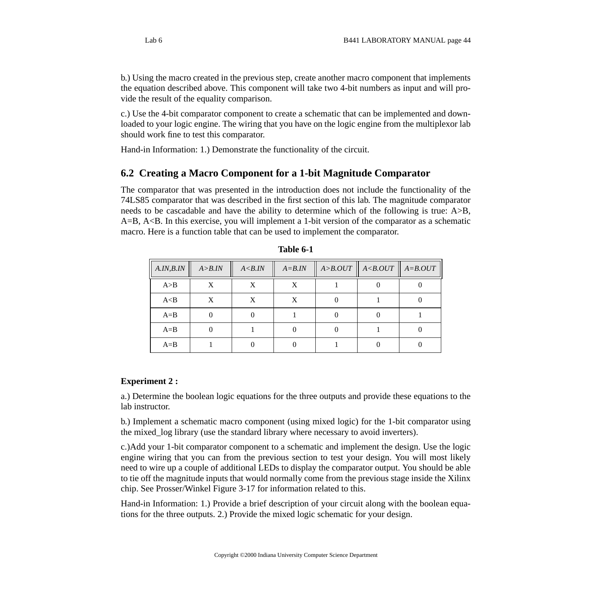b.) Using the macro created in the previous step, create another macro component that implements the equation described above. This component will take two 4-bit numbers as input and will provide the result of the equality comparison.

c.) Use the 4-bit comparator component to create a schematic that can be implemented and downloaded to your logic engine. The wiring that you have on the logic engine from the multiplexor lab should work fine to test this comparator.

Hand-in Information: 1.) Demonstrate the functionality of the circuit.

## **6.2 Creating a Macro Component for a 1-bit Magnitude Comparator**

The comparator that was presented in the introduction does not include the functionality of the 74LS85 comparator that was described in the first section of this lab. The magnitude comparator needs to be cascadable and have the ability to determine which of the following is true: A>B,  $A=B, A In this exercise, you will implement a 1-bit version of the comparator as a schematic$ macro. Here is a function table that can be used to implement the comparator.

| A.IN,B.IN | A > B. IN | A < B. IN | $A = B$ . <i>IN</i> | $A > B. OUT \parallel A < B. OUT$ | $\ $ A=B.OUT |
|-----------|-----------|-----------|---------------------|-----------------------------------|--------------|
| A>B       | X         |           | X                   |                                   |              |
| A < B     |           | X         | X                   |                                   |              |
| $A = B$   |           |           |                     |                                   |              |
| $A = B$   |           |           |                     |                                   |              |
| $A=B$     |           |           |                     |                                   |              |

| Table 6- |  |
|----------|--|
|----------|--|

#### **Experiment 2 :**

a.) Determine the boolean logic equations for the three outputs and provide these equations to the lab instructor.

b.) Implement a schematic macro component (using mixed logic) for the 1-bit comparator using the mixed\_log library (use the standard library where necessary to avoid inverters).

c.)Add your 1-bit comparator component to a schematic and implement the design. Use the logic engine wiring that you can from the previous section to test your design. You will most likely need to wire up a couple of additional LEDs to display the comparator output. You should be able to tie off the magnitude inputs that would normally come from the previous stage inside the Xilinx chip. See Prosser/Winkel Figure 3-17 for information related to this.

Hand-in Information: 1.) Provide a brief description of your circuit along with the boolean equations for the three outputs. 2.) Provide the mixed logic schematic for your design.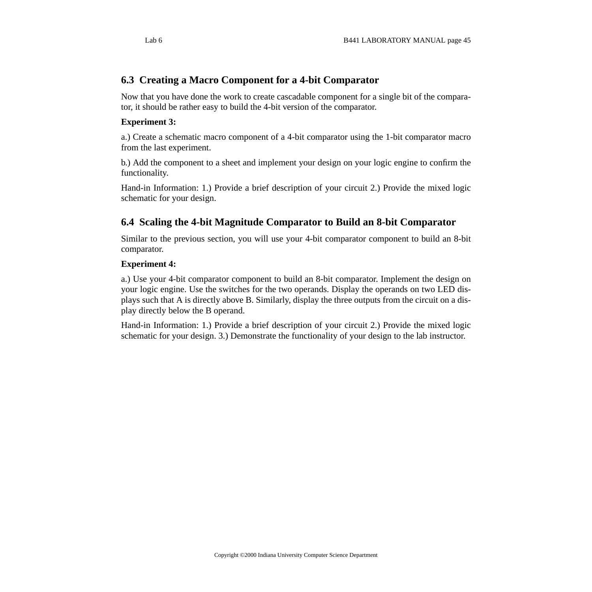## **6.3 Creating a Macro Component for a 4-bit Comparator**

Now that you have done the work to create cascadable component for a single bit of the comparator, it should be rather easy to build the 4-bit version of the comparator.

### **Experiment 3:**

a.) Create a schematic macro component of a 4-bit comparator using the 1-bit comparator macro from the last experiment.

b.) Add the component to a sheet and implement your design on your logic engine to confirm the functionality.

Hand-in Information: 1.) Provide a brief description of your circuit 2.) Provide the mixed logic schematic for your design.

## **6.4 Scaling the 4-bit Magnitude Comparator to Build an 8-bit Comparator**

Similar to the previous section, you will use your 4-bit comparator component to build an 8-bit comparator.

### **Experiment 4:**

a.) Use your 4-bit comparator component to build an 8-bit comparator. Implement the design on your logic engine. Use the switches for the two operands. Display the operands on two LED displays such that A is directly above B. Similarly, display the three outputs from the circuit on a display directly below the B operand.

Hand-in Information: 1.) Provide a brief description of your circuit 2.) Provide the mixed logic schematic for your design. 3.) Demonstrate the functionality of your design to the lab instructor.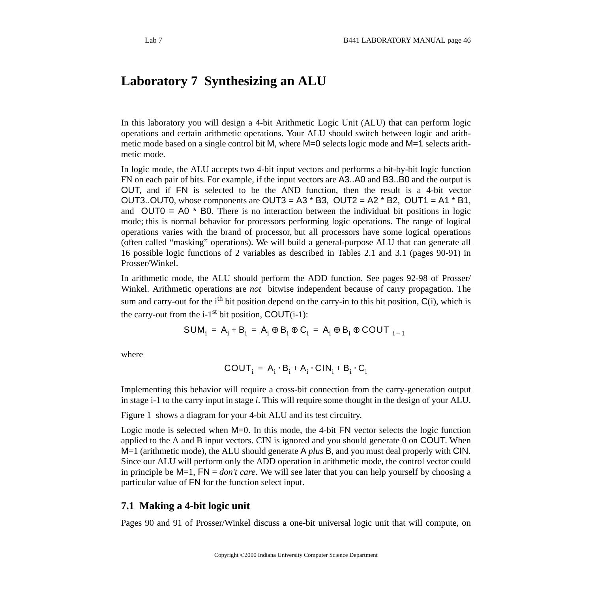# **Laboratory 7 Synthesizing an ALU**

In this laboratory you will design a 4-bit Arithmetic Logic Unit (ALU) that can perform logic operations and certain arithmetic operations. Your ALU should switch between logic and arithmetic mode based on a single control bit M, where M=0 selects logic mode and M=1 selects arithmetic mode.

In logic mode, the ALU accepts two 4-bit input vectors and performs a bit-by-bit logic function FN on each pair of bits. For example, if the input vectors are A3..A0 and B3..B0 and the output is OUT, and if FN is selected to be the AND function, then the result is a 4-bit vector OUT3..OUT0, whose components are OUT3 = A3  $*$  B3, OUT2 = A2  $*$  B2, OUT1 = A1  $*$  B1, and  $OUT0 = AO * BO$ . There is no interaction between the individual bit positions in logic mode; this is normal behavior for processors performing logic operations. The range of logical operations varies with the brand of processor, but all processors have some logical operations (often called "masking" operations). We will build a general-purpose ALU that can generate all 16 possible logic functions of 2 variables as described in Tables 2.1 and 3.1 (pages 90-91) in Prosser/Winkel.

In arithmetic mode, the ALU should perform the ADD function. See pages 92-98 of Prosser/ Winkel. Arithmetic operations are *not* bitwise independent because of carry propagation. The sum and carry-out for the  $i<sup>th</sup>$  bit position depend on the carry-in to this bit position,  $C(i)$ , which is the carry-out from the  $i-1$ <sup>st</sup> bit position, COUT $(i-1)$ :

$$
SUM_i = A_i + B_i = A_i \oplus B_i \oplus C_i = A_i \oplus B_i \oplus COUT_{\langle i-1 \rangle}
$$

where

$$
COUNT_i = A_i \cdot B_i + A_i \cdot CIN_i + B_i \cdot C_i
$$

Implementing this behavior will require a cross-bit connection from the carry-generation output in stage i-1 to the carry input in stage *i*. This will require some thought in the design of your ALU.

Figure 1 shows a diagram for your 4-bit ALU and its test circuitry.

Logic mode is selected when M=0. In this mode, the 4-bit FN vector selects the logic function applied to the A and B input vectors. CIN is ignored and you should generate 0 on COUT. When M=1 (arithmetic mode), the ALU should generate A *plus* B, and you must deal properly with CIN. Since our ALU will perform only the ADD operation in arithmetic mode, the control vector could in principle be M=1, FN = *don't care*. We will see later that you can help yourself by choosing a particular value of FN for the function select input.

#### **7.1 Making a 4-bit logic unit**

Pages 90 and 91 of Prosser/Winkel discuss a one-bit universal logic unit that will compute, on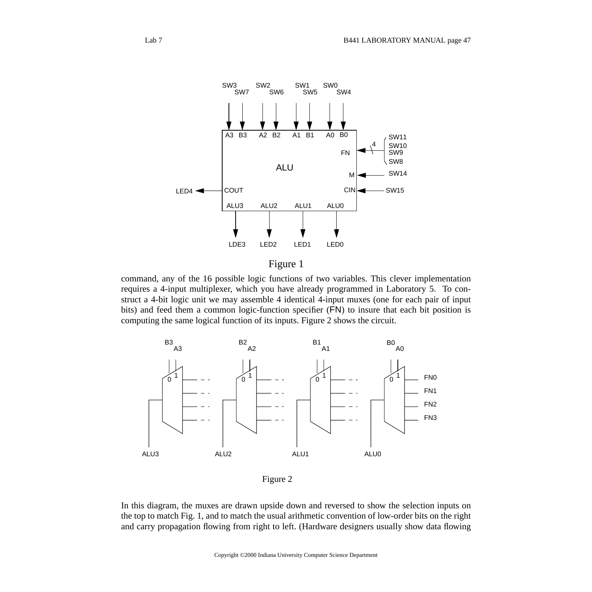

Figure 1

command, any of the 16 possible logic functions of two variables. This clever implementation requires a 4-input multiplexer, which you have already programmed in Laboratory 5. To construct a 4-bit logic unit we may assemble 4 identical 4-input muxes (one for each pair of input bits) and feed them a common logic-function specifier (FN) to insure that each bit position is computing the same logical function of its inputs. Figure 2 shows the circuit.



Figure 2

In this diagram, the muxes are drawn upside down and reversed to show the selection inputs on the top to match Fig. 1, and to match the usual arithmetic convention of low-order bits on the right and carry propagation flowing from right to left. (Hardware designers usually show data flowing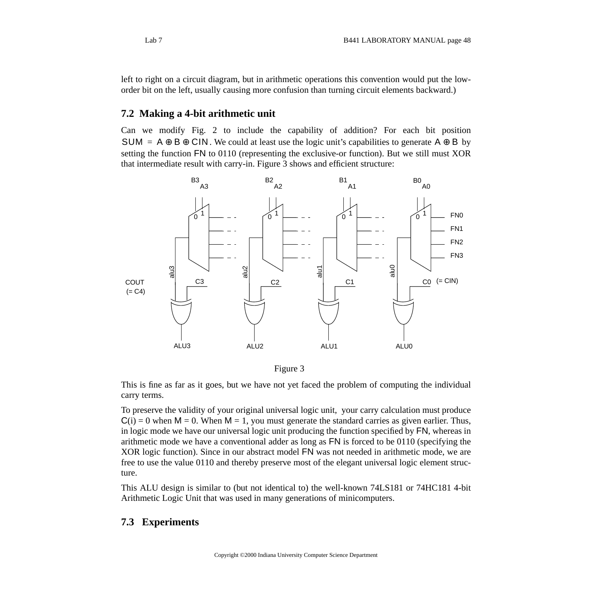left to right on a circuit diagram, but in arithmetic operations this convention would put the loworder bit on the left, usually causing more confusion than turning circuit elements backward.)

#### **7.2 Making a 4-bit arithmetic unit**

Can we modify Fig. 2 to include the capability of addition? For each bit position SUM =  $A \oplus B \oplus CIN$ . We could at least use the logic unit's capabilities to generate  $A \oplus B$  by setting the function FN to 0110 (representing the exclusive-or function). But we still must XOR that intermediate result with carry-in. Figure 3 shows and efficient structure:



Figure 3

This is fine as far as it goes, but we have not yet faced the problem of computing the individual carry terms.

To preserve the validity of your original universal logic unit, your carry calculation must produce  $C(i) = 0$  when  $M = 0$ . When  $M = 1$ , you must generate the standard carries as given earlier. Thus, in logic mode we have our universal logic unit producing the function specified by FN, whereas in arithmetic mode we have a conventional adder as long as FN is forced to be 0110 (specifying the XOR logic function). Since in our abstract model FN was not needed in arithmetic mode, we are free to use the value 0110 and thereby preserve most of the elegant universal logic element structure.

This ALU design is similar to (but not identical to) the well-known 74LS181 or 74HC181 4-bit Arithmetic Logic Unit that was used in many generations of minicomputers.

#### **7.3 Experiments**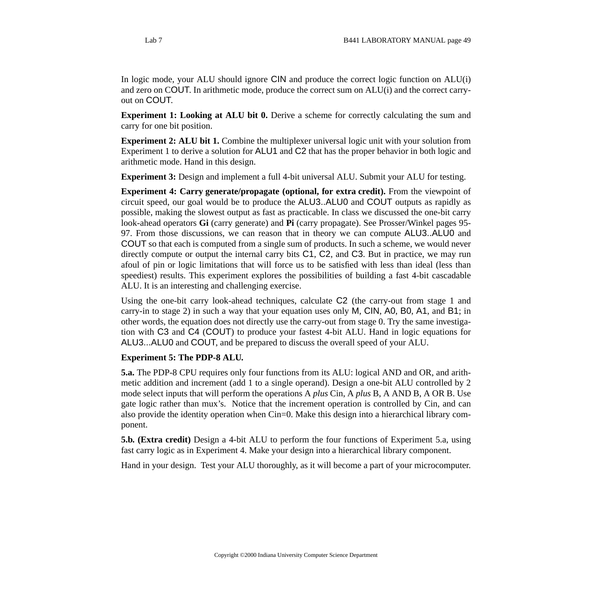In logic mode, your ALU should ignore CIN and produce the correct logic function on ALU(i) and zero on COUT. In arithmetic mode, produce the correct sum on ALU(i) and the correct carryout on COUT.

**Experiment 1: Looking at ALU bit 0.** Derive a scheme for correctly calculating the sum and carry for one bit position.

**Experiment 2: ALU bit 1.** Combine the multiplexer universal logic unit with your solution from Experiment 1 to derive a solution for ALU1 and C2 that has the proper behavior in both logic and arithmetic mode. Hand in this design.

**Experiment 3:** Design and implement a full 4-bit universal ALU. Submit your ALU for testing.

**Experiment 4: Carry generate/propagate (optional, for extra credit).** From the viewpoint of circuit speed, our goal would be to produce the ALU3..ALU0 and COUT outputs as rapidly as possible, making the slowest output as fast as practicable. In class we discussed the one-bit carry look-ahead operators **Gi** (carry generate) and **Pi** (carry propagate). See Prosser/Winkel pages 95- 97. From those discussions, we can reason that in theory we can compute ALU3..ALU0 and COUT so that each is computed from a single sum of products. In such a scheme, we would never directly compute or output the internal carry bits C1, C2, and C3. But in practice, we may run afoul of pin or logic limitations that will force us to be satisfied with less than ideal (less than speediest) results. This experiment explores the possibilities of building a fast 4-bit cascadable ALU. It is an interesting and challenging exercise.

Using the one-bit carry look-ahead techniques, calculate C2 (the carry-out from stage 1 and carry-in to stage 2) in such a way that your equation uses only M, CIN, A0, B0, A1, and B1; in other words, the equation does not directly use the carry-out from stage 0. Try the same investigation with C3 and C4 (COUT) to produce your fastest 4-bit ALU. Hand in logic equations for ALU3...ALU0 and COUT, and be prepared to discuss the overall speed of your ALU.

#### **Experiment 5: The PDP-8 ALU.**

**5.a.** The PDP-8 CPU requires only four functions from its ALU: logical AND and OR, and arithmetic addition and increment (add 1 to a single operand). Design a one-bit ALU controlled by 2 mode select inputs that will perform the operations A *plus* Cin, A *plus* B, A AND B, A OR B. Use gate logic rather than mux's. Notice that the increment operation is controlled by Cin, and can also provide the identity operation when Cin=0. Make this design into a hierarchical library component.

**5.b. (Extra credit)** Design a 4-bit ALU to perform the four functions of Experiment 5.a, using fast carry logic as in Experiment 4. Make your design into a hierarchical library component.

Hand in your design. Test your ALU thoroughly, as it will become a part of your microcomputer.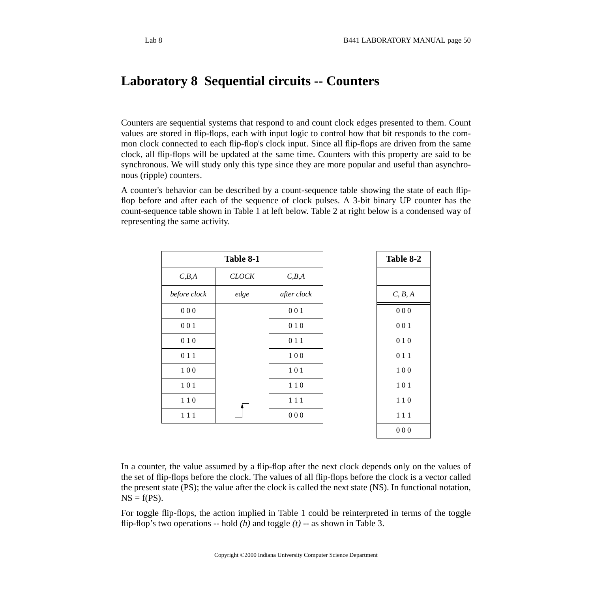# **Laboratory 8 Sequential circuits -- Counters**

Counters are sequential systems that respond to and count clock edges presented to them. Count values are stored in flip-flops, each with input logic to control how that bit responds to the common clock connected to each flip-flop's clock input. Since all flip-flops are driven from the same clock, all flip-flops will be updated at the same time. Counters with this property are said to be synchronous. We will study only this type since they are more popular and useful than asynchronous (ripple) counters.

A counter's behavior can be described by a count-sequence table showing the state of each flipflop before and after each of the sequence of clock pulses. A 3-bit binary UP counter has the count-sequence table shown in Table 1 at left below. Table 2 at right below is a condensed way of representing the same activity.

|              | Table 8-1    |             |  |  |
|--------------|--------------|-------------|--|--|
| C, B, A      | <b>CLOCK</b> | C, B, A     |  |  |
| before clock | edge         | after clock |  |  |
| 000          |              | 001         |  |  |
| 001          |              | 010         |  |  |
| 010          |              | 011         |  |  |
| 011          |              | 100         |  |  |
| 100          |              | 101         |  |  |
| 101          |              | 110         |  |  |
| 110          |              | $1\;1\;1$   |  |  |
| $1\;1\;1$    |              | $0\;0\;0$   |  |  |
|              |              |             |  |  |

In a counter, the value assumed by a flip-flop after the next clock depends only on the values of the set of flip-flops before the clock. The values of all flip-flops before the clock is a vector called the present state (PS); the value after the clock is called the next state (NS). In functional notation,  $NS = f(PS)$ .

For toggle flip-flops, the action implied in Table 1 could be reinterpreted in terms of the toggle flip-flop's two operations -- hold *(h)* and toggle *(t)* -- as shown in Table 3.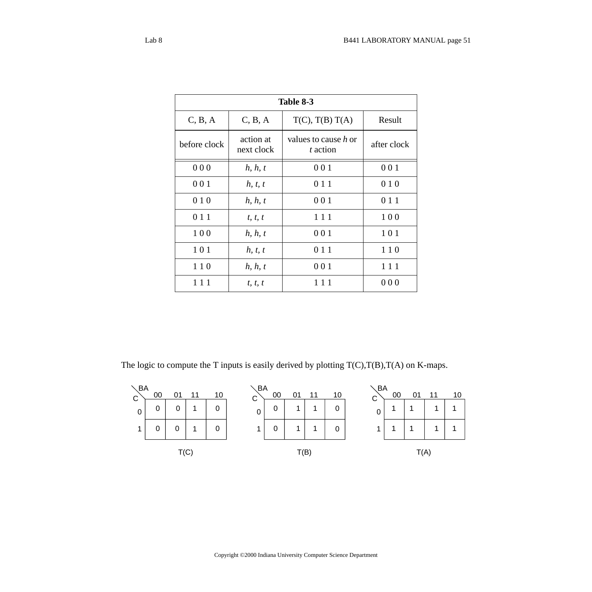| Table 8-3    |                         |                                  |             |
|--------------|-------------------------|----------------------------------|-------------|
| C, B, A      | C, B, A                 | $T(C)$ , $T(B) T(A)$             | Result      |
| before clock | action at<br>next clock | values to cause h or<br>t action | after clock |
| 000          | h, h, t                 | 001                              | 001         |
| 001          | h, t, t                 | 0 1 1                            | 010         |
| 010          | h, h, t                 | 001                              | 0 1 1       |
| 0 1 1        | t, t, t                 | 111                              | 100         |
| 100          | h, h, t                 | 001                              | 101         |
| 101          | h, t, t                 | 0 1 1                            | 110         |
| 110          | h, h, t                 | 001                              | 111         |
| 111          | t, t, t                 | 111                              | 000         |

The logic to compute the T inputs is easily derived by plotting  $T(C), T(B), T(A)$  on K-maps.

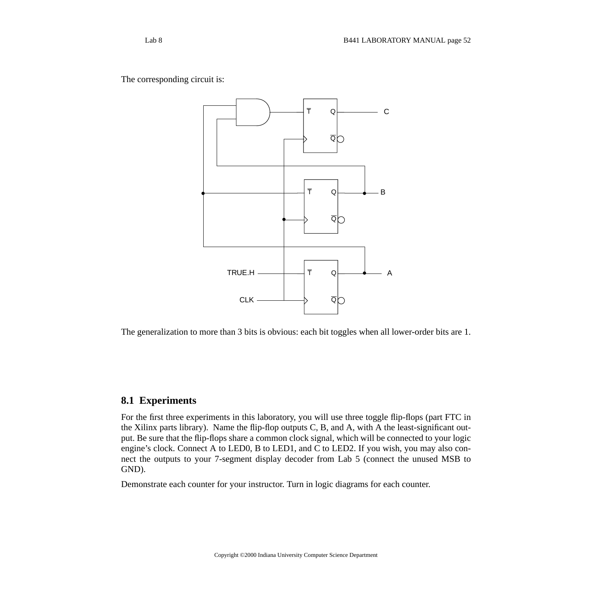The corresponding circuit is:



The generalization to more than 3 bits is obvious: each bit toggles when all lower-order bits are 1.

### **8.1 Experiments**

For the first three experiments in this laboratory, you will use three toggle flip-flops (part FTC in the Xilinx parts library). Name the flip-flop outputs C, B, and A, with A the least-significant output. Be sure that the flip-flops share a common clock signal, which will be connected to your logic engine's clock. Connect A to LED0, B to LED1, and C to LED2. If you wish, you may also connect the outputs to your 7-segment display decoder from Lab 5 (connect the unused MSB to GND).

Demonstrate each counter for your instructor. Turn in logic diagrams for each counter.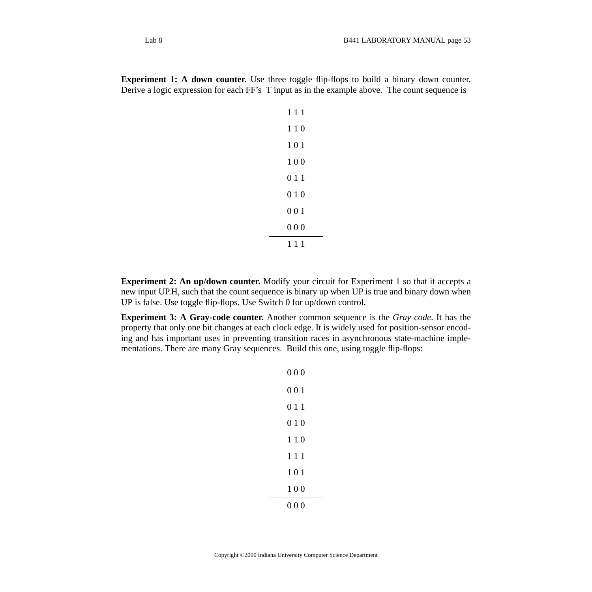**Experiment 1: A down counter.** Use three toggle flip-flops to build a binary down counter. Derive a logic expression for each FF's T input as in the example above. The count sequence is

| 111 |  |
|-----|--|
| 110 |  |
| 101 |  |
| 100 |  |
| 011 |  |
| 010 |  |
| 001 |  |
| 000 |  |
| 111 |  |

**Experiment 2: An up/down counter.** Modify your circuit for Experiment 1 so that it accepts a new input UP.H, such that the count sequence is binary up when UP is true and binary down when UP is false. Use toggle flip-flops. Use Switch 0 for up/down control.

**Experiment 3: A Gray-code counter.** Another common sequence is the *Gray code*. It has the property that only one bit changes at each clock edge. It is widely used for position-sensor encoding and has important uses in preventing transition races in asynchronous state-machine implementations. There are many Gray sequences. Build this one, using toggle flip-flops:

| 000 |
|-----|
| 001 |
| 011 |
| 010 |
| 110 |
| 111 |
| 101 |
| 100 |
| 000 |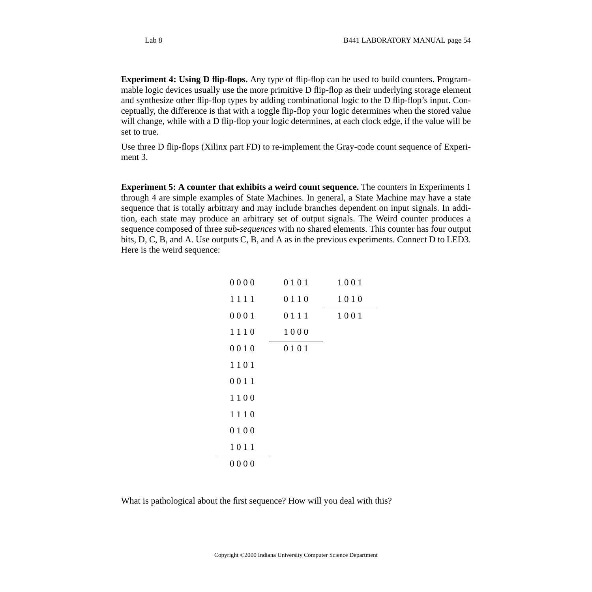**Experiment 4: Using D flip-flops.** Any type of flip-flop can be used to build counters. Programmable logic devices usually use the more primitive D flip-flop as their underlying storage element and synthesize other flip-flop types by adding combinational logic to the D flip-flop's input. Conceptually, the difference is that with a toggle flip-flop your logic determines when the stored value will change, while with a D flip-flop your logic determines, at each clock edge, if the value will be set to true.

Use three D flip-flops (Xilinx part FD) to re-implement the Gray-code count sequence of Experiment 3.

**Experiment 5: A counter that exhibits a weird count sequence.** The counters in Experiments 1 through 4 are simple examples of State Machines. In general, a State Machine may have a state sequence that is totally arbitrary and may include branches dependent on input signals. In addition, each state may produce an arbitrary set of output signals. The Weird counter produces a sequence composed of three *sub-sequences* with no shared elements. This counter has four output bits, D, C, B, and A. Use outputs C, B, and A as in the previous experiments. Connect D to LED3. Here is the weird sequence:

| 0000 | 0101 | 1001 |
|------|------|------|
| 1111 | 0110 | 1010 |
| 0001 | 0111 | 1001 |
| 1110 | 1000 |      |
| 0010 | 0101 |      |
| 1101 |      |      |
| 0011 |      |      |
| 1100 |      |      |
| 1110 |      |      |
| 0100 |      |      |
| 1011 |      |      |
| 0000 |      |      |

What is pathological about the first sequence? How will you deal with this?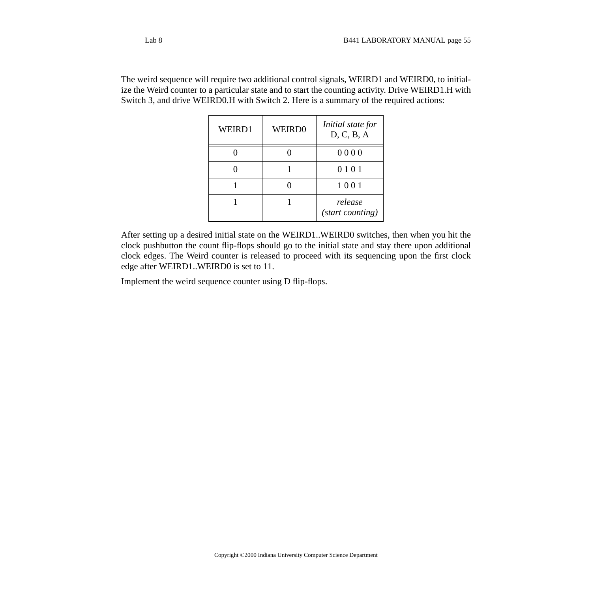The weird sequence will require two additional control signals, WEIRD1 and WEIRD0, to initialize the Weird counter to a particular state and to start the counting activity. Drive WEIRD1.H with Switch 3, and drive WEIRD0.H with Switch 2. Here is a summary of the required actions:

| WEIRD1 | <b>WEIRD0</b> | Initial state for<br>D, C, B, A |
|--------|---------------|---------------------------------|
|        |               | 0000                            |
|        |               | 0101                            |
|        |               | 1001                            |
|        |               | release<br>(start counting)     |

After setting up a desired initial state on the WEIRD1..WEIRD0 switches, then when you hit the clock pushbutton the count flip-flops should go to the initial state and stay there upon additional clock edges. The Weird counter is released to proceed with its sequencing upon the first clock edge after WEIRD1..WEIRD0 is set to 11.

Implement the weird sequence counter using D flip-flops.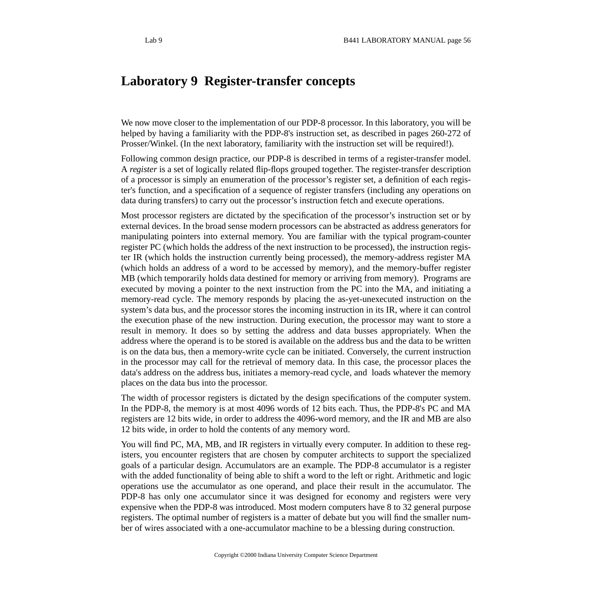# **Laboratory 9 Register-transfer concepts**

We now move closer to the implementation of our PDP-8 processor. In this laboratory, you will be helped by having a familiarity with the PDP-8's instruction set, as described in pages 260-272 of Prosser/Winkel. (In the next laboratory, familiarity with the instruction set will be required!).

Following common design practice, our PDP-8 is described in terms of a register-transfer model. A *register* is a set of logically related flip-flops grouped together. The register-transfer description of a processor is simply an enumeration of the processor's register set, a definition of each register's function, and a specification of a sequence of register transfers (including any operations on data during transfers) to carry out the processor's instruction fetch and execute operations.

Most processor registers are dictated by the specification of the processor's instruction set or by external devices. In the broad sense modern processors can be abstracted as address generators for manipulating pointers into external memory. You are familiar with the typical program-counter register PC (which holds the address of the next instruction to be processed), the instruction register IR (which holds the instruction currently being processed), the memory-address register MA (which holds an address of a word to be accessed by memory), and the memory-buffer register MB (which temporarily holds data destined for memory or arriving from memory). Programs are executed by moving a pointer to the next instruction from the PC into the MA, and initiating a memory-read cycle. The memory responds by placing the as-yet-unexecuted instruction on the system's data bus, and the processor stores the incoming instruction in its IR, where it can control the execution phase of the new instruction. During execution, the processor may want to store a result in memory. It does so by setting the address and data busses appropriately. When the address where the operand is to be stored is available on the address bus and the data to be written is on the data bus, then a memory-write cycle can be initiated. Conversely, the current instruction in the processor may call for the retrieval of memory data. In this case, the processor places the data's address on the address bus, initiates a memory-read cycle, and loads whatever the memory places on the data bus into the processor.

The width of processor registers is dictated by the design specifications of the computer system. In the PDP-8, the memory is at most 4096 words of 12 bits each. Thus, the PDP-8's PC and MA registers are 12 bits wide, in order to address the 4096-word memory, and the IR and MB are also 12 bits wide, in order to hold the contents of any memory word.

You will find PC, MA, MB, and IR registers in virtually every computer. In addition to these registers, you encounter registers that are chosen by computer architects to support the specialized goals of a particular design. Accumulators are an example. The PDP-8 accumulator is a register with the added functionality of being able to shift a word to the left or right. Arithmetic and logic operations use the accumulator as one operand, and place their result in the accumulator. The PDP-8 has only one accumulator since it was designed for economy and registers were very expensive when the PDP-8 was introduced. Most modern computers have 8 to 32 general purpose registers. The optimal number of registers is a matter of debate but you will find the smaller number of wires associated with a one-accumulator machine to be a blessing during construction.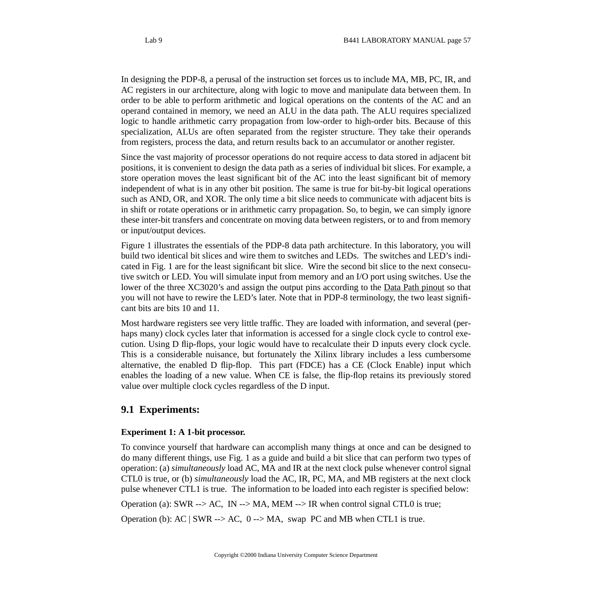In designing the PDP-8, a perusal of the instruction set forces us to include MA, MB, PC, IR, and AC registers in our architecture, along with logic to move and manipulate data between them. In order to be able to perform arithmetic and logical operations on the contents of the AC and an operand contained in memory, we need an ALU in the data path. The ALU requires specialized logic to handle arithmetic carry propagation from low-order to high-order bits. Because of this specialization, ALUs are often separated from the register structure. They take their operands from registers, process the data, and return results back to an accumulator or another register.

Since the vast majority of processor operations do not require access to data stored in adjacent bit positions, it is convenient to design the data path as a series of individual bit slices. For example, a store operation moves the least significant bit of the AC into the least significant bit of memory independent of what is in any other bit position. The same is true for bit-by-bit logical operations such as AND, OR, and XOR. The only time a bit slice needs to communicate with adjacent bits is in shift or rotate operations or in arithmetic carry propagation. So, to begin, we can simply ignore these inter-bit transfers and concentrate on moving data between registers, or to and from memory or input/output devices.

Figure 1 illustrates the essentials of the PDP-8 data path architecture. In this laboratory, you will build two identical bit slices and wire them to switches and LEDs. The switches and LED's indicated in Fig. 1 are for the least significant bit slice. Wire the second bit slice to the next consecutive switch or LED. You will simulate input from memory and an I/O port using switches. Use the lower of the three XC3020's and assign the output pins according to the Data Path [pinout](http://www.cs.indiana.edu/classes/b441/lab/manual/dpfull.pdf) so that you will not have to rewire the LED's later. Note that in PDP-8 terminology, the two least significant bits are bits 10 and 11.

Most hardware registers see very little traffic. They are loaded with information, and several (perhaps many) clock cycles later that information is accessed for a single clock cycle to control execution. Using D flip-flops, your logic would have to recalculate their D inputs every clock cycle. This is a considerable nuisance, but fortunately the Xilinx library includes a less cumbersome alternative, the enabled D flip-flop. This part (FDCE) has a CE (Clock Enable) input which enables the loading of a new value. When CE is false, the flip-flop retains its previously stored value over multiple clock cycles regardless of the D input.

## **9.1 Experiments:**

#### **Experiment 1: A 1-bit processor.**

To convince yourself that hardware can accomplish many things at once and can be designed to do many different things, use Fig. 1 as a guide and build a bit slice that can perform two types of operation: (a) *simultaneously* load AC, MA and IR at the next clock pulse whenever control signal CTL0 is true, or (b) *simultaneously* load the AC, IR, PC, MA, and MB registers at the next clock pulse whenever CTL1 is true. The information to be loaded into each register is specified below:

Operation (a): SWR --> AC, IN --> MA, MEM --> IR when control signal CTL0 is true;

Operation (b):  $AC \mid SWR \rightarrow AC$ ,  $0 \rightarrow MA$ , swap PC and MB when CTL1 is true.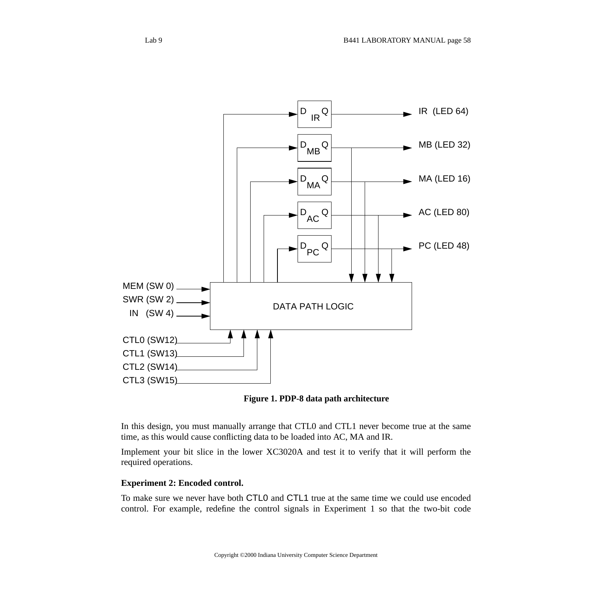

**Figure 1. PDP-8 data path architecture**

In this design, you must manually arrange that CTL0 and CTL1 never become true at the same time, as this would cause conflicting data to be loaded into AC, MA and IR.

Implement your bit slice in the lower XC3020A and test it to verify that it will perform the required operations.

#### **Experiment 2: Encoded control.**

To make sure we never have both CTL0 and CTL1 true at the same time we could use encoded control. For example, redefine the control signals in Experiment 1 so that the two-bit code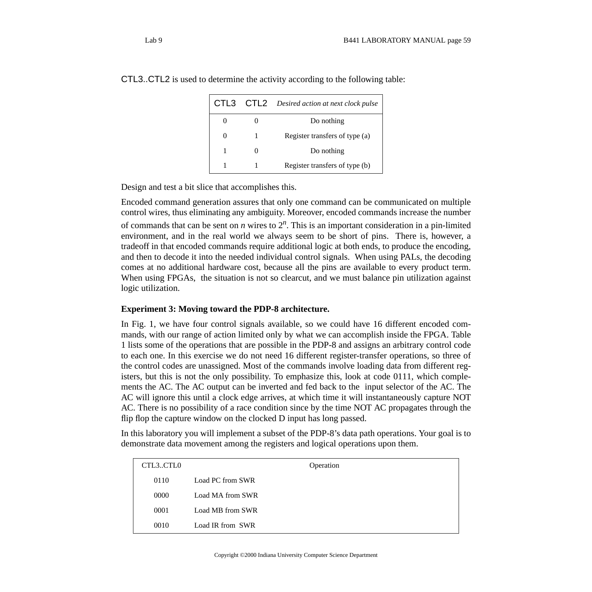| CTL3 | CTL2 | Desired action at next clock pulse |
|------|------|------------------------------------|
|      |      | Do nothing                         |
|      | 1    | Register transfers of type (a)     |
| 1    |      | Do nothing                         |
| 1    |      | Register transfers of type (b)     |

CTL3..CTL2 is used to determine the activity according to the following table:

Design and test a bit slice that accomplishes this.

Encoded command generation assures that only one command can be communicated on multiple control wires, thus eliminating any ambiguity. Moreover, encoded commands increase the number of commands that can be sent on *n* wires to  $2^n$ . This is an important consideration in a pin-limited environment, and in the real world we always seem to be short of pins. There is, however, a tradeoff in that encoded commands require additional logic at both ends, to produce the encoding, and then to decode it into the needed individual control signals. When using PALs, the decoding comes at no additional hardware cost, because all the pins are available to every product term. When using FPGAs, the situation is not so clearcut, and we must balance pin utilization against logic utilization.

#### **Experiment 3: Moving toward the PDP-8 architecture.**

In Fig. 1, we have four control signals available, so we could have 16 different encoded commands, with our range of action limited only by what we can accomplish inside the FPGA. Table 1 lists some of the operations that are possible in the PDP-8 and assigns an arbitrary control code to each one. In this exercise we do not need 16 different register-transfer operations, so three of the control codes are unassigned. Most of the commands involve loading data from different registers, but this is not the only possibility. To emphasize this, look at code 0111, which complements the AC. The AC output can be inverted and fed back to the input selector of the AC. The AC will ignore this until a clock edge arrives, at which time it will instantaneously capture NOT AC. There is no possibility of a race condition since by the time NOT AC propagates through the flip flop the capture window on the clocked D input has long passed.

In this laboratory you will implement a subset of the PDP-8's data path operations. Your goal is to demonstrate data movement among the registers and logical operations upon them.

| CTL3CTL0 | Operation        |
|----------|------------------|
| 0110     | Load PC from SWR |
| 0000     | Load MA from SWR |
| 0001     | Load MB from SWR |
| 0010     | Load IR from SWR |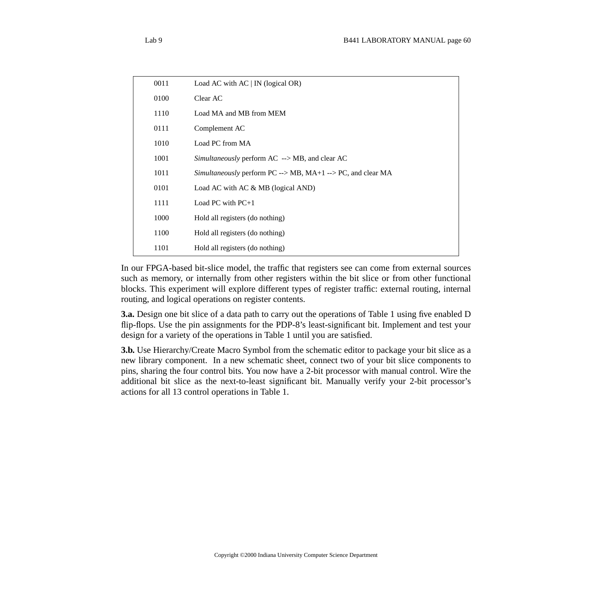| 0011 | Load AC with $AC \mid IN$ (logical OR)                                 |
|------|------------------------------------------------------------------------|
| 0100 | Clear AC                                                               |
| 1110 | Load MA and MB from MEM                                                |
| 0111 | Complement AC                                                          |
| 1010 | Load PC from MA                                                        |
| 1001 | Simultaneously perform $AC \rightarrow MB$ , and clear AC              |
| 1011 | Simultaneously perform $PC \rightarrow MB$ , MA+1 --> PC, and clear MA |
| 0101 | Load AC with AC $&MB$ (logical AND)                                    |
| 1111 | Load PC with $PC+1$                                                    |
| 1000 | Hold all registers (do nothing)                                        |
| 1100 | Hold all registers (do nothing)                                        |
| 1101 | Hold all registers (do nothing)                                        |
|      |                                                                        |

In our FPGA-based bit-slice model, the traffic that registers see can come from external sources such as memory, or internally from other registers within the bit slice or from other functional blocks. This experiment will explore different types of register traffic: external routing, internal routing, and logical operations on register contents.

**3.a.** Design one bit slice of a data path to carry out the operations of Table 1 using five enabled D flip-flops. Use the pin assignments for the PDP-8's least-significant bit. Implement and test your design for a variety of the operations in Table 1 until you are satisfied.

**3.b.** Use Hierarchy/Create Macro Symbol from the schematic editor to package your bit slice as a new library component. In a new schematic sheet, connect two of your bit slice components to pins, sharing the four control bits. You now have a 2-bit processor with manual control. Wire the additional bit slice as the next-to-least significant bit. Manually verify your 2-bit processor's actions for all 13 control operations in Table 1.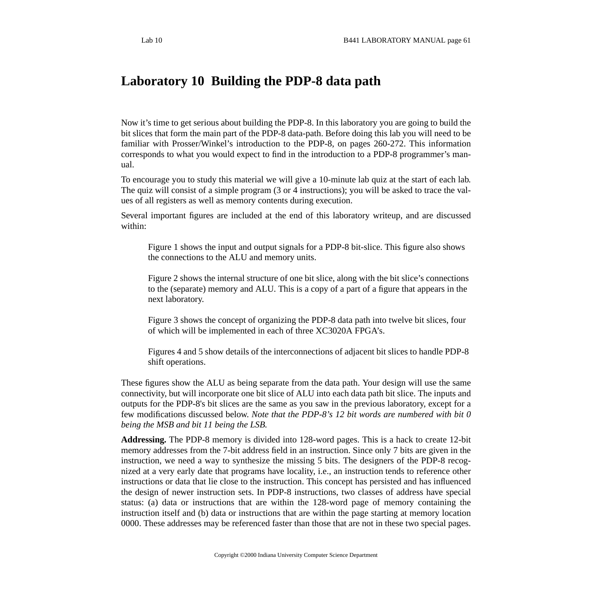# **Laboratory 10 Building the PDP-8 data path**

Now it's time to get serious about building the PDP-8. In this laboratory you are going to build the bit slices that form the main part of the PDP-8 data-path. Before doing this lab you will need to be familiar with Prosser/Winkel's introduction to the PDP-8, on pages 260-272. This information corresponds to what you would expect to find in the introduction to a PDP-8 programmer's manual.

To encourage you to study this material we will give a 10-minute lab quiz at the start of each lab. The quiz will consist of a simple program (3 or 4 instructions); you will be asked to trace the values of all registers as well as memory contents during execution.

Several important figures are included at the end of this laboratory writeup, and are discussed within:

Figure 1 shows the input and output signals for a PDP-8 bit-slice. This figure also shows the connections to the ALU and memory units.

Figure 2 shows the internal structure of one bit slice, along with the bit slice's connections to the (separate) memory and ALU. This is a copy of a part of a figure that appears in the next laboratory.

Figure 3 shows the concept of organizing the PDP-8 data path into twelve bit slices, four of which will be implemented in each of three XC3020A FPGA's.

Figures 4 and 5 show details of the interconnections of adjacent bit slices to handle PDP-8 shift operations.

These figures show the ALU as being separate from the data path. Your design will use the same connectivity, but will incorporate one bit slice of ALU into each data path bit slice. The inputs and outputs for the PDP-8's bit slices are the same as you saw in the previous laboratory, except for a few modifications discussed below. *Note that the PDP-8's 12 bit words are numbered with bit 0 being the MSB and bit 11 being the LSB.*

**Addressing.** The PDP-8 memory is divided into 128-word pages. This is a hack to create 12-bit memory addresses from the 7-bit address field in an instruction. Since only 7 bits are given in the instruction, we need a way to synthesize the missing 5 bits. The designers of the PDP-8 recognized at a very early date that programs have locality, i.e., an instruction tends to reference other instructions or data that lie close to the instruction. This concept has persisted and has influenced the design of newer instruction sets. In PDP-8 instructions, two classes of address have special status: (a) data or instructions that are within the 128-word page of memory containing the instruction itself and (b) data or instructions that are within the page starting at memory location 0000. These addresses may be referenced faster than those that are not in these two special pages.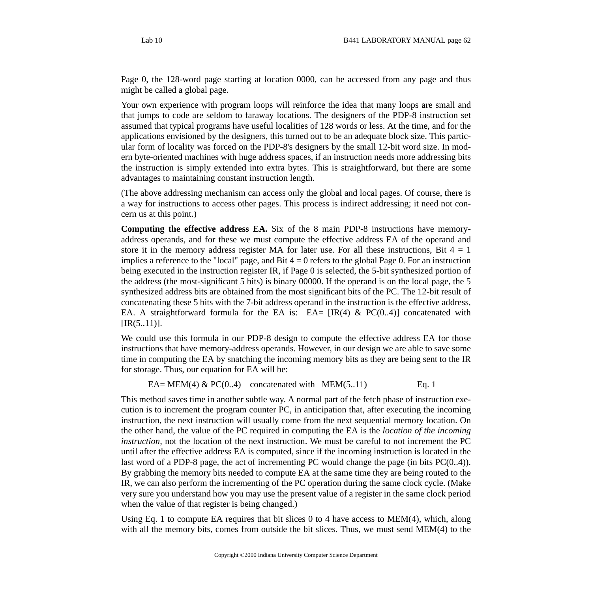Page 0, the 128-word page starting at location 0000, can be accessed from any page and thus might be called a global page.

Your own experience with program loops will reinforce the idea that many loops are small and that jumps to code are seldom to faraway locations. The designers of the PDP-8 instruction set assumed that typical programs have useful localities of 128 words or less. At the time, and for the applications envisioned by the designers, this turned out to be an adequate block size. This particular form of locality was forced on the PDP-8's designers by the small 12-bit word size. In modern byte-oriented machines with huge address spaces, if an instruction needs more addressing bits the instruction is simply extended into extra bytes. This is straightforward, but there are some advantages to maintaining constant instruction length.

(The above addressing mechanism can access only the global and local pages. Of course, there is a way for instructions to access other pages. This process is indirect addressing; it need not concern us at this point.)

**Computing the effective address EA.** Six of the 8 main PDP-8 instructions have memoryaddress operands, and for these we must compute the effective address EA of the operand and store it in the memory address register MA for later use. For all these instructions, Bit  $4=1$ implies a reference to the "local" page, and Bit  $4 = 0$  refers to the global Page 0. For an instruction being executed in the instruction register IR, if Page 0 is selected, the 5-bit synthesized portion of the address (the most-significant 5 bits) is binary 00000. If the operand is on the local page, the 5 synthesized address bits are obtained from the most significant bits of the PC. The 12-bit result of concatenating these 5 bits with the 7-bit address operand in the instruction is the effective address, EA. A straightforward formula for the EA is: EA=  $[IR(4) \& PC(0..4)]$  concatenated with  $[IR(5..11)].$ 

We could use this formula in our PDP-8 design to compute the effective address EA for those instructions that have memory-address operands. However, in our design we are able to save some time in computing the EA by snatching the incoming memory bits as they are being sent to the IR for storage. Thus, our equation for EA will be:

EA= MEM(4) & PC(0..4) concatenated with MEM(5..11) Eq. 1

This method saves time in another subtle way. A normal part of the fetch phase of instruction execution is to increment the program counter PC, in anticipation that, after executing the incoming instruction, the next instruction will usually come from the next sequential memory location. On the other hand, the value of the PC required in computing the EA is the *location of the incoming instruction,* not the location of the next instruction. We must be careful to not increment the PC until after the effective address EA is computed, since if the incoming instruction is located in the last word of a PDP-8 page, the act of incrementing PC would change the page (in bits PC(0..4)). By grabbing the memory bits needed to compute EA at the same time they are being routed to the IR, we can also perform the incrementing of the PC operation during the same clock cycle. (Make very sure you understand how you may use the present value of a register in the same clock period when the value of that register is being changed.)

Using Eq. 1 to compute EA requires that bit slices 0 to 4 have access to MEM(4), which, along with all the memory bits, comes from outside the bit slices. Thus, we must send MEM(4) to the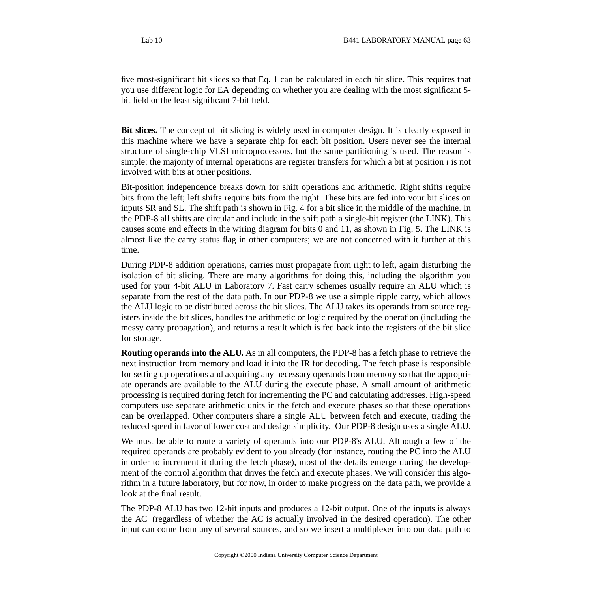five most-significant bit slices so that Eq. 1 can be calculated in each bit slice. This requires that you use different logic for EA depending on whether you are dealing with the most significant 5 bit field or the least significant 7-bit field.

**Bit slices.** The concept of bit slicing is widely used in computer design. It is clearly exposed in this machine where we have a separate chip for each bit position. Users never see the internal structure of single-chip VLSI microprocessors, but the same partitioning is used. The reason is simple: the majority of internal operations are register transfers for which a bit at position *i* is not involved with bits at other positions.

Bit-position independence breaks down for shift operations and arithmetic. Right shifts require bits from the left; left shifts require bits from the right. These bits are fed into your bit slices on inputs SR and SL. The shift path is shown in Fig. 4 for a bit slice in the middle of the machine. In the PDP-8 all shifts are circular and include in the shift path a single-bit register (the LINK). This causes some end effects in the wiring diagram for bits 0 and 11, as shown in Fig. 5. The LINK is almost like the carry status flag in other computers; we are not concerned with it further at this time.

During PDP-8 addition operations, carries must propagate from right to left, again disturbing the isolation of bit slicing. There are many algorithms for doing this, including the algorithm you used for your 4-bit ALU in Laboratory 7. Fast carry schemes usually require an ALU which is separate from the rest of the data path. In our PDP-8 we use a simple ripple carry, which allows the ALU logic to be distributed across the bit slices. The ALU takes its operands from source registers inside the bit slices, handles the arithmetic or logic required by the operation (including the messy carry propagation), and returns a result which is fed back into the registers of the bit slice for storage.

**Routing operands into the ALU.** As in all computers, the PDP-8 has a fetch phase to retrieve the next instruction from memory and load it into the IR for decoding. The fetch phase is responsible for setting up operations and acquiring any necessary operands from memory so that the appropriate operands are available to the ALU during the execute phase. A small amount of arithmetic processing is required during fetch for incrementing the PC and calculating addresses. High-speed computers use separate arithmetic units in the fetch and execute phases so that these operations can be overlapped. Other computers share a single ALU between fetch and execute, trading the reduced speed in favor of lower cost and design simplicity. Our PDP-8 design uses a single ALU.

We must be able to route a variety of operands into our PDP-8's ALU. Although a few of the required operands are probably evident to you already (for instance, routing the PC into the ALU in order to increment it during the fetch phase), most of the details emerge during the development of the control algorithm that drives the fetch and execute phases. We will consider this algorithm in a future laboratory, but for now, in order to make progress on the data path, we provide a look at the final result.

The PDP-8 ALU has two 12-bit inputs and produces a 12-bit output. One of the inputs is always the AC (regardless of whether the AC is actually involved in the desired operation). The other input can come from any of several sources, and so we insert a multiplexer into our data path to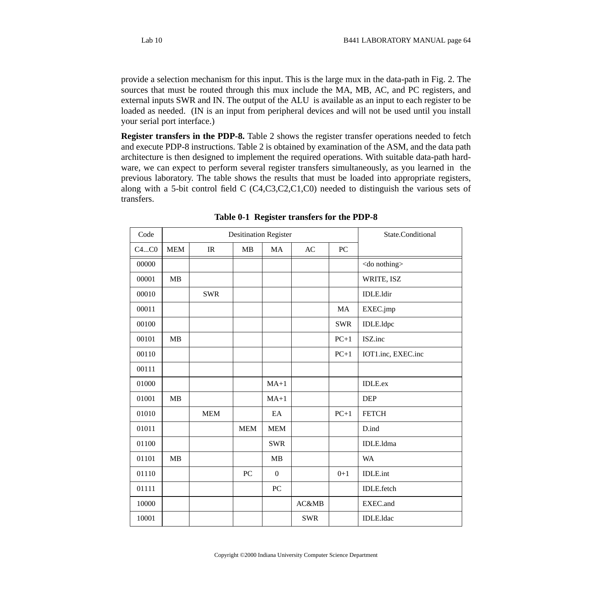provide a selection mechanism for this input. This is the large mux in the data-path in Fig. 2. The sources that must be routed through this mux include the MA, MB, AC, and PC registers, and external inputs SWR and IN. The output of the ALU is available as an input to each register to be loaded as needed. (IN is an input from peripheral devices and will not be used until you install your serial port interface.)

**Register transfers in the PDP-8.** Table 2 shows the register transfer operations needed to fetch and execute PDP-8 instructions. Table 2 is obtained by examination of the ASM, and the data path architecture is then designed to implement the required operations. With suitable data-path hardware, we can expect to perform several register transfers simultaneously, as you learned in the previous laboratory. The table shows the results that must be loaded into appropriate registers, along with a 5-bit control field C (C4,C3,C2,C1,C0) needed to distinguish the various sets of transfers.

| Code  | <b>Desitination Register</b> |                                   |                  |                  |            |                  | State.Conditional    |
|-------|------------------------------|-----------------------------------|------------------|------------------|------------|------------------|----------------------|
| C4C0  | <b>MEM</b>                   | $\ensuremath{\mathsf{IR}}\xspace$ | MB               | MA               | AC         | ${\rm P}{\bf C}$ |                      |
| 00000 |                              |                                   |                  |                  |            |                  | <do nothing=""></do> |
| 00001 | MB                           |                                   |                  |                  |            |                  | WRITE, ISZ           |
| 00010 |                              | <b>SWR</b>                        |                  |                  |            |                  | IDLE.ldir            |
| 00011 |                              |                                   |                  |                  |            | MA               | EXEC.jmp             |
| 00100 |                              |                                   |                  |                  |            | <b>SWR</b>       | IDLE.ldpc            |
| 00101 | MB                           |                                   |                  |                  |            | $PC+1$           | ISZ.inc              |
| 00110 |                              |                                   |                  |                  |            | $PC+1$           | IOT1.inc, EXEC.inc   |
| 00111 |                              |                                   |                  |                  |            |                  |                      |
| 01000 |                              |                                   |                  | $MA+1$           |            |                  | <b>IDLE.ex</b>       |
| 01001 | MB                           |                                   |                  | $MA+1$           |            |                  | <b>DEP</b>           |
| 01010 |                              | <b>MEM</b>                        |                  | EA               |            | $PC+1$           | <b>FETCH</b>         |
| 01011 |                              |                                   | <b>MEM</b>       | MEM              |            |                  | D.ind                |
| 01100 |                              |                                   |                  | <b>SWR</b>       |            |                  | IDLE.ldma            |
| 01101 | MB                           |                                   |                  | MB               |            |                  | <b>WA</b>            |
| 01110 |                              |                                   | ${\rm P}{\bf C}$ | $\boldsymbol{0}$ |            | $0 + 1$          | <b>IDLE.int</b>      |
| 01111 |                              |                                   |                  | PC               |            |                  | <b>IDLE</b> .fetch   |
| 10000 |                              |                                   |                  |                  | AC&MB      |                  | EXEC.and             |
| 10001 |                              |                                   |                  |                  | <b>SWR</b> |                  | <b>IDLE</b> .ldac    |

**Table 0-1 Register transfers for the PDP-8**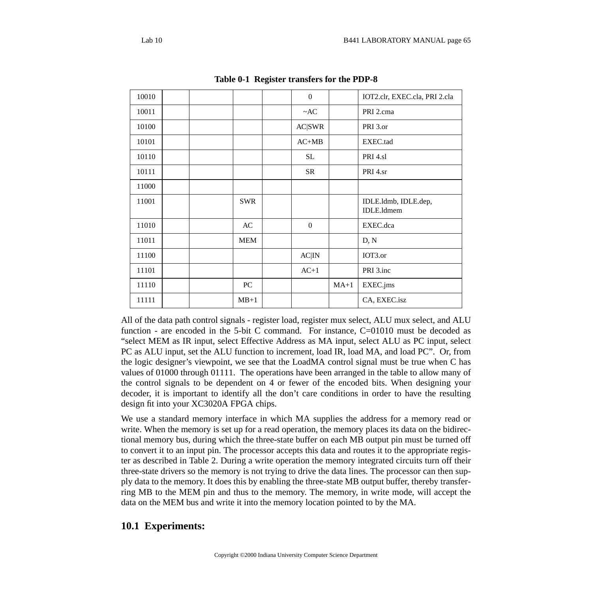| 10010 |  |            | $\overline{0}$   |        | IOT2.clr, EXEC.cla, PRI 2.cla      |
|-------|--|------------|------------------|--------|------------------------------------|
| 10011 |  |            | $~\sim$ AC       |        | PRI 2.cma                          |
| 10100 |  |            | <b>AC SWR</b>    |        | PRI 3.or                           |
| 10101 |  |            | $AC+MB$          |        | EXEC.tad                           |
| 10110 |  |            | SL               |        | PRI 4.sl                           |
| 10111 |  |            | <b>SR</b>        |        | PRI 4.sr                           |
| 11000 |  |            |                  |        |                                    |
| 11001 |  | <b>SWR</b> |                  |        | IDLE.ldmb, IDLE.dep,<br>IDLE.Idmem |
| 11010 |  | AC         | $\boldsymbol{0}$ |        | EXEC.dca                           |
| 11011 |  | <b>MEM</b> |                  |        | D, N                               |
| 11100 |  |            | $AC$ $IN$        |        | IOT3.or                            |
| 11101 |  |            | $AC+1$           |        | PRI 3.inc                          |
| 11110 |  | $\rm{PC}$  |                  | $MA+1$ | EXEC.jms                           |
| 11111 |  | $MB+1$     |                  |        | CA, EXEC.isz                       |

**Table 0-1 Register transfers for the PDP-8**

All of the data path control signals - register load, register mux select, ALU mux select, and ALU function - are encoded in the 5-bit C command. For instance,  $C=01010$  must be decoded as "select MEM as IR input, select Effective Address as MA input, select ALU as PC input, select PC as ALU input, set the ALU function to increment, load IR, load MA, and load PC". Or, from the logic designer's viewpoint, we see that the LoadMA control signal must be true when C has values of 01000 through 01111. The operations have been arranged in the table to allow many of the control signals to be dependent on 4 or fewer of the encoded bits. When designing your decoder, it is important to identify all the don't care conditions in order to have the resulting design fit into your XC3020A FPGA chips.

We use a standard memory interface in which MA supplies the address for a memory read or write. When the memory is set up for a read operation, the memory places its data on the bidirectional memory bus, during which the three-state buffer on each MB output pin must be turned off to convert it to an input pin. The processor accepts this data and routes it to the appropriate register as described in Table 2. During a write operation the memory integrated circuits turn off their three-state drivers so the memory is not trying to drive the data lines. The processor can then supply data to the memory. It does this by enabling the three-state MB output buffer, thereby transferring MB to the MEM pin and thus to the memory. The memory, in write mode, will accept the data on the MEM bus and write it into the memory location pointed to by the MA.

### **10.1 Experiments:**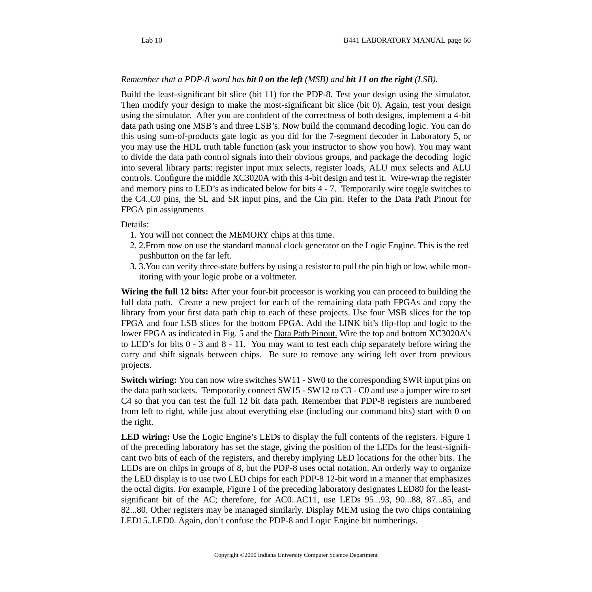#### *Remember that a PDP-8 word has bit 0 on the left (MSB) and bit 11 on the right (LSB).*

Build the least-significant bit slice (bit 11) for the PDP-8. Test your design using the simulator. Then modify your design to make the most-significant bit slice (bit 0). Again, test your design using the simulator. After you are confident of the correctness of both designs, implement a 4-bit data path using one MSB's and three LSB's. Now build the command decoding logic. You can do this using sum-of-products gate logic as you did for the 7-segment decoder in Laboratory 5, or you may use the HDL truth table function (ask your instructor to show you how). You may want to divide the data path control signals into their obvious groups, and package the decoding logic into several library parts: register input mux selects, register loads, ALU mux selects and ALU controls. Configure the middle XC3020A with this 4-bit design and test it. Wire-wrap the register and memory pins to LED's as indicated below for bits 4 - 7. Temporarily wire toggle switches to the C4..C0 pins, the SL and SR input pins, and the Cin pin. Refer to the Data Path [Pinout](http://www.cs.indiana.edu/classes/b441/lab/manual/dpfull.pdf) for FPGA pin assignments

#### Details:

- 1. You will not connect the MEMORY chips at this time.
- 2. 2.From now on use the standard manual clock generator on the Logic Engine. This is the red pushbutton on the far left.
- 3. 3.You can verify three-state buffers by using a resistor to pull the pin high or low, while monitoring with your logic probe or a voltmeter.

**Wiring the full 12 bits:** After your four-bit processor is working you can proceed to building the full data path. Create a new project for each of the remaining data path FPGAs and copy the library from your first data path chip to each of these projects. Use four MSB slices for the top FPGA and four LSB slices for the bottom FPGA. Add the LINK bit's flip-flop and logic to the lower FPGA as indicated in Fig. 5 and the Data Path [Pinout.](http://www.cs.indiana.edu/classes/b441/lab/manual/dpfull.pdf) Wire the top and bottom XC3020A's to LED's for bits 0 - 3 and 8 - 11. You may want to test each chip separately before wiring the carry and shift signals between chips. Be sure to remove any wiring left over from previous projects.

**Switch wiring:** You can now wire switches SW11 - SW0 to the corresponding SWR input pins on the data path sockets. Temporarily connect SW15 - SW12 to C3 - C0 and use a jumper wire to set C4 so that you can test the full 12 bit data path. Remember that PDP-8 registers are numbered from left to right, while just about everything else (including our command bits) start with 0 on the right.

**LED wiring:** Use the Logic Engine's LEDs to display the full contents of the registers. Figure 1 of the preceding laboratory has set the stage, giving the position of the LEDs for the least-significant two bits of each of the registers, and thereby implying LED locations for the other bits. The LEDs are on chips in groups of 8, but the PDP-8 uses octal notation. An orderly way to organize the LED display is to use two LED chips for each PDP-8 12-bit word in a manner that emphasizes the octal digits. For example, Figure 1 of the preceding laboratory designates LED80 for the leastsignificant bit of the AC; therefore, for AC0..AC11, use LEDs 95...93, 90...88, 87...85, and 82...80. Other registers may be managed similarly. Display MEM using the two chips containing LED15..LED0. Again, don't confuse the PDP-8 and Logic Engine bit numberings.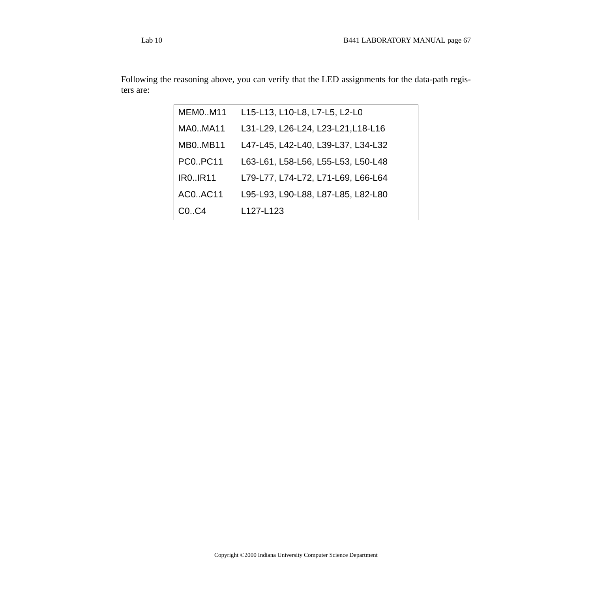Following the reasoning above, you can verify that the LED assignments for the data-path registers are:

| <b>MEM0M11</b>    | L15-L13, L10-L8, L7-L5, L2-L0      |
|-------------------|------------------------------------|
| MA0MA11           | L31-L29, L26-L24, L23-L21, L18-L16 |
| <b>MB0MB11</b>    | L47-L45, L42-L40, L39-L37, L34-L32 |
| <b>PC0., PC11</b> | L63-L61, L58-L56, L55-L53, L50-L48 |
| <b>IRO.IR11</b>   | L79-L77, L74-L72, L71-L69, L66-L64 |
| AC0AC11           | L95-L93, L90-L88, L87-L85, L82-L80 |
| $CO1$ $C4$        | L127-L123                          |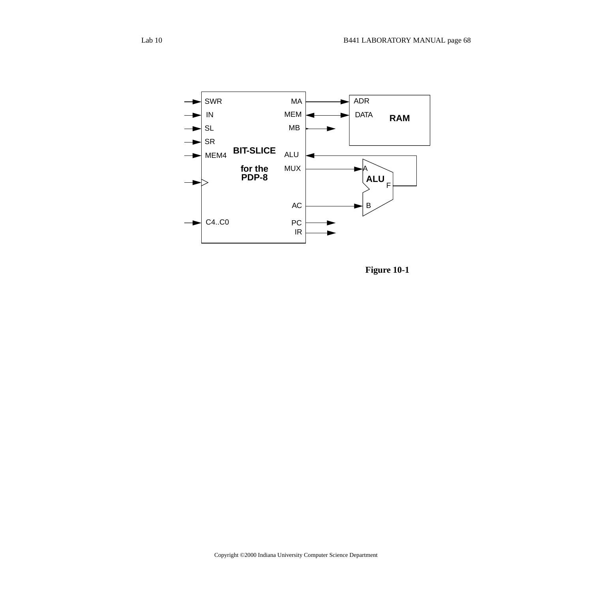

**Figure 10-1**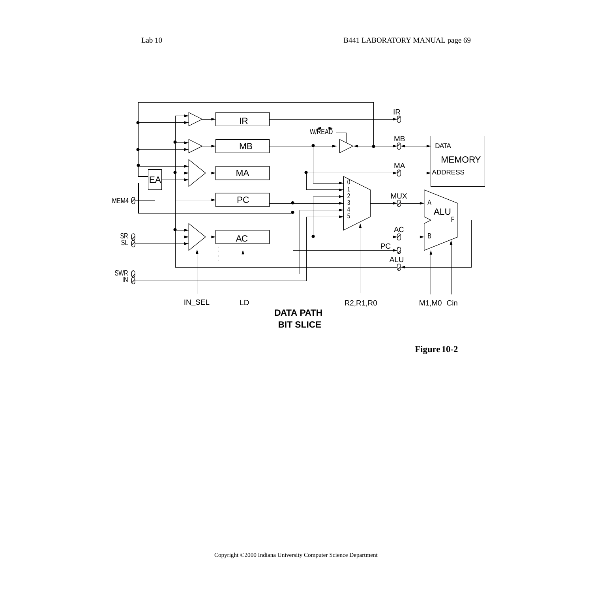

**Figure 10-2**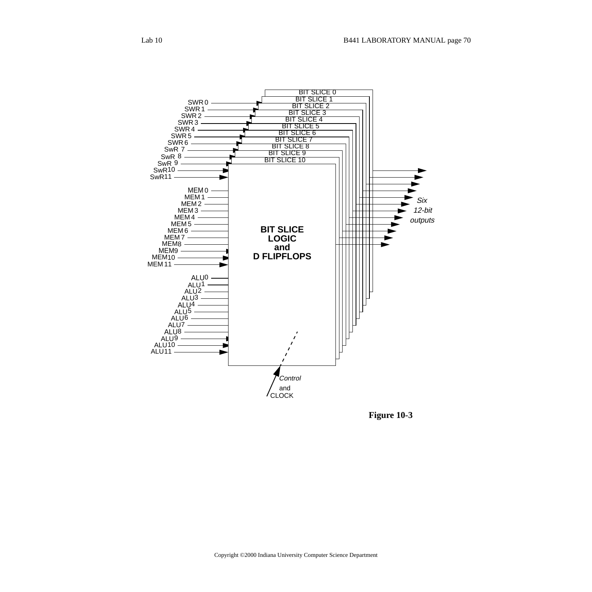

**Figure 10-3**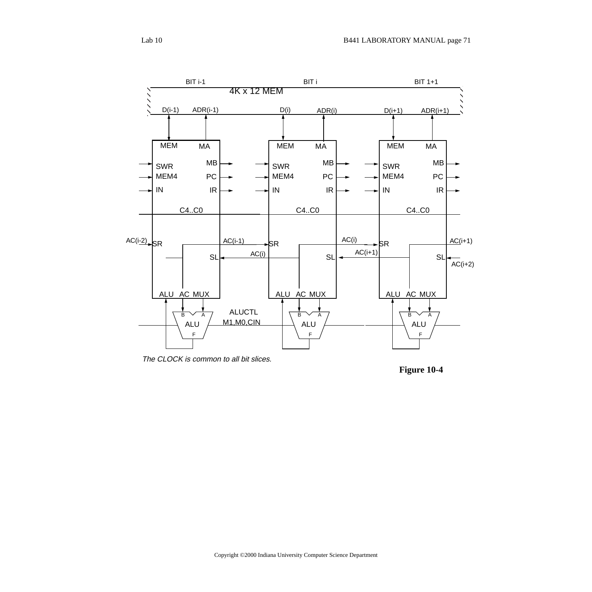

The CLOCK is common to all bit slices.

**Figure 10-4**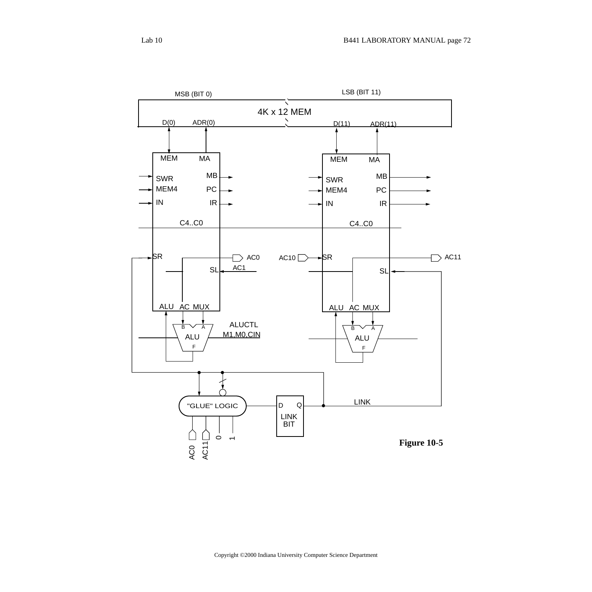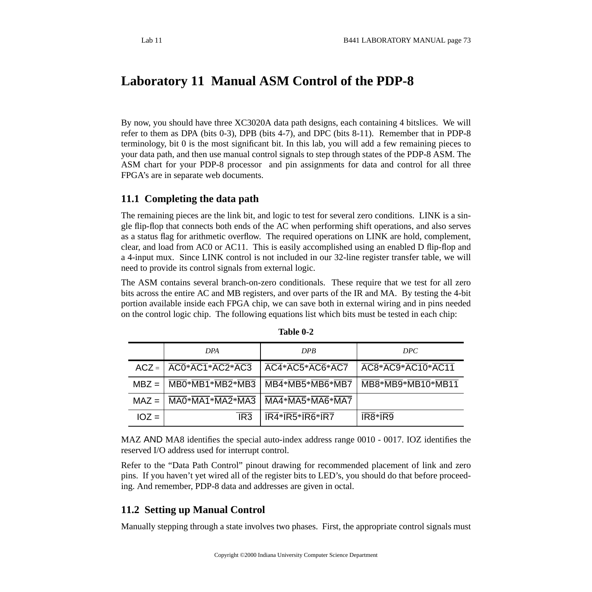# **Laboratory 11 Manual ASM Control of the PDP-8**

By now, you should have three XC3020A data path designs, each containing 4 bitslices. We will refer to them as DPA (bits 0-3), DPB (bits 4-7), and DPC (bits 8-11). Remember that in PDP-8 terminology, bit 0 is the most significant bit. In this lab, you will add a few remaining pieces to your data path, and then use manual control signals to step through states of the PDP-8 ASM. The ASM chart for your PDP-8 processor and pin assignments for data and control for all three FPGA's are in separate web documents.

## **11.1 Completing the data path**

The remaining pieces are the link bit, and logic to test for several zero conditions. LINK is a single flip-flop that connects both ends of the AC when performing shift operations, and also serves as a status flag for arithmetic overflow. The required operations on LINK are hold, complement, clear, and load from AC0 or AC11. This is easily accomplished using an enabled D flip-flop and a 4-input mux. Since LINK control is not included in our 32-line register transfer table, we will need to provide its control signals from external logic.

The ASM contains several branch-on-zero conditionals. These require that we test for all zero bits across the entire AC and MB registers, and over parts of the IR and MA. By testing the 4-bit portion available inside each FPGA chip, we can save both in external wiring and in pins needed on the control logic chip. The following equations list which bits must be tested in each chip:

|         | <b>DPA</b>                                                                       | <b>DPR</b>                   | DPC                                            |
|---------|----------------------------------------------------------------------------------|------------------------------|------------------------------------------------|
|         | $ACZ = \sqrt{\overline{AC0}^* \overline{AC1}^* \overline{AC2}^* \overline{AC3}}$ | AC4*AC5*AC6*AC7              | AC8*AC9*AC10*AC11                              |
| $MBZ =$ | $\overline{\text{MBO*MB1*MB2*MB3}}$                                              | MB4*MB5*MB6*MB7              | MB8*MB9*MB10*MB11                              |
| $MAZ =$ | $\overline{MA0}$ * $\overline{MA1}$ * $\overline{MA2}$ * $\overline{MA3}$        | MA4*MA5*MA6*MA7              |                                                |
| $IOZ =$ | IR <sub>3</sub>                                                                  | $\overline{IR4*IR5*IR6*IR7}$ | $\overline{IR8}$ <sup>*</sup> $\overline{IR9}$ |

| <b>Table 0-2</b> |  |
|------------------|--|
|------------------|--|

MAZ AND MA8 identifies the special auto-index address range 0010 - 0017. IOZ identifies the reserved I/O address used for interrupt control.

Refer to the "Data Path Control" pinout drawing for recommended placement of link and zero pins. If you haven't yet wired all of the register bits to LED's, you should do that before proceeding. And remember, PDP-8 data and addresses are given in octal.

## **11.2 Setting up Manual Control**

Manually stepping through a state involves two phases. First, the appropriate control signals must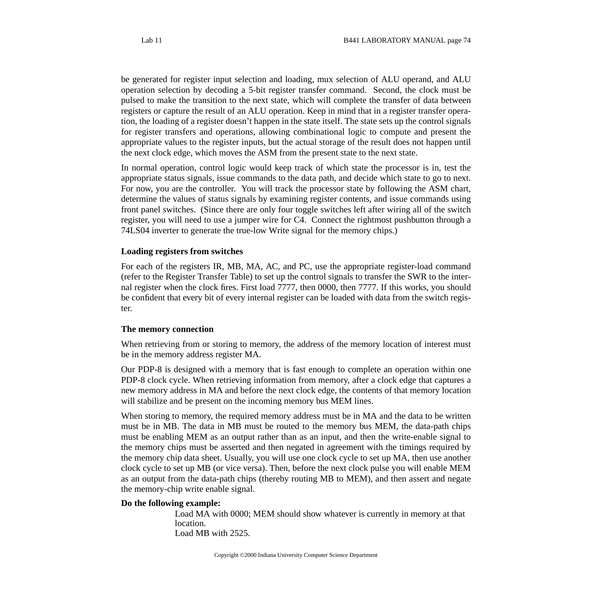be generated for register input selection and loading, mux selection of ALU operand, and ALU operation selection by decoding a 5-bit register transfer command. Second, the clock must be pulsed to make the transition to the next state, which will complete the transfer of data between registers or capture the result of an ALU operation. Keep in mind that in a register transfer operation, the loading of a register doesn't happen in the state itself. The state sets up the control signals for register transfers and operations, allowing combinational logic to compute and present the appropriate values to the register inputs, but the actual storage of the result does not happen until the next clock edge, which moves the ASM from the present state to the next state.

In normal operation, control logic would keep track of which state the processor is in, test the appropriate status signals, issue commands to the data path, and decide which state to go to next. For now, you are the controller. You will track the processor state by following the ASM chart, determine the values of status signals by examining register contents, and issue commands using front panel switches. (Since there are only four toggle switches left after wiring all of the switch register, you will need to use a jumper wire for C4. Connect the rightmost pushbutton through a 74LS04 inverter to generate the true-low Write signal for the memory chips.)

#### **Loading registers from switches**

For each of the registers IR, MB, MA, AC, and PC, use the appropriate register-load command (refer to the Register Transfer Table) to set up the control signals to transfer the SWR to the internal register when the clock fires. First load 7777, then 0000, then 7777. If this works, you should be confident that every bit of every internal register can be loaded with data from the switch register.

#### **The memory connection**

When retrieving from or storing to memory, the address of the memory location of interest must be in the memory address register MA.

Our PDP-8 is designed with a memory that is fast enough to complete an operation within one PDP-8 clock cycle. When retrieving information from memory, after a clock edge that captures a new memory address in MA and before the next clock edge, the contents of that memory location will stabilize and be present on the incoming memory bus MEM lines.

When storing to memory, the required memory address must be in MA and the data to be written must be in MB. The data in MB must be routed to the memory bus MEM, the data-path chips must be enabling MEM as an output rather than as an input, and then the write-enable signal to the memory chips must be asserted and then negated in agreement with the timings required by the memory chip data sheet. Usually, you will use one clock cycle to set up MA, then use another clock cycle to set up MB (or vice versa). Then, before the next clock pulse you will enable MEM as an output from the data-path chips (thereby routing MB to MEM), and then assert and negate the memory-chip write enable signal.

#### **Do the following example:**

Load MA with 0000; MEM should show whatever is currently in memory at that location. Load MB with 2525.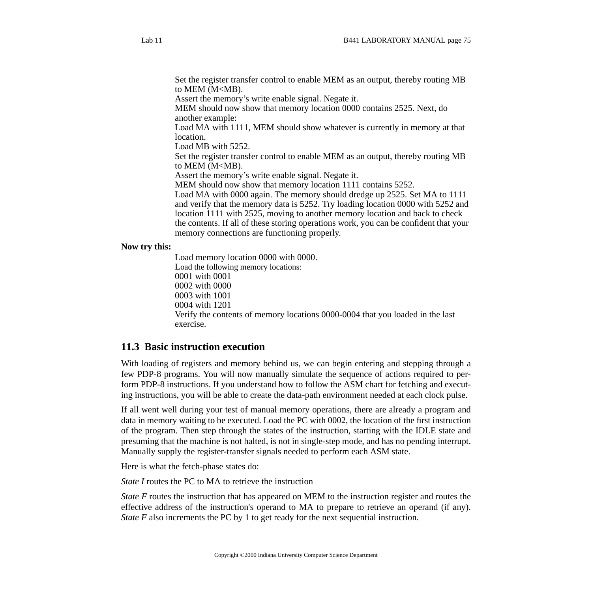Set the register transfer control to enable MEM as an output, thereby routing MB to MEM (M<MB).

Assert the memory's write enable signal. Negate it.

MEM should now show that memory location 0000 contains 2525. Next, do another example:

Load MA with 1111, MEM should show whatever is currently in memory at that location.

Load MB with 5252.

Set the register transfer control to enable MEM as an output, thereby routing MB to MEM (M<MB).

Assert the memory's write enable signal. Negate it.

MEM should now show that memory location 1111 contains 5252.

Load MA with 0000 again. The memory should dredge up 2525. Set MA to 1111 and verify that the memory data is 5252. Try loading location 0000 with 5252 and location 1111 with 2525, moving to another memory location and back to check the contents. If all of these storing operations work, you can be confident that your memory connections are functioning properly.

#### **Now try this:**

Load memory location 0000 with 0000. Load the following memory locations: 0001 with 0001 0002 with 0000 0003 with 1001 0004 with 1201 Verify the contents of memory locations 0000-0004 that you loaded in the last exercise.

### **11.3 Basic instruction execution**

With loading of registers and memory behind us, we can begin entering and stepping through a few PDP-8 programs. You will now manually simulate the sequence of actions required to perform PDP-8 instructions. If you understand how to follow the ASM chart for fetching and executing instructions, you will be able to create the data-path environment needed at each clock pulse.

If all went well during your test of manual memory operations, there are already a program and data in memory waiting to be executed. Load the PC with 0002, the location of the first instruction of the program. Then step through the states of the instruction, starting with the IDLE state and presuming that the machine is not halted, is not in single-step mode, and has no pending interrupt. Manually supply the register-transfer signals needed to perform each ASM state.

Here is what the fetch-phase states do:

*State I* routes the PC to MA to retrieve the instruction

*State F* routes the instruction that has appeared on MEM to the instruction register and routes the effective address of the instruction's operand to MA to prepare to retrieve an operand (if any). *State F* also increments the PC by 1 to get ready for the next sequential instruction.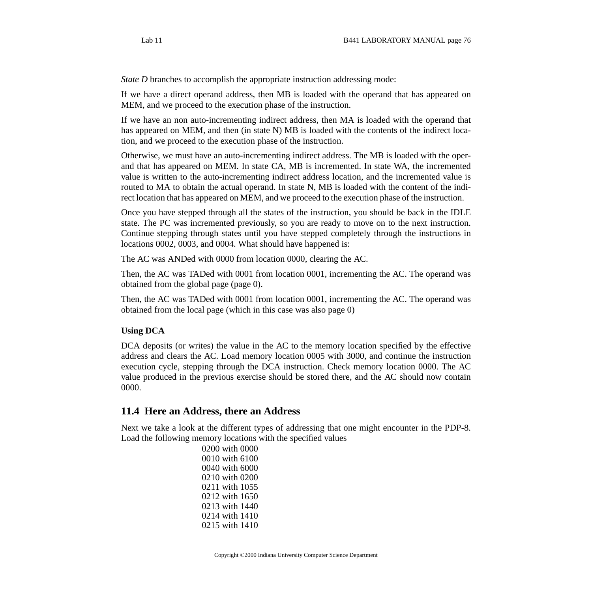*State D* branches to accomplish the appropriate instruction addressing mode:

If we have a direct operand address, then MB is loaded with the operand that has appeared on MEM, and we proceed to the execution phase of the instruction.

If we have an non auto-incrementing indirect address, then MA is loaded with the operand that has appeared on MEM, and then (in state N) MB is loaded with the contents of the indirect location, and we proceed to the execution phase of the instruction.

Otherwise, we must have an auto-incrementing indirect address. The MB is loaded with the operand that has appeared on MEM. In state CA, MB is incremented. In state WA, the incremented value is written to the auto-incrementing indirect address location, and the incremented value is routed to MA to obtain the actual operand. In state N, MB is loaded with the content of the indirect location that has appeared on MEM, and we proceed to the execution phase of the instruction.

Once you have stepped through all the states of the instruction, you should be back in the IDLE state. The PC was incremented previously, so you are ready to move on to the next instruction. Continue stepping through states until you have stepped completely through the instructions in locations 0002, 0003, and 0004. What should have happened is:

The AC was ANDed with 0000 from location 0000, clearing the AC.

Then, the AC was TADed with 0001 from location 0001, incrementing the AC. The operand was obtained from the global page (page 0).

Then, the AC was TADed with 0001 from location 0001, incrementing the AC. The operand was obtained from the local page (which in this case was also page 0)

#### **Using DCA**

DCA deposits (or writes) the value in the AC to the memory location specified by the effective address and clears the AC. Load memory location 0005 with 3000, and continue the instruction execution cycle, stepping through the DCA instruction. Check memory location 0000. The AC value produced in the previous exercise should be stored there, and the AC should now contain 0000.

### **11.4 Here an Address, there an Address**

Next we take a look at the different types of addressing that one might encounter in the PDP-8. Load the following memory locations with the specified values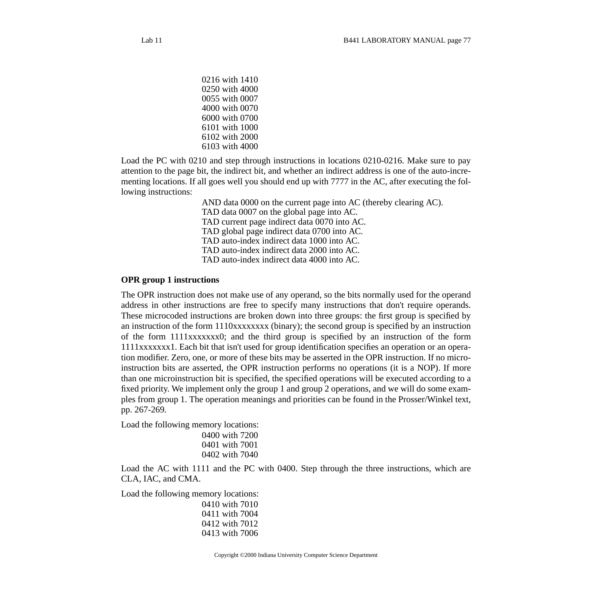Load the PC with 0210 and step through instructions in locations 0210-0216. Make sure to pay attention to the page bit, the indirect bit, and whether an indirect address is one of the auto-incrementing locations. If all goes well you should end up with 7777 in the AC, after executing the following instructions:

> AND data 0000 on the current page into AC (thereby clearing AC). TAD data 0007 on the global page into AC. TAD current page indirect data 0070 into AC. TAD global page indirect data 0700 into AC. TAD auto-index indirect data 1000 into AC. TAD auto-index indirect data 2000 into AC. TAD auto-index indirect data 4000 into AC.

#### **OPR group 1 instructions**

The OPR instruction does not make use of any operand, so the bits normally used for the operand address in other instructions are free to specify many instructions that don't require operands. These microcoded instructions are broken down into three groups: the first group is specified by an instruction of the form 1110xxxxxxxx (binary); the second group is specified by an instruction of the form 1111xxxxxxx0; and the third group is specified by an instruction of the form 1111xxxxxxx1. Each bit that isn't used for group identification specifies an operation or an operation modifier. Zero, one, or more of these bits may be asserted in the OPR instruction. If no microinstruction bits are asserted, the OPR instruction performs no operations (it is a NOP). If more than one microinstruction bit is specified, the specified operations will be executed according to a fixed priority. We implement only the group 1 and group 2 operations, and we will do some examples from group 1. The operation meanings and priorities can be found in the Prosser/Winkel text, pp. 267-269.

Load the following memory locations:

```
0400 with 7200
0401 with 7001
0402 with 7040
```
Load the AC with 1111 and the PC with 0400. Step through the three instructions, which are CLA, IAC, and CMA.

Load the following memory locations:

0410 with 7010 0411 with 7004 0412 with 7012 0413 with 7006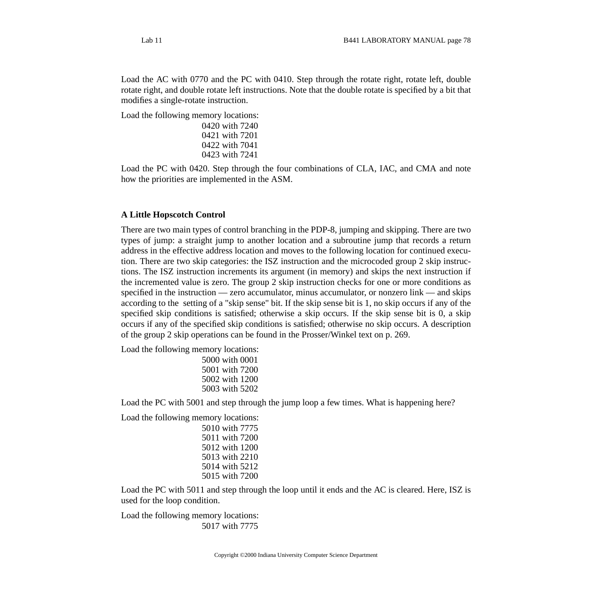Load the AC with 0770 and the PC with 0410. Step through the rotate right, rotate left, double

rotate right, and double rotate left instructions. Note that the double rotate is specified by a bit that modifies a single-rotate instruction.

Load the following memory locations:

```
0420 with 7240
0421 with 7201
0422 with 7041
0423 with 7241
```
Load the PC with 0420. Step through the four combinations of CLA, IAC, and CMA and note how the priorities are implemented in the ASM.

## **A Little Hopscotch Control**

There are two main types of control branching in the PDP-8, jumping and skipping. There are two types of jump: a straight jump to another location and a subroutine jump that records a return address in the effective address location and moves to the following location for continued execution. There are two skip categories: the ISZ instruction and the microcoded group 2 skip instructions. The ISZ instruction increments its argument (in memory) and skips the next instruction if the incremented value is zero. The group 2 skip instruction checks for one or more conditions as specified in the instruction — zero accumulator, minus accumulator, or nonzero link — and skips according to the setting of a "skip sense" bit. If the skip sense bit is 1, no skip occurs if any of the specified skip conditions is satisfied; otherwise a skip occurs. If the skip sense bit is 0, a skip occurs if any of the specified skip conditions is satisfied; otherwise no skip occurs. A description of the group 2 skip operations can be found in the Prosser/Winkel text on p. 269.

Load the following memory locations:

| 5000 with 0001 |
|----------------|
| 5001 with 7200 |
| 5002 with 1200 |
| 5003 with 5202 |

Load the PC with 5001 and step through the jump loop a few times. What is happening here?

Load the following memory locations:

5010 with 7775 5011 with 7200 5012 with 1200 5013 with 2210 5014 with 5212 5015 with 7200

Load the PC with 5011 and step through the loop until it ends and the AC is cleared. Here, ISZ is used for the loop condition.

Load the following memory locations: 5017 with 7775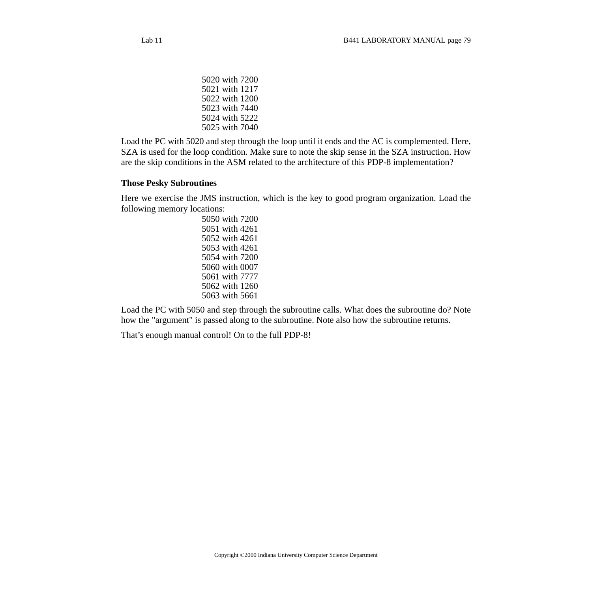5020 with 7200 5021 with 1217 5022 with 1200 5023 with 7440 5024 with 5222 5025 with 7040

Load the PC with 5020 and step through the loop until it ends and the AC is complemented. Here, SZA is used for the loop condition. Make sure to note the skip sense in the SZA instruction. How are the skip conditions in the ASM related to the architecture of this PDP-8 implementation?

#### **Those Pesky Subroutines**

Here we exercise the JMS instruction, which is the key to good program organization. Load the following memory locations:

Load the PC with 5050 and step through the subroutine calls. What does the subroutine do? Note how the "argument" is passed along to the subroutine. Note also how the subroutine returns.

That's enough manual control! On to the full PDP-8!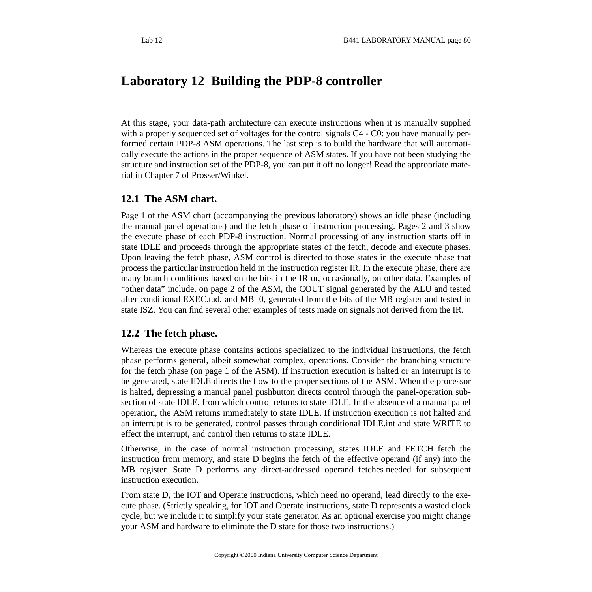# **Laboratory 12 Building the PDP-8 controller**

At this stage, your data-path architecture can execute instructions when it is manually supplied with a properly sequenced set of voltages for the control signals C4 - C0: you have manually performed certain PDP-8 ASM operations. The last step is to build the hardware that will automatically execute the actions in the proper sequence of ASM states. If you have not been studying the structure and instruction set of the PDP-8, you can put it off no longer! Read the appropriate material in Chapter 7 of Prosser/Winkel.

# **12.1 The ASM chart.**

Page 1 of the [ASM](http://www.cs.indiana.edu/classes/b441/lab/manual/asm.pdf) chart (accompanying the previous laboratory) shows an idle phase (including the manual panel operations) and the fetch phase of instruction processing. Pages 2 and 3 show the execute phase of each PDP-8 instruction. Normal processing of any instruction starts off in state IDLE and proceeds through the appropriate states of the fetch, decode and execute phases. Upon leaving the fetch phase, ASM control is directed to those states in the execute phase that process the particular instruction held in the instruction register IR. In the execute phase, there are many branch conditions based on the bits in the IR or, occasionally, on other data. Examples of "other data" include, on page 2 of the ASM, the COUT signal generated by the ALU and tested after conditional EXEC.tad, and MB=0, generated from the bits of the MB register and tested in state ISZ. You can find several other examples of tests made on signals not derived from the IR.

## **12.2 The fetch phase.**

Whereas the execute phase contains actions specialized to the individual instructions, the fetch phase performs general, albeit somewhat complex, operations. Consider the branching structure for the fetch phase (on page 1 of the ASM). If instruction execution is halted or an interrupt is to be generated, state IDLE directs the flow to the proper sections of the ASM. When the processor is halted, depressing a manual panel pushbutton directs control through the panel-operation subsection of state IDLE, from which control returns to state IDLE. In the absence of a manual panel operation, the ASM returns immediately to state IDLE. If instruction execution is not halted and an interrupt is to be generated, control passes through conditional IDLE.int and state WRITE to effect the interrupt, and control then returns to state IDLE.

Otherwise, in the case of normal instruction processing, states IDLE and FETCH fetch the instruction from memory, and state D begins the fetch of the effective operand (if any) into the MB register. State D performs any direct-addressed operand fetches needed for subsequent instruction execution.

From state D, the IOT and Operate instructions, which need no operand, lead directly to the execute phase. (Strictly speaking, for IOT and Operate instructions, state D represents a wasted clock cycle, but we include it to simplify your state generator. As an optional exercise you might change your ASM and hardware to eliminate the D state for those two instructions.)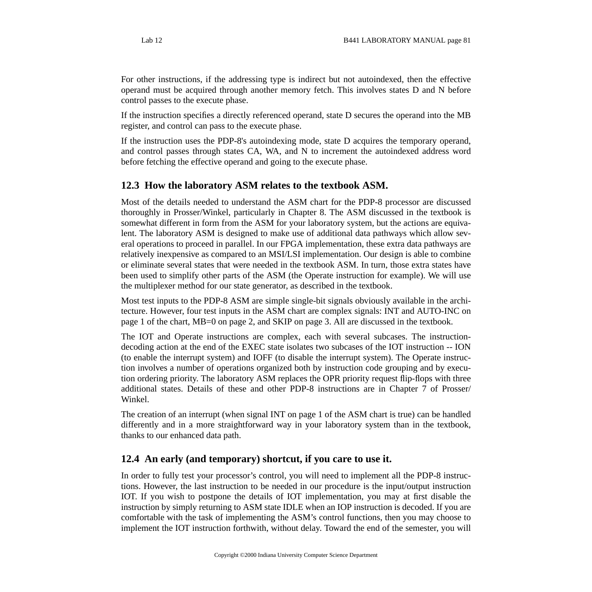For other instructions, if the addressing type is indirect but not autoindexed, then the effective operand must be acquired through another memory fetch. This involves states D and N before control passes to the execute phase.

If the instruction specifies a directly referenced operand, state D secures the operand into the MB register, and control can pass to the execute phase.

If the instruction uses the PDP-8's autoindexing mode, state D acquires the temporary operand, and control passes through states CA, WA, and N to increment the autoindexed address word before fetching the effective operand and going to the execute phase.

## **12.3 How the laboratory ASM relates to the textbook ASM.**

Most of the details needed to understand the ASM chart for the PDP-8 processor are discussed thoroughly in Prosser/Winkel, particularly in Chapter 8. The ASM discussed in the textbook is somewhat different in form from the ASM for your laboratory system, but the actions are equivalent. The laboratory ASM is designed to make use of additional data pathways which allow several operations to proceed in parallel. In our FPGA implementation, these extra data pathways are relatively inexpensive as compared to an MSI/LSI implementation. Our design is able to combine or eliminate several states that were needed in the textbook ASM. In turn, those extra states have been used to simplify other parts of the ASM (the Operate instruction for example). We will use the multiplexer method for our state generator, as described in the textbook.

Most test inputs to the PDP-8 ASM are simple single-bit signals obviously available in the architecture. However, four test inputs in the ASM chart are complex signals: INT and AUTO-INC on page 1 of the chart, MB=0 on page 2, and SKIP on page 3. All are discussed in the textbook.

The IOT and Operate instructions are complex, each with several subcases. The instructiondecoding action at the end of the EXEC state isolates two subcases of the IOT instruction -- ION (to enable the interrupt system) and IOFF (to disable the interrupt system). The Operate instruction involves a number of operations organized both by instruction code grouping and by execution ordering priority. The laboratory ASM replaces the OPR priority request flip-flops with three additional states. Details of these and other PDP-8 instructions are in Chapter 7 of Prosser/ Winkel.

The creation of an interrupt (when signal INT on page 1 of the ASM chart is true) can be handled differently and in a more straightforward way in your laboratory system than in the textbook, thanks to our enhanced data path.

# **12.4 An early (and temporary) shortcut, if you care to use it.**

In order to fully test your processor's control, you will need to implement all the PDP-8 instructions. However, the last instruction to be needed in our procedure is the input/output instruction IOT. If you wish to postpone the details of IOT implementation, you may at first disable the instruction by simply returning to ASM state IDLE when an IOP instruction is decoded. If you are comfortable with the task of implementing the ASM's control functions, then you may choose to implement the IOT instruction forthwith, without delay. Toward the end of the semester, you will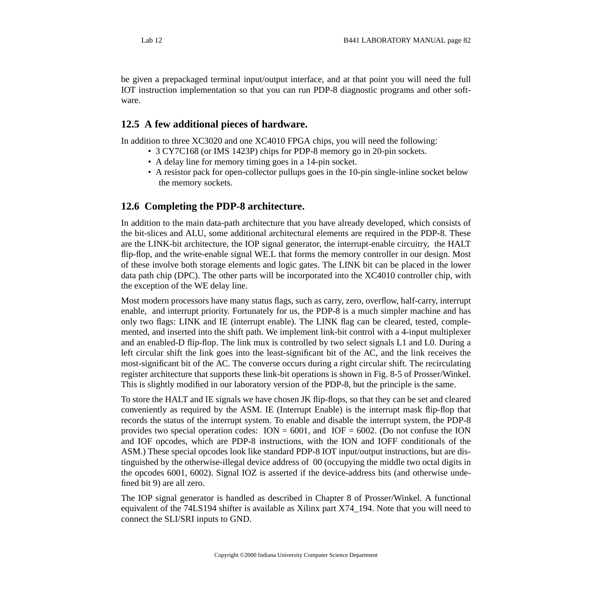be given a prepackaged terminal input/output interface, and at that point you will need the full IOT instruction implementation so that you can run PDP-8 diagnostic programs and other software.

## **12.5 A few additional pieces of hardware.**

In addition to three XC3020 and one XC4010 FPGA chips, you will need the following:

- 3 CY7C168 (or IMS 1423P) chips for PDP-8 memory go in 20-pin sockets.
- A delay line for memory timing goes in a 14-pin socket.
- A resistor pack for open-collector pullups goes in the 10-pin single-inline socket below the memory sockets.

## **12.6 Completing the PDP-8 architecture.**

In addition to the main data-path architecture that you have already developed, which consists of the bit-slices and ALU, some additional architectural elements are required in the PDP-8. These are the LINK-bit architecture, the IOP signal generator, the interrupt-enable circuitry, the HALT flip-flop, and the write-enable signal WE.L that forms the memory controller in our design. Most of these involve both storage elements and logic gates. The LINK bit can be placed in the lower data path chip (DPC). The other parts will be incorporated into the XC4010 controller chip, with the exception of the WE delay line.

Most modern processors have many status flags, such as carry, zero, overflow, half-carry, interrupt enable, and interrupt priority. Fortunately for us, the PDP-8 is a much simpler machine and has only two flags: LINK and IE (interrupt enable). The LINK flag can be cleared, tested, complemented, and inserted into the shift path. We implement link-bit control with a 4-input multiplexer and an enabled-D flip-flop. The link mux is controlled by two select signals L1 and L0. During a left circular shift the link goes into the least-significant bit of the AC, and the link receives the most-significant bit of the AC. The converse occurs during a right circular shift. The recirculating register architecture that supports these link-bit operations is shown in Fig. 8-5 of Prosser/Winkel. This is slightly modified in our laboratory version of the PDP-8, but the principle is the same.

To store the HALT and IE signals we have chosen JK flip-flops, so that they can be set and cleared conveniently as required by the ASM. IE (Interrupt Enable) is the interrupt mask flip-flop that records the status of the interrupt system. To enable and disable the interrupt system, the PDP-8 provides two special operation codes:  $ION = 6001$ , and  $IOF = 6002$ . (Do not confuse the ION and IOF opcodes, which are PDP-8 instructions, with the ION and IOFF conditionals of the ASM.) These special opcodes look like standard PDP-8 IOT input/output instructions, but are distinguished by the otherwise-illegal device address of 00 (occupying the middle two octal digits in the opcodes 6001, 6002). Signal IOZ is asserted if the device-address bits (and otherwise undefined bit 9) are all zero.

The IOP signal generator is handled as described in Chapter 8 of Prosser/Winkel. A functional equivalent of the 74LS194 shifter is available as Xilinx part X74\_194. Note that you will need to connect the SLI/SRI inputs to GND.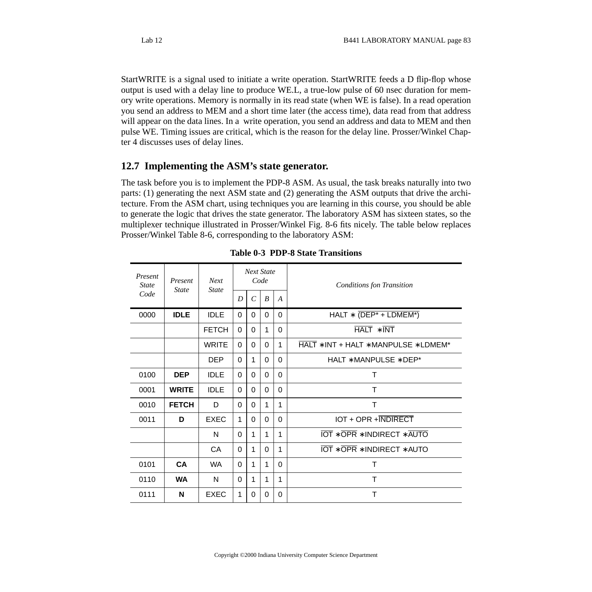StartWRITE is a signal used to initiate a write operation. StartWRITE feeds a D flip-flop whose output is used with a delay line to produce WE.L, a true-low pulse of 60 nsec duration for memory write operations. Memory is normally in its read state (when WE is false). In a read operation you send an address to MEM and a short time later (the access time), data read from that address will appear on the data lines. In a write operation, you send an address and data to MEM and then pulse WE. Timing issues are critical, which is the reason for the delay line. Prosser/Winkel Chapter 4 discusses uses of delay lines.

## **12.7 Implementing the ASM's state generator.**

The task before you is to implement the PDP-8 ASM. As usual, the task breaks naturally into two parts: (1) generating the next ASM state and (2) generating the ASM outputs that drive the architecture. From the ASM chart, using techniques you are learning in this course, you should be able to generate the logic that drives the state generator. The laboratory ASM has sixteen states, so the multiplexer technique illustrated in Prosser/Winkel Fig. 8-6 fits nicely. The table below replaces Prosser/Winkel Table 8-6, corresponding to the laboratory ASM:

| Present<br><b>State</b> | Present<br><b>State</b> | <b>Next</b><br><b>State</b> |          |               | <b>Next State</b><br>Code |                  | <b>Conditions fon Transition</b>      |  |
|-------------------------|-------------------------|-----------------------------|----------|---------------|---------------------------|------------------|---------------------------------------|--|
| Code                    |                         |                             | D        | $\mathcal{C}$ | $\boldsymbol{B}$          | $\boldsymbol{A}$ |                                       |  |
| 0000                    | <b>IDLE</b>             | <b>IDLE</b>                 | $\Omega$ | $\Omega$      | $\Omega$                  | $\Omega$         | HALT $*$ (DEP* + LDMEM*)              |  |
|                         |                         | <b>FETCH</b>                | $\Omega$ | $\Omega$      | 1                         | $\Omega$         | $HALT * INT$                          |  |
|                         |                         | <b>WRITE</b>                | $\Omega$ | $\Omega$      | $\Omega$                  | 1                | HALT * INT + HALT * MANPULSE * LDMEM* |  |
|                         |                         | <b>DEP</b>                  | $\Omega$ | 1             | $\Omega$                  | $\Omega$         | $HALT * MANPLILSE * DEP*$             |  |
| 0100                    | <b>DEP</b>              | <b>IDLE</b>                 | $\Omega$ | $\Omega$      | 0                         | $\Omega$         | Т                                     |  |
| 0001                    | <b>WRITE</b>            | <b>IDLE</b>                 | $\Omega$ | $\Omega$      | $\Omega$                  | $\Omega$         | т                                     |  |
| 0010                    | <b>FETCH</b>            | D                           | $\Omega$ | $\Omega$      | 1                         | 1                | Τ                                     |  |
| 0011                    | D                       | <b>EXEC</b>                 | 1        | 0             | 0                         | $\Omega$         | IOT + OPR + INDIRECT                  |  |
|                         |                         | N                           | $\Omega$ | 1             | 1                         | 1                | <b>IOT * OPR * INDIRECT * AUTO</b>    |  |
|                         |                         | CA                          | $\Omega$ | $\mathbf{1}$  | $\Omega$                  | 1                | <b>IOT * OPR * INDIRECT * AUTO</b>    |  |
| 0101                    | CA                      | <b>WA</b>                   | $\Omega$ | 1             | 1                         | 0                | Т                                     |  |
| 0110                    | <b>WA</b>               | N                           | $\Omega$ | 1             | 1                         | 1                | Т                                     |  |
| 0111                    | N                       | <b>EXEC</b>                 | 1        | $\Omega$      | 0                         | $\Omega$         | Τ                                     |  |

|  |  | <b>Table 0-3 PDP-8 State Transitions</b> |
|--|--|------------------------------------------|
|  |  |                                          |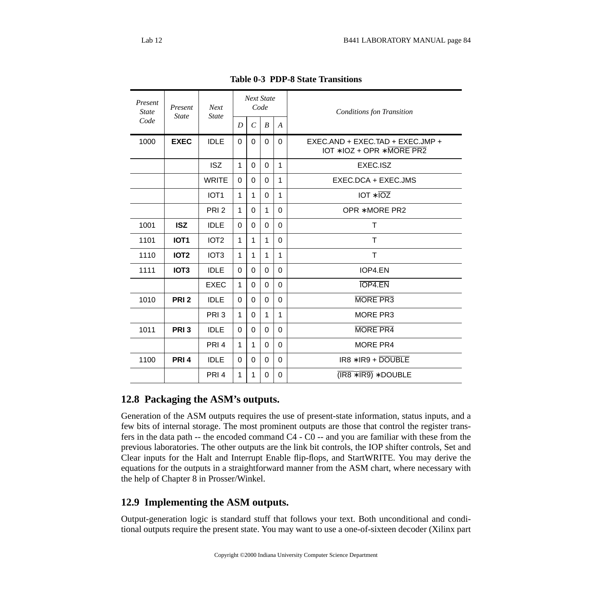| Present<br><b>State</b> | Present<br><b>State</b> | <b>Next</b><br><b>State</b> | <b>Next State</b><br>Code |                  |                  |                  | <b>Conditions fon Transition</b>                                            |  |
|-------------------------|-------------------------|-----------------------------|---------------------------|------------------|------------------|------------------|-----------------------------------------------------------------------------|--|
| Code                    |                         |                             | D                         | $\boldsymbol{C}$ | $\boldsymbol{B}$ | $\boldsymbol{A}$ |                                                                             |  |
| 1000                    | <b>EXEC</b>             | <b>IDLE</b>                 | 0                         | 0                | 0                | $\Omega$         | EXEC.AND + EXEC.TAD + EXEC.JMP +<br>$IOT * IOZ + OPR * \overline{MORE PR2}$ |  |
|                         |                         | <b>ISZ</b>                  | $\mathbf{1}$              | $\mathbf{0}$     | $\mathbf 0$      | $\mathbf{1}$     | EXEC.ISZ                                                                    |  |
|                         |                         | <b>WRITE</b>                | $\Omega$                  | $\Omega$         | $\Omega$         | $\mathbf{1}$     | EXEC.DCA + EXEC.JMS                                                         |  |
|                         |                         | IOT <sub>1</sub>            | $\mathbf{1}$              | 1                | $\Omega$         | $\mathbf{1}$     | $IOT * IOZ$                                                                 |  |
|                         |                         | PRI <sub>2</sub>            | $\mathbf{1}$              | $\Omega$         | 1                | $\Omega$         | OPR * MORE PR2                                                              |  |
| 1001                    | <b>ISZ</b>              | <b>IDLE</b>                 | 0                         | $\Omega$         | $\Omega$         | $\Omega$         | T                                                                           |  |
| 1101                    | IOT <sub>1</sub>        | IOT <sub>2</sub>            | $\mathbf{1}$              | $\mathbf{1}$     | $\mathbf{1}$     | $\Omega$         | T                                                                           |  |
| 1110                    | <b>IOT2</b>             | IOT <sub>3</sub>            | $\mathbf 1$               | $\mathbf 1$      | $\mathbf 1$      | $\mathbf 1$      | T                                                                           |  |
| 1111                    | IOT <sub>3</sub>        | <b>IDLE</b>                 | $\Omega$                  | $\Omega$         | $\Omega$         | $\Omega$         | IOP4.EN                                                                     |  |
|                         |                         | <b>EXEC</b>                 | $\mathbf{1}$              | $\Omega$         | $\Omega$         | $\Omega$         | <b>IOP4.EN</b>                                                              |  |
| 1010                    | PRI <sub>2</sub>        | <b>IDLE</b>                 | $\mathbf 0$               | $\mathbf{0}$     | $\Omega$         | $\Omega$         | <b>MORE PR3</b>                                                             |  |
|                         |                         | PRI <sub>3</sub>            | $\mathbf{1}$              | $\Omega$         | $\mathbf{1}$     | $\mathbf{1}$     | <b>MORE PR3</b>                                                             |  |
| 1011                    | PRI <sub>3</sub>        | <b>IDLE</b>                 | 0                         | 0                | $\Omega$         | $\Omega$         | <b>MORE PR4</b>                                                             |  |
|                         |                         | PRI <sub>4</sub>            | $\mathbf{1}$              | 1                | $\Omega$         | $\Omega$         | MORE PR4                                                                    |  |
| 1100                    | PRI <sub>4</sub>        | <b>IDLE</b>                 | $\Omega$                  | $\Omega$         | $\Omega$         | $\Omega$         | $IR8 * IR9 + DOUBLE$                                                        |  |
|                         |                         | PRI <sub>4</sub>            | $\mathbf{1}$              | 1                | $\Omega$         | 0                | $(IR8 * IR9) * DOUBLE$                                                      |  |

**Table 0-3 PDP-8 State Transitions**

## **12.8 Packaging the ASM's outputs.**

Generation of the ASM outputs requires the use of present-state information, status inputs, and a few bits of internal storage. The most prominent outputs are those that control the register transfers in the data path -- the encoded command C4 - C0 -- and you are familiar with these from the previous laboratories. The other outputs are the link bit controls, the IOP shifter controls, Set and Clear inputs for the Halt and Interrupt Enable flip-flops, and StartWRITE. You may derive the equations for the outputs in a straightforward manner from the ASM chart, where necessary with the help of Chapter 8 in Prosser/Winkel.

# **12.9 Implementing the ASM outputs.**

Output-generation logic is standard stuff that follows your text. Both unconditional and conditional outputs require the present state. You may want to use a one-of-sixteen decoder (Xilinx part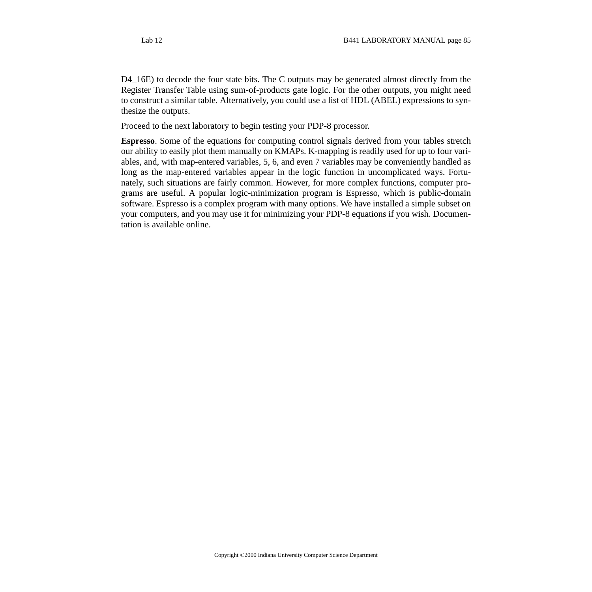D4\_16E) to decode the four state bits. The C outputs may be generated almost directly from the Register Transfer Table using sum-of-products gate logic. For the other outputs, you might need to construct a similar table. Alternatively, you could use a list of HDL (ABEL) expressions to synthesize the outputs.

Proceed to the next laboratory to begin testing your PDP-8 processor.

**Espresso**. Some of the equations for computing control signals derived from your tables stretch our ability to easily plot them manually on KMAPs. K-mapping is readily used for up to four variables, and, with map-entered variables, 5, 6, and even 7 variables may be conveniently handled as long as the map-entered variables appear in the logic function in uncomplicated ways. Fortunately, such situations are fairly common. However, for more complex functions, computer programs are useful. A popular logic-minimization program is Espresso, which is public-domain software. Espresso is a complex program with many options. We have installed a simple subset on your computers, and you may use it for minimizing your PDP-8 equations if you wish. Documentation is available online.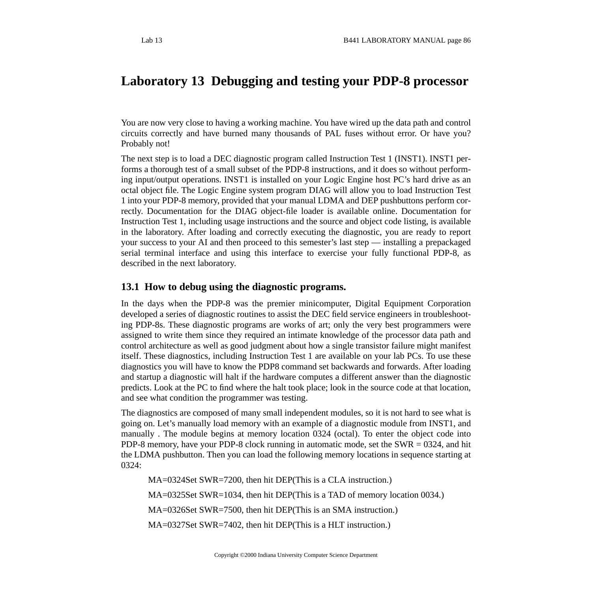# **Laboratory 13 Debugging and testing your PDP-8 processor**

You are now very close to having a working machine. You have wired up the data path and control circuits correctly and have burned many thousands of PAL fuses without error. Or have you? Probably not!

The next step is to load a DEC diagnostic program called Instruction Test 1 (INST1). INST1 performs a thorough test of a small subset of the PDP-8 instructions, and it does so without performing input/output operations. INST1 is installed on your Logic Engine host PC's hard drive as an octal object file. The Logic Engine system program DIAG will allow you to load Instruction Test 1 into your PDP-8 memory, provided that your manual LDMA and DEP pushbuttons perform correctly. Documentation for the DIAG object-file loader is available online. Documentation for Instruction Test 1, including usage instructions and the source and object code listing, is available in the laboratory. After loading and correctly executing the diagnostic, you are ready to report your success to your AI and then proceed to this semester's last step — installing a prepackaged serial terminal interface and using this interface to exercise your fully functional PDP-8, as described in the next laboratory.

### **13.1 How to debug using the diagnostic programs.**

In the days when the PDP-8 was the premier minicomputer, Digital Equipment Corporation developed a series of diagnostic routines to assist the DEC field service engineers in troubleshooting PDP-8s. These diagnostic programs are works of art; only the very best programmers were assigned to write them since they required an intimate knowledge of the processor data path and control architecture as well as good judgment about how a single transistor failure might manifest itself. These diagnostics, including Instruction Test 1 are available on your lab PCs. To use these diagnostics you will have to know the PDP8 command set backwards and forwards. After loading and startup a diagnostic will halt if the hardware computes a different answer than the diagnostic predicts. Look at the PC to find where the halt took place; look in the source code at that location, and see what condition the programmer was testing.

The diagnostics are composed of many small independent modules, so it is not hard to see what is going on. Let's manually load memory with an example of a diagnostic module from INST1, and manually . The module begins at memory location 0324 (octal). To enter the object code into PDP-8 memory, have your PDP-8 clock running in automatic mode, set the SWR = 0324, and hit the LDMA pushbutton. Then you can load the following memory locations in sequence starting at 0324:

MA=0324Set SWR=7200, then hit DEP(This is a CLA instruction.) MA=0325Set SWR=1034, then hit DEP(This is a TAD of memory location 0034.) MA=0326Set SWR=7500, then hit DEP(This is an SMA instruction.) MA=0327Set SWR=7402, then hit DEP(This is a HLT instruction.)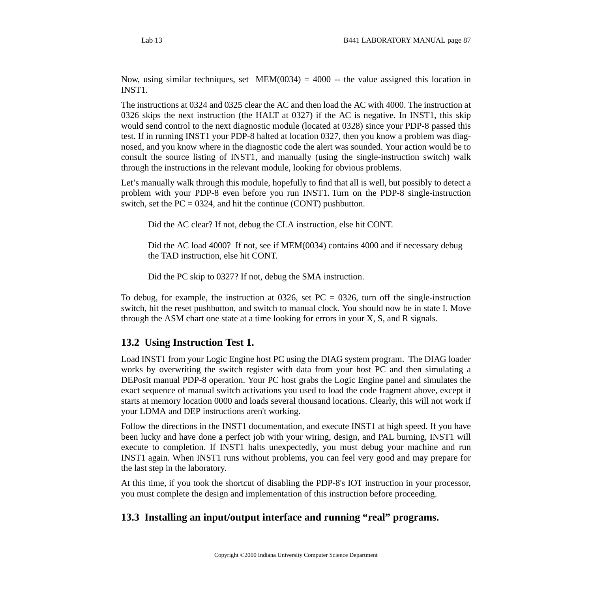Now, using similar techniques, set  $MEM(0034) = 4000$  -- the value assigned this location in INST1.

The instructions at 0324 and 0325 clear the AC and then load the AC with 4000. The instruction at 0326 skips the next instruction (the HALT at 0327) if the AC is negative. In INST1, this skip would send control to the next diagnostic module (located at 0328) since your PDP-8 passed this test. If in running INST1 your PDP-8 halted at location 0327, then you know a problem was diagnosed, and you know where in the diagnostic code the alert was sounded. Your action would be to consult the source listing of INST1, and manually (using the single-instruction switch) walk through the instructions in the relevant module, looking for obvious problems.

Let's manually walk through this module, hopefully to find that all is well, but possibly to detect a problem with your PDP-8 even before you run INST1. Turn on the PDP-8 single-instruction switch, set the  $PC = 0324$ , and hit the continue (CONT) pushbutton.

Did the AC clear? If not, debug the CLA instruction, else hit CONT.

Did the AC load 4000? If not, see if MEM(0034) contains 4000 and if necessary debug the TAD instruction, else hit CONT.

Did the PC skip to 0327? If not, debug the SMA instruction.

To debug, for example, the instruction at 0326, set  $PC = 0326$ , turn off the single-instruction switch, hit the reset pushbutton, and switch to manual clock. You should now be in state I. Move through the ASM chart one state at a time looking for errors in your X, S, and R signals.

# **13.2 Using Instruction Test 1.**

Load INST1 from your Logic Engine host PC using the DIAG system program. The DIAG loader works by overwriting the switch register with data from your host PC and then simulating a DEPosit manual PDP-8 operation. Your PC host grabs the Logic Engine panel and simulates the exact sequence of manual switch activations you used to load the code fragment above, except it starts at memory location 0000 and loads several thousand locations. Clearly, this will not work if your LDMA and DEP instructions aren't working.

Follow the directions in the INST1 documentation, and execute INST1 at high speed. If you have been lucky and have done a perfect job with your wiring, design, and PAL burning, INST1 will execute to completion. If INST1 halts unexpectedly, you must debug your machine and run INST1 again. When INST1 runs without problems, you can feel very good and may prepare for the last step in the laboratory.

At this time, if you took the shortcut of disabling the PDP-8's IOT instruction in your processor, you must complete the design and implementation of this instruction before proceeding.

# **13.3 Installing an input/output interface and running "real" programs.**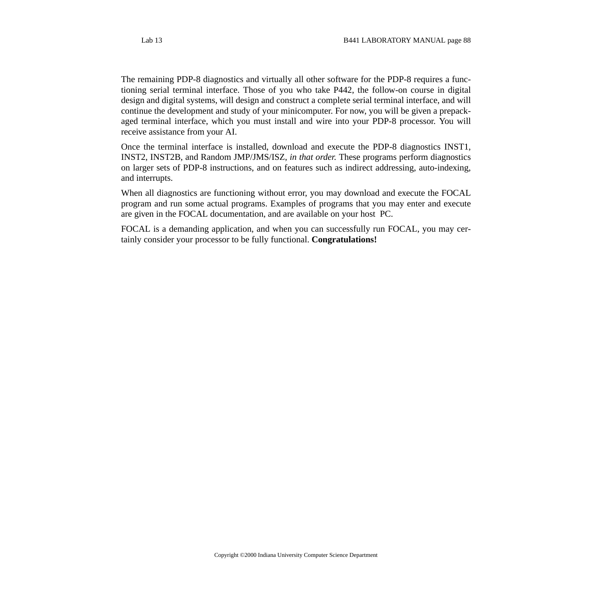The remaining PDP-8 diagnostics and virtually all other software for the PDP-8 requires a functioning serial terminal interface. Those of you who take P442, the follow-on course in digital design and digital systems, will design and construct a complete serial terminal interface, and will continue the development and study of your minicomputer. For now, you will be given a prepackaged terminal interface, which you must install and wire into your PDP-8 processor. You will receive assistance from your AI.

Once the terminal interface is installed, download and execute the PDP-8 diagnostics INST1, INST2, INST2B, and Random JMP/JMS/ISZ, *in that order.* These programs perform diagnostics on larger sets of PDP-8 instructions, and on features such as indirect addressing, auto-indexing, and interrupts.

When all diagnostics are functioning without error, you may download and execute the FOCAL program and run some actual programs. Examples of programs that you may enter and execute are given in the FOCAL documentation, and are available on your host PC.

FOCAL is a demanding application, and when you can successfully run FOCAL, you may certainly consider your processor to be fully functional. **Congratulations!**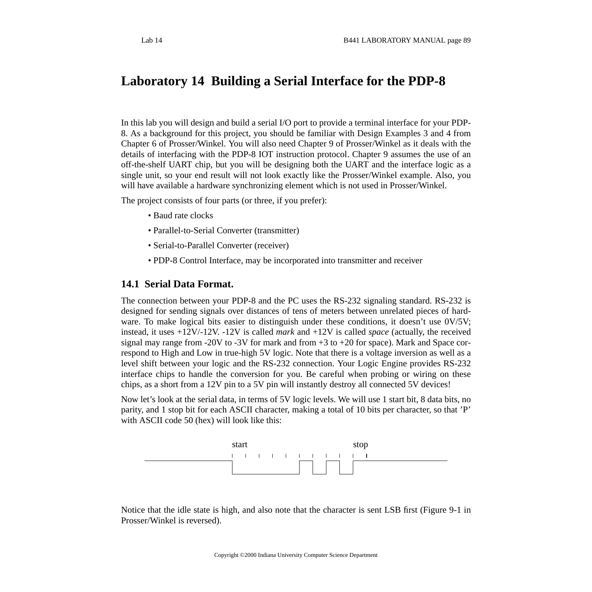# **Laboratory 14 Building a Serial Interface for the PDP-8**

In this lab you will design and build a serial I/O port to provide a terminal interface for your PDP-8. As a background for this project, you should be familiar with Design Examples 3 and 4 from Chapter 6 of Prosser/Winkel. You will also need Chapter 9 of Prosser/Winkel as it deals with the details of interfacing with the PDP-8 IOT instruction protocol. Chapter 9 assumes the use of an off-the-shelf UART chip, but you will be designing both the UART and the interface logic as a single unit, so your end result will not look exactly like the Prosser/Winkel example. Also, you will have available a hardware synchronizing element which is not used in Prosser/Winkel.

The project consists of four parts (or three, if you prefer):

- Baud rate clocks
- Parallel-to-Serial Converter (transmitter)
- Serial-to-Parallel Converter (receiver)
- PDP-8 Control Interface, may be incorporated into transmitter and receiver

## **14.1 Serial Data Format.**

The connection between your PDP-8 and the PC uses the RS-232 signaling standard. RS-232 is designed for sending signals over distances of tens of meters between unrelated pieces of hardware. To make logical bits easier to distinguish under these conditions, it doesn't use 0V/5V; instead, it uses +12V/-12V. -12V is called *mark* and +12V is called *space* (actually, the received signal may range from -20V to -3V for mark and from  $+3$  to  $+20$  for space). Mark and Space correspond to High and Low in true-high 5V logic. Note that there is a voltage inversion as well as a level shift between your logic and the RS-232 connection. Your Logic Engine provides RS-232 interface chips to handle the conversion for you. Be careful when probing or wiring on these chips, as a short from a 12V pin to a 5V pin will instantly destroy all connected 5V devices!

Now let's look at the serial data, in terms of 5V logic levels. We will use 1 start bit, 8 data bits, no parity, and 1 stop bit for each ASCII character, making a total of 10 bits per character, so that 'P' with ASCII code 50 (hex) will look like this:



Notice that the idle state is high, and also note that the character is sent LSB first (Figure 9-1 in Prosser/Winkel is reversed).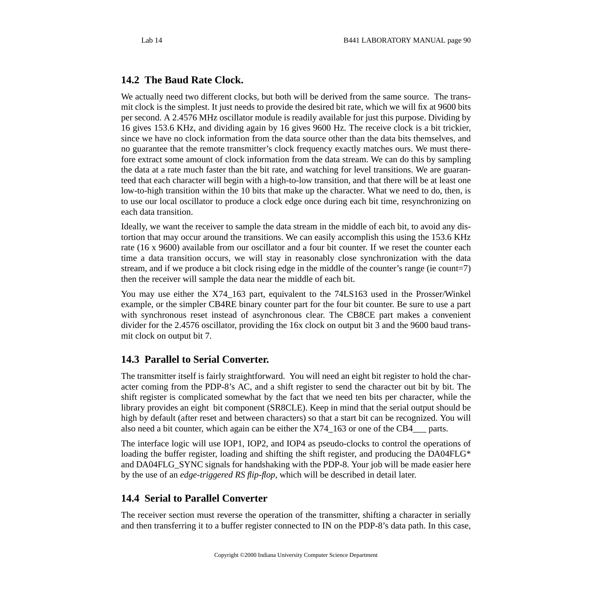## **14.2 The Baud Rate Clock.**

We actually need two different clocks, but both will be derived from the same source. The transmit clock is the simplest. It just needs to provide the desired bit rate, which we will fix at 9600 bits per second. A 2.4576 MHz oscillator module is readily available for just this purpose. Dividing by 16 gives 153.6 KHz, and dividing again by 16 gives 9600 Hz. The receive clock is a bit trickier, since we have no clock information from the data source other than the data bits themselves, and no guarantee that the remote transmitter's clock frequency exactly matches ours. We must therefore extract some amount of clock information from the data stream. We can do this by sampling the data at a rate much faster than the bit rate, and watching for level transitions. We are guaranteed that each character will begin with a high-to-low transition, and that there will be at least one low-to-high transition within the 10 bits that make up the character. What we need to do, then, is to use our local oscillator to produce a clock edge once during each bit time, resynchronizing on each data transition.

Ideally, we want the receiver to sample the data stream in the middle of each bit, to avoid any distortion that may occur around the transitions. We can easily accomplish this using the 153.6 KHz rate (16 x 9600) available from our oscillator and a four bit counter. If we reset the counter each time a data transition occurs, we will stay in reasonably close synchronization with the data stream, and if we produce a bit clock rising edge in the middle of the counter's range (ie count=7) then the receiver will sample the data near the middle of each bit.

You may use either the X74\_163 part, equivalent to the 74LS163 used in the Prosser/Winkel example, or the simpler CB4RE binary counter part for the four bit counter. Be sure to use a part with synchronous reset instead of asynchronous clear. The CB8CE part makes a convenient divider for the 2.4576 oscillator, providing the 16x clock on output bit 3 and the 9600 baud transmit clock on output bit 7.

# **14.3 Parallel to Serial Converter.**

The transmitter itself is fairly straightforward. You will need an eight bit register to hold the character coming from the PDP-8's AC, and a shift register to send the character out bit by bit. The shift register is complicated somewhat by the fact that we need ten bits per character, while the library provides an eight bit component (SR8CLE). Keep in mind that the serial output should be high by default (after reset and between characters) so that a start bit can be recognized. You will also need a bit counter, which again can be either the X74\_163 or one of the CB4\_\_\_ parts.

The interface logic will use IOP1, IOP2, and IOP4 as pseudo-clocks to control the operations of loading the buffer register, loading and shifting the shift register, and producing the DA04FLG\* and DA04FLG\_SYNC signals for handshaking with the PDP-8. Your job will be made easier here by the use of an *edge-triggered RS flip-flop*, which will be described in detail later.

# **14.4 Serial to Parallel Converter**

The receiver section must reverse the operation of the transmitter, shifting a character in serially and then transferring it to a buffer register connected to IN on the PDP-8's data path. In this case,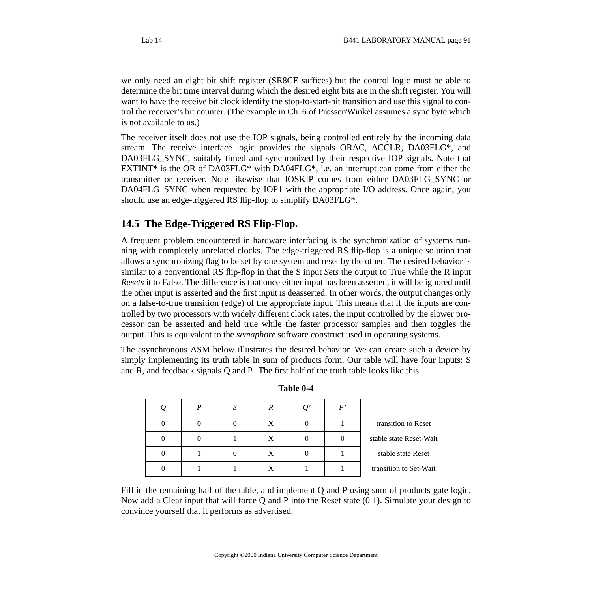we only need an eight bit shift register (SR8CE suffices) but the control logic must be able to determine the bit time interval during which the desired eight bits are in the shift register. You will want to have the receive bit clock identify the stop-to-start-bit transition and use this signal to control the receiver's bit counter. (The example in Ch. 6 of Prosser/Winkel assumes a sync byte which is not available to us.)

The receiver itself does not use the IOP signals, being controlled entirely by the incoming data stream. The receive interface logic provides the signals ORAC, ACCLR, DA03FLG\*, and DA03FLG\_SYNC, suitably timed and synchronized by their respective IOP signals. Note that EXTINT $*$  is the OR of DA03FLG $*$  with DA04FLG $*$ , i.e. an interrupt can come from either the transmitter or receiver. Note likewise that IOSKIP comes from either DA03FLG\_SYNC or DA04FLG SYNC when requested by IOP1 with the appropriate I/O address. Once again, you should use an edge-triggered RS flip-flop to simplify DA03FLG\*.

# **14.5 The Edge-Triggered RS Flip-Flop.**

A frequent problem encountered in hardware interfacing is the synchronization of systems running with completely unrelated clocks. The edge-triggered RS flip-flop is a unique solution that allows a synchronizing flag to be set by one system and reset by the other. The desired behavior is similar to a conventional RS flip-flop in that the S input *Sets* the output to True while the R input *Resets* it to False. The difference is that once either input has been asserted, it will be ignored until the other input is asserted and the first input is deasserted. In other words, the output changes only on a false-to-true transition (edge) of the appropriate input. This means that if the inputs are controlled by two processors with widely different clock rates, the input controlled by the slower processor can be asserted and held true while the faster processor samples and then toggles the output. This is equivalent to the *semaphore* software construct used in operating systems.

The asynchronous ASM below illustrates the desired behavior. We can create such a device by simply implementing its truth table in sum of products form. Our table will have four inputs: S and R, and feedback signals Q and P. The first half of the truth table looks like this

|                         | $\mathbf{p}$ , | Q' | R | S |  |
|-------------------------|----------------|----|---|---|--|
| transition to Reset     |                |    | X |   |  |
| stable state Reset-Wait |                |    | X |   |  |
| stable state Reset      |                |    | X |   |  |
| transition to Set-Wait  |                |    |   |   |  |

**Table 0-4**

Fill in the remaining half of the table, and implement Q and P using sum of products gate logic. Now add a Clear input that will force Q and P into the Reset state (0 1). Simulate your design to convince yourself that it performs as advertised.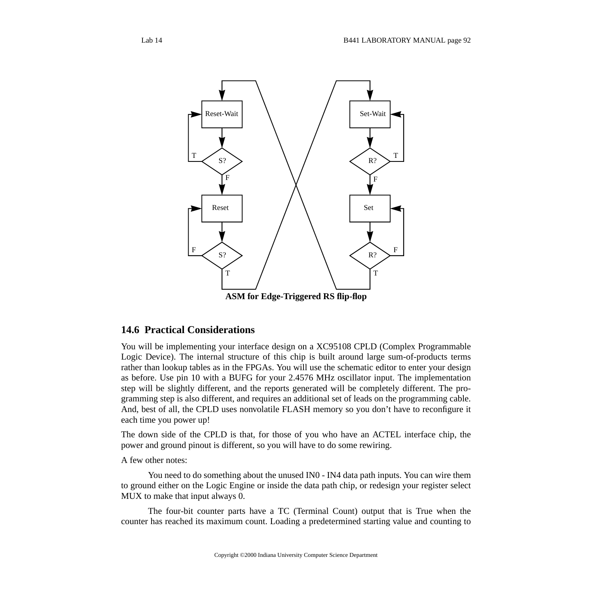

**ASM for Edge-Triggered RS flip-flop**

### **14.6 Practical Considerations**

You will be implementing your interface design on a XC95108 CPLD (Complex Programmable Logic Device). The internal structure of this chip is built around large sum-of-products terms rather than lookup tables as in the FPGAs. You will use the schematic editor to enter your design as before. Use pin 10 with a BUFG for your 2.4576 MHz oscillator input. The implementation step will be slightly different, and the reports generated will be completely different. The programming step is also different, and requires an additional set of leads on the programming cable. And, best of all, the CPLD uses nonvolatile FLASH memory so you don't have to reconfigure it each time you power up!

The down side of the CPLD is that, for those of you who have an ACTEL interface chip, the power and ground pinout is different, so you will have to do some rewiring.

A few other notes:

You need to do something about the unused IN0 - IN4 data path inputs. You can wire them to ground either on the Logic Engine or inside the data path chip, or redesign your register select MUX to make that input always 0.

The four-bit counter parts have a TC (Terminal Count) output that is True when the counter has reached its maximum count. Loading a predetermined starting value and counting to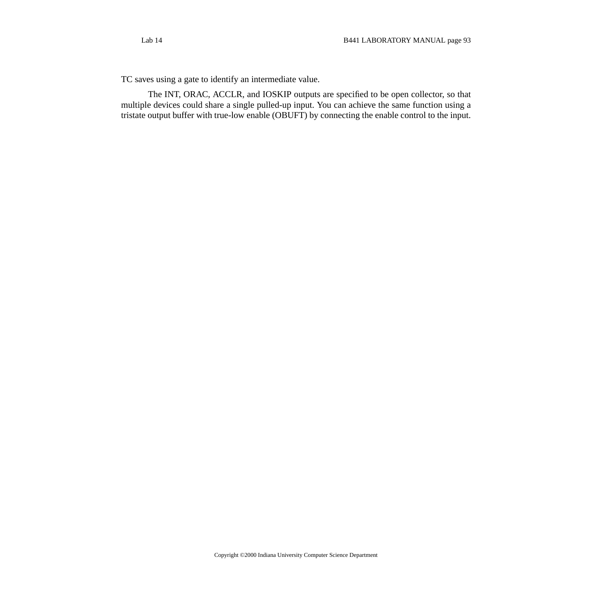TC saves using a gate to identify an intermediate value.

The INT, ORAC, ACCLR, and IOSKIP outputs are specified to be open collector, so that multiple devices could share a single pulled-up input. You can achieve the same function using a tristate output buffer with true-low enable (OBUFT) by connecting the enable control to the input.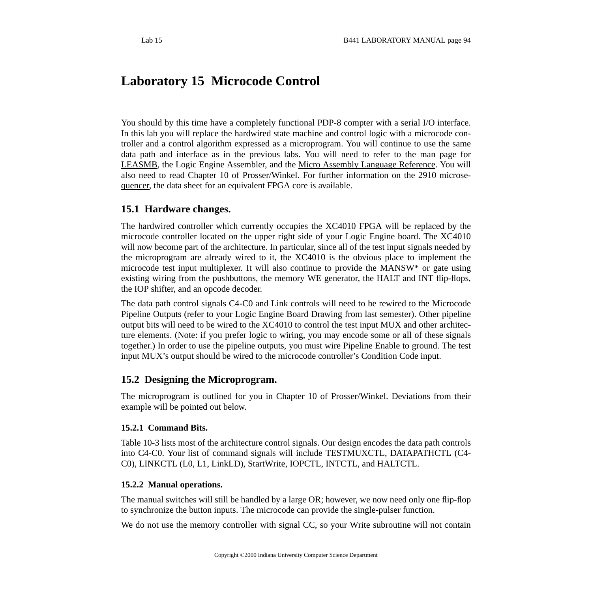# **Laboratory 15 Microcode Control**

You should by this time have a completely functional PDP-8 compter with a serial I/O interface. In this lab you will replace the hardwired state machine and control logic with a microcode controller and a control algorithm expressed as a microprogram. You will continue to use the same data path and interface as in the previous labs. You will need to refer to the [m](http://www.cs.indiana.edu/classes/c421/man/leasmb.html)an [page](http://www.cs.indiana.edu/classes/b441/lab/manual/leasmb.html) for [LEASMB,](http://www.cs.indiana.edu/classes/b441/lab/manual/leasmb.html) the Logic Engine Assembler, and the Micro Assembly Language [Reference](http://www.cs.indiana.edu/classes/b441/lab/manual/asmbl.html). You will also need to read Chapter 10 of Prosser/Winkel. For further information on the 2910 [microse](http://www.cs.indiana.edu/classes/b441/lab/manual/c2910a_mc.pdf)[quencer,](http://www.cs.indiana.edu/classes/b441/lab/manual/c2910a_mc.pdf) the data sheet for an equivalent FPGA core is available.

## **15.1 Hardware changes.**

The hardwired controller which currently occupies the XC4010 FPGA will be replaced by the microcode controller located on the upper right side of your Logic Engine board. The XC4010 will now become part of the architecture. In particular, since all of the test input signals needed by the microprogram are already wired to it, the XC4010 is the obvious place to implement the microcode test input multiplexer. It will also continue to provide the MANSW\* or gate using existing wiring from the pushbuttons, the memory WE generator, the HALT and INT flip-flops, the IOP shifter, and an opcode decoder.

The data path control signals C4-C0 and Link controls will need to be rewired to the Microcode Pipeline Outputs (refer to your Logic Engine Board [Drawing](http://www.cs.indiana.edu/classes/b441/lab/manual/boardur.pdf) from last semester). Other pipeline output bits will need to be wired to the XC4010 to control the test input MUX and other architecture elements. (Note: if you prefer logic to wiring, you may encode some or all of these signals together.) In order to use the pipeline outputs, you must wire Pipeline Enable to ground. The test input MUX's output should be wired to the microcode controller's Condition Code input.

## **15.2 Designing the Microprogram.**

The microprogram is outlined for you in Chapter 10 of Prosser/Winkel. Deviations from their example will be pointed out below.

### **15.2.1 Command Bits.**

Table 10-3 lists most of the architecture control signals. Our design encodes the data path controls into C4-C0. Your list of command signals will include TESTMUXCTL, DATAPATHCTL (C4- C0), LINKCTL (L0, L1, LinkLD), StartWrite, IOPCTL, INTCTL, and HALTCTL.

### **15.2.2 Manual operations.**

The manual switches will still be handled by a large OR; however, we now need only one flip-flop to synchronize the button inputs. The microcode can provide the single-pulser function.

We do not use the memory controller with signal CC, so your Write subroutine will not contain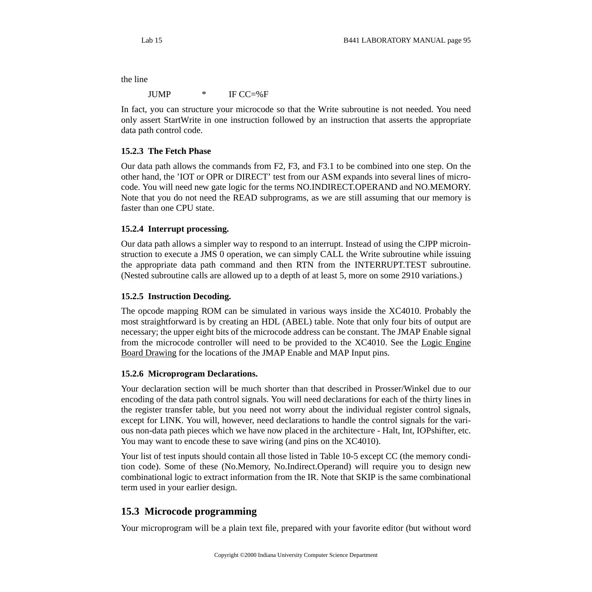the line

JUMP \* IF CC=%F

In fact, you can structure your microcode so that the Write subroutine is not needed. You need only assert StartWrite in one instruction followed by an instruction that asserts the appropriate data path control code.

### **15.2.3 The Fetch Phase**

Our data path allows the commands from F2, F3, and F3.1 to be combined into one step. On the other hand, the 'IOT or OPR or DIRECT' test from our ASM expands into several lines of microcode. You will need new gate logic for the terms NO.INDIRECT.OPERAND and NO.MEMORY. Note that you do not need the READ subprograms, as we are still assuming that our memory is faster than one CPU state.

#### **15.2.4 Interrupt processing.**

Our data path allows a simpler way to respond to an interrupt. Instead of using the CJPP microinstruction to execute a JMS 0 operation, we can simply CALL the Write subroutine while issuing the appropriate data path command and then RTN from the INTERRUPT.TEST subroutine. (Nested subroutine calls are allowed up to a depth of at least 5, more on some 2910 variations.)

#### **15.2.5 Instruction Decoding.**

The opcode mapping ROM can be simulated in various ways inside the XC4010. Probably the most straightforward is by creating an HDL (ABEL) table. Note that only four bits of output are necessary; the upper eight bits of the microcode address can be constant. The JMAP Enable signal from the microcode controller will need to be provided to the XC4010. See the Logic [Engine](http://www.cs.indiana.edu/classes/b441/lab/manual/boardur.pdf) [Board Drawing](http://www.cs.indiana.edu/classes/b441/lab/manual/boardur.pdf) for the locations of the JMAP Enable and MAP Input pins.

#### **15.2.6 Microprogram Declarations.**

Your declaration section will be much shorter than that described in Prosser/Winkel due to our encoding of the data path control signals. You will need declarations for each of the thirty lines in the register transfer table, but you need not worry about the individual register control signals, except for LINK. You will, however, need declarations to handle the control signals for the various non-data path pieces which we have now placed in the architecture - Halt, Int, IOPshifter, etc. You may want to encode these to save wiring (and pins on the XC4010).

Your list of test inputs should contain all those listed in Table 10-5 except CC (the memory condition code). Some of these (No.Memory, No.Indirect.Operand) will require you to design new combinational logic to extract information from the IR. Note that SKIP is the same combinational term used in your earlier design.

# **15.3 Microcode programming**

Your microprogram will be a plain text file, prepared with your favorite editor (but without word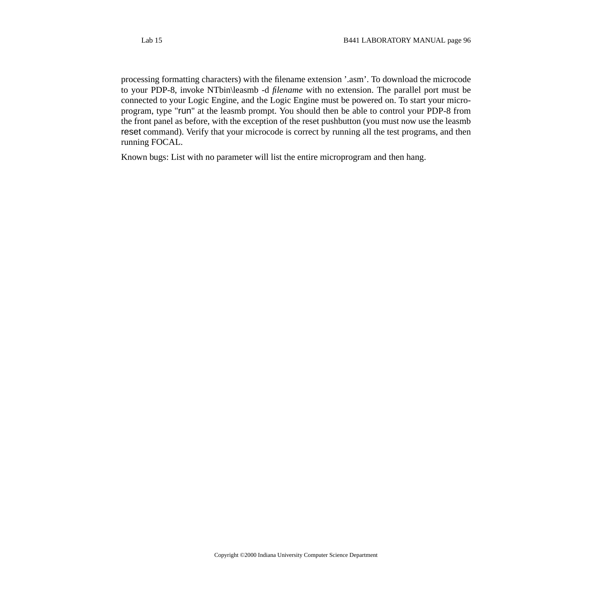processing formatting characters) with the filename extension '.asm'. To download the microcode to your PDP-8, invoke NTbin\leasmb -d *filename* with no extension. The parallel port must be connected to your Logic Engine, and the Logic Engine must be powered on. To start your microprogram, type "run" at the leasmb prompt. You should then be able to control your PDP-8 from the front panel as before, with the exception of the reset pushbutton (you must now use the leasmb reset command). Verify that your microcode is correct by running all the test programs, and then running FOCAL.

Known bugs: List with no parameter will list the entire microprogram and then hang.